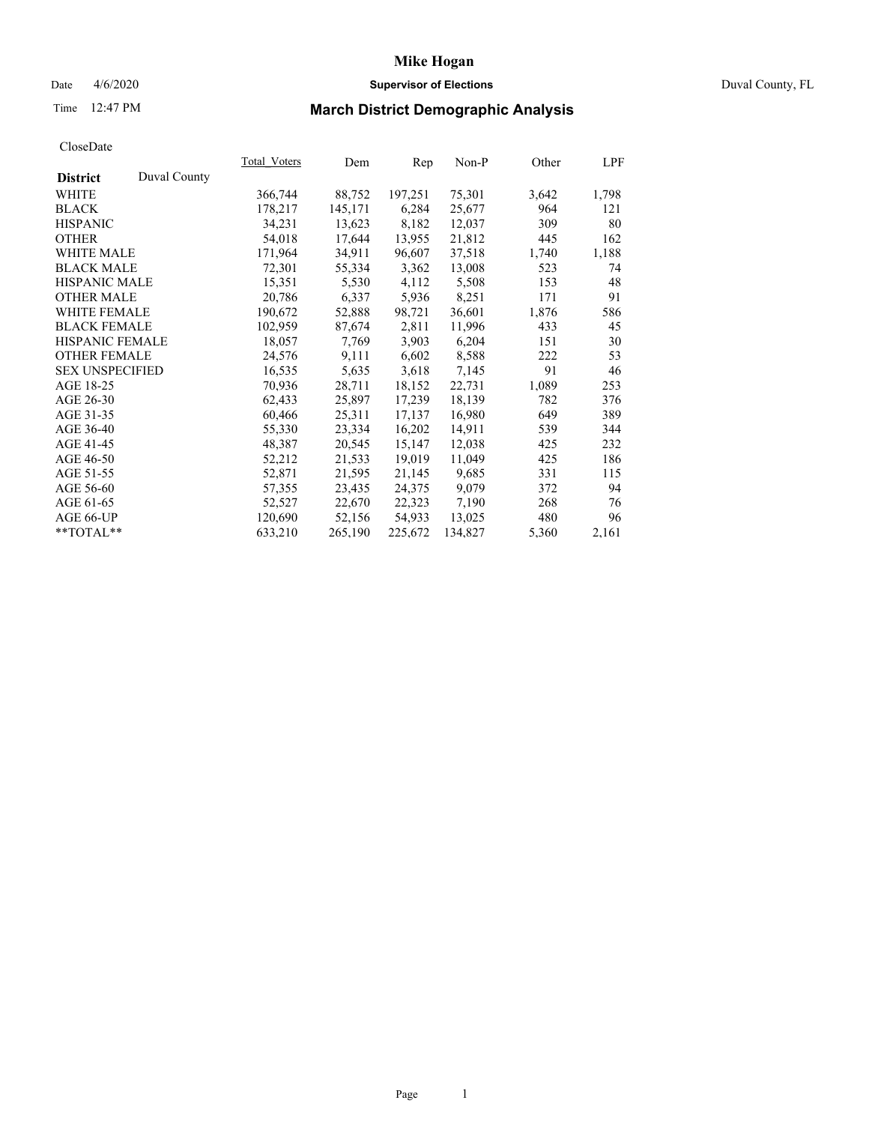## Date 4/6/2020 **Supervisor of Elections** Duval County, FL

# Time 12:47 PM **March District Demographic Analysis**

|                        |              | Total Voters | Dem     | Rep     | Non-P   | Other | LPF   |
|------------------------|--------------|--------------|---------|---------|---------|-------|-------|
| <b>District</b>        | Duval County |              |         |         |         |       |       |
| WHITE                  |              | 366,744      | 88,752  | 197,251 | 75,301  | 3,642 | 1,798 |
| <b>BLACK</b>           |              | 178,217      | 145,171 | 6,284   | 25,677  | 964   | 121   |
| <b>HISPANIC</b>        |              | 34,231       | 13,623  | 8,182   | 12,037  | 309   | 80    |
| <b>OTHER</b>           |              | 54,018       | 17,644  | 13,955  | 21,812  | 445   | 162   |
| WHITE MALE             |              | 171,964      | 34,911  | 96,607  | 37,518  | 1,740 | 1,188 |
| <b>BLACK MALE</b>      |              | 72,301       | 55,334  | 3,362   | 13,008  | 523   | 74    |
| <b>HISPANIC MALE</b>   |              | 15,351       | 5,530   | 4,112   | 5,508   | 153   | 48    |
| <b>OTHER MALE</b>      |              | 20,786       | 6,337   | 5,936   | 8,251   | 171   | 91    |
| <b>WHITE FEMALE</b>    |              | 190,672      | 52,888  | 98,721  | 36,601  | 1,876 | 586   |
| <b>BLACK FEMALE</b>    |              | 102,959      | 87,674  | 2,811   | 11,996  | 433   | 45    |
| <b>HISPANIC FEMALE</b> |              | 18,057       | 7,769   | 3,903   | 6,204   | 151   | 30    |
| <b>OTHER FEMALE</b>    |              | 24,576       | 9,111   | 6,602   | 8,588   | 222   | 53    |
| <b>SEX UNSPECIFIED</b> |              | 16,535       | 5,635   | 3.618   | 7,145   | 91    | 46    |
| AGE 18-25              |              | 70,936       | 28,711  | 18,152  | 22,731  | 1,089 | 253   |
| AGE 26-30              |              | 62,433       | 25,897  | 17,239  | 18,139  | 782   | 376   |
| AGE 31-35              |              | 60,466       | 25,311  | 17,137  | 16,980  | 649   | 389   |
| AGE 36-40              |              | 55,330       | 23,334  | 16,202  | 14,911  | 539   | 344   |
| AGE 41-45              |              | 48,387       | 20,545  | 15,147  | 12,038  | 425   | 232   |
| AGE 46-50              |              | 52,212       | 21,533  | 19,019  | 11,049  | 425   | 186   |
| AGE 51-55              |              | 52,871       | 21,595  | 21,145  | 9,685   | 331   | 115   |
| AGE 56-60              |              | 57,355       | 23,435  | 24,375  | 9,079   | 372   | 94    |
| AGE 61-65              |              | 52,527       | 22,670  | 22,323  | 7,190   | 268   | 76    |
| AGE 66-UP              |              | 120,690      | 52,156  | 54,933  | 13,025  | 480   | 96    |
| **TOTAL**              |              | 633,210      | 265,190 | 225,672 | 134,827 | 5,360 | 2,161 |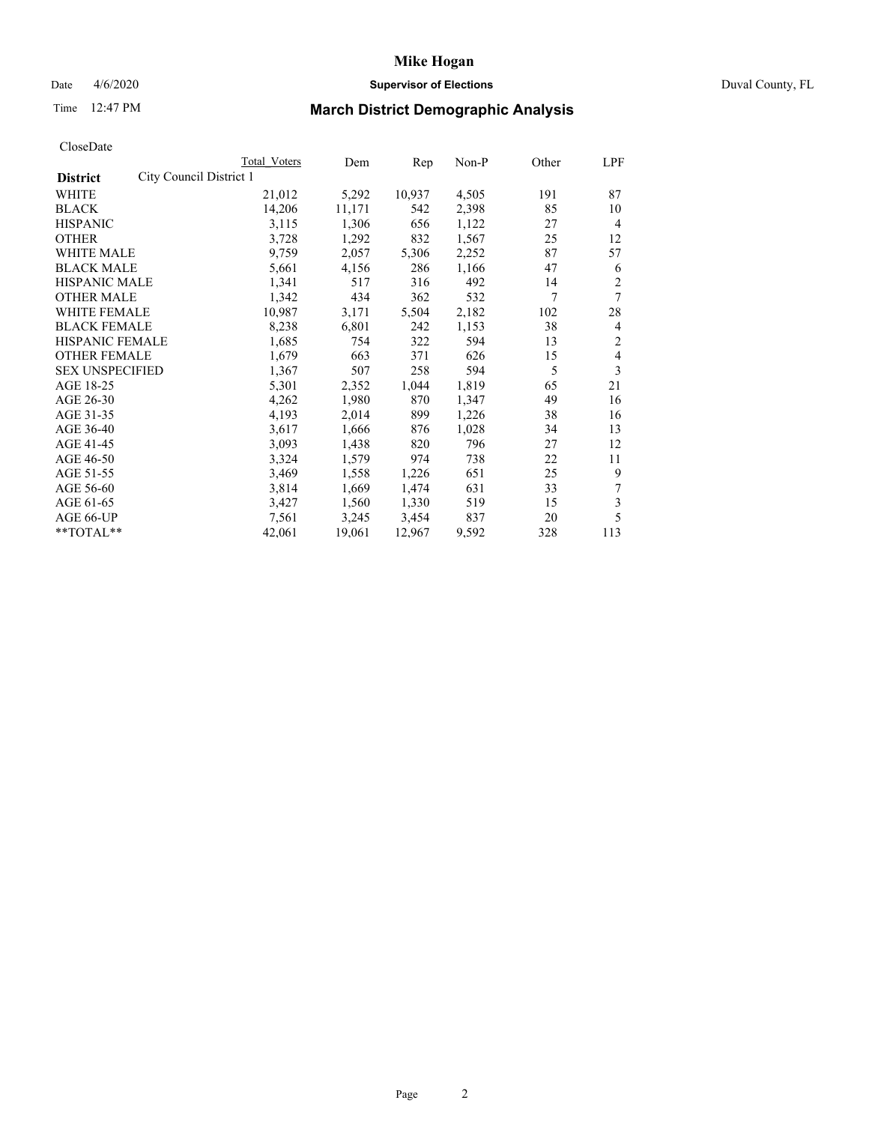## Date 4/6/2020 **Supervisor of Elections** Duval County, FL

# Time 12:47 PM **March District Demographic Analysis**

|                                            | Total Voters | Dem    | Rep    | Non-P | Other | LPF            |
|--------------------------------------------|--------------|--------|--------|-------|-------|----------------|
| City Council District 1<br><b>District</b> |              |        |        |       |       |                |
| WHITE                                      | 21,012       | 5,292  | 10,937 | 4,505 | 191   | 87             |
| <b>BLACK</b>                               | 14,206       | 11,171 | 542    | 2,398 | 85    | 10             |
| <b>HISPANIC</b>                            | 3,115        | 1,306  | 656    | 1,122 | 27    | $\overline{4}$ |
| <b>OTHER</b>                               | 3,728        | 1,292  | 832    | 1,567 | 25    | 12             |
| <b>WHITE MALE</b>                          | 9,759        | 2,057  | 5,306  | 2,252 | 87    | 57             |
| <b>BLACK MALE</b>                          | 5,661        | 4,156  | 286    | 1,166 | 47    | 6              |
| HISPANIC MALE                              | 1,341        | 517    | 316    | 492   | 14    | $\overline{2}$ |
| <b>OTHER MALE</b>                          | 1,342        | 434    | 362    | 532   | 7     | 7              |
| <b>WHITE FEMALE</b>                        | 10,987       | 3,171  | 5,504  | 2,182 | 102   | 28             |
| <b>BLACK FEMALE</b>                        | 8,238        | 6,801  | 242    | 1,153 | 38    | 4              |
| HISPANIC FEMALE                            | 1,685        | 754    | 322    | 594   | 13    | $\overline{c}$ |
| <b>OTHER FEMALE</b>                        | 1,679        | 663    | 371    | 626   | 15    | 4              |
| <b>SEX UNSPECIFIED</b>                     | 1,367        | 507    | 258    | 594   | 5     | 3              |
| AGE 18-25                                  | 5,301        | 2,352  | 1,044  | 1,819 | 65    | 21             |
| AGE 26-30                                  | 4,262        | 1,980  | 870    | 1,347 | 49    | 16             |
| AGE 31-35                                  | 4,193        | 2,014  | 899    | 1,226 | 38    | 16             |
| AGE 36-40                                  | 3,617        | 1,666  | 876    | 1,028 | 34    | 13             |
| AGE 41-45                                  | 3,093        | 1,438  | 820    | 796   | 27    | 12             |
| AGE 46-50                                  | 3,324        | 1,579  | 974    | 738   | 22    | 11             |
| AGE 51-55                                  | 3,469        | 1,558  | 1,226  | 651   | 25    | 9              |
| AGE 56-60                                  | 3,814        | 1,669  | 1,474  | 631   | 33    | 7              |
| AGE 61-65                                  | 3,427        | 1,560  | 1,330  | 519   | 15    | 3              |
| AGE 66-UP                                  | 7.561        | 3,245  | 3,454  | 837   | 20    | 5              |
| **TOTAL**                                  | 42,061       | 19,061 | 12,967 | 9,592 | 328   | 113            |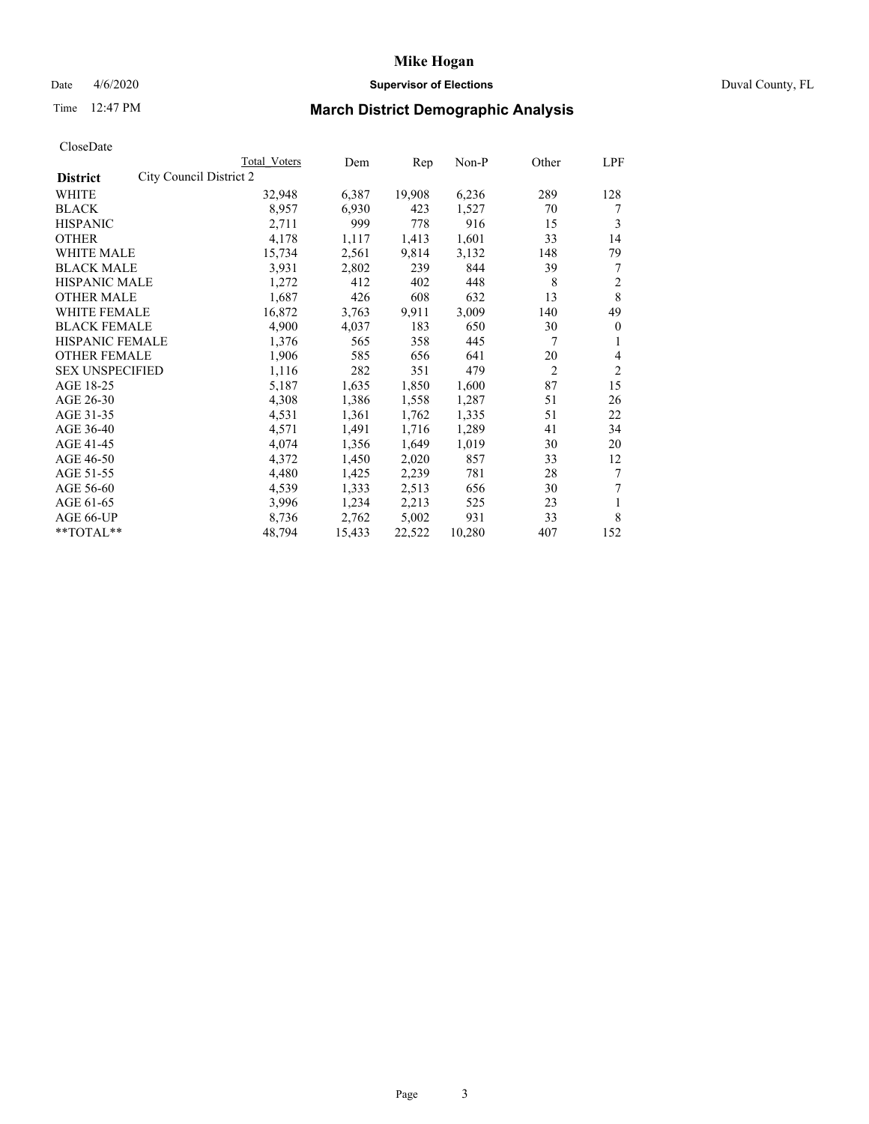## Date 4/6/2020 **Supervisor of Elections** Duval County, FL

# Time 12:47 PM **March District Demographic Analysis**

|                                            | <b>Total Voters</b> | Dem    | Rep    | Non-P  | Other          | LPF            |
|--------------------------------------------|---------------------|--------|--------|--------|----------------|----------------|
| City Council District 2<br><b>District</b> |                     |        |        |        |                |                |
| WHITE                                      | 32,948              | 6,387  | 19,908 | 6,236  | 289            | 128            |
| <b>BLACK</b>                               | 8,957               | 6,930  | 423    | 1,527  | 70             | 7              |
| <b>HISPANIC</b>                            | 2,711               | 999    | 778    | 916    | 15             | 3              |
| <b>OTHER</b>                               | 4,178               | 1,117  | 1,413  | 1,601  | 33             | 14             |
| WHITE MALE                                 | 15,734              | 2,561  | 9,814  | 3,132  | 148            | 79             |
| <b>BLACK MALE</b>                          | 3,931               | 2,802  | 239    | 844    | 39             | 7              |
| HISPANIC MALE                              | 1,272               | 412    | 402    | 448    | 8              | 2              |
| <b>OTHER MALE</b>                          | 1,687               | 426    | 608    | 632    | 13             | 8              |
| <b>WHITE FEMALE</b>                        | 16,872              | 3.763  | 9.911  | 3,009  | 140            | 49             |
| <b>BLACK FEMALE</b>                        | 4,900               | 4,037  | 183    | 650    | 30             | $\theta$       |
| HISPANIC FEMALE                            | 1,376               | 565    | 358    | 445    | 7              | 1              |
| <b>OTHER FEMALE</b>                        | 1,906               | 585    | 656    | 641    | 20             | 4              |
| <b>SEX UNSPECIFIED</b>                     | 1,116               | 282    | 351    | 479    | $\overline{2}$ | $\overline{2}$ |
| AGE 18-25                                  | 5,187               | 1,635  | 1,850  | 1,600  | 87             | 15             |
| AGE 26-30                                  | 4,308               | 1,386  | 1,558  | 1,287  | 51             | 26             |
| AGE 31-35                                  | 4,531               | 1,361  | 1,762  | 1,335  | 51             | 22             |
| AGE 36-40                                  | 4,571               | 1,491  | 1,716  | 1,289  | 41             | 34             |
| AGE 41-45                                  | 4,074               | 1,356  | 1,649  | 1,019  | 30             | 20             |
| AGE 46-50                                  | 4,372               | 1,450  | 2,020  | 857    | 33             | 12             |
| AGE 51-55                                  | 4,480               | 1,425  | 2,239  | 781    | 28             | 7              |
| AGE 56-60                                  | 4,539               | 1,333  | 2,513  | 656    | 30             | 7              |
| AGE 61-65                                  | 3,996               | 1,234  | 2,213  | 525    | 23             | 1              |
| AGE 66-UP                                  | 8,736               | 2,762  | 5,002  | 931    | 33             | 8              |
| **TOTAL**                                  | 48,794              | 15,433 | 22,522 | 10,280 | 407            | 152            |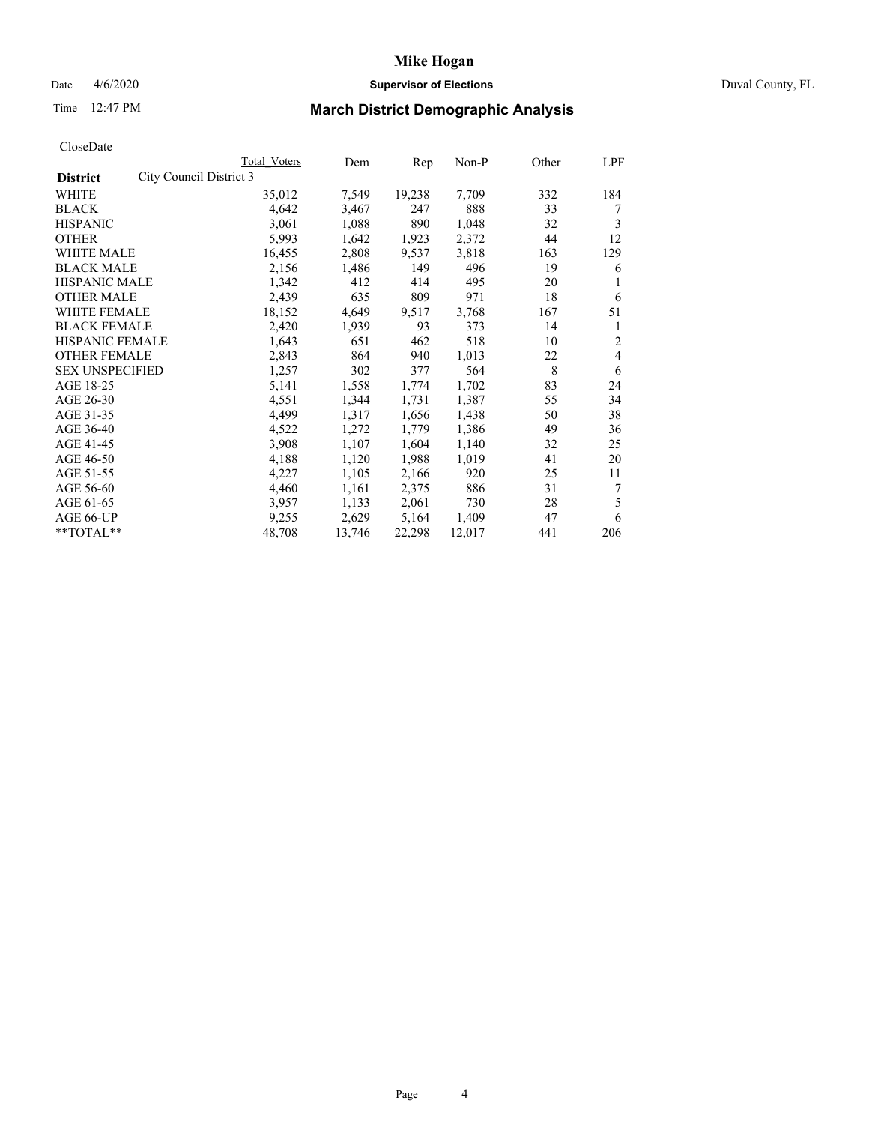## Date 4/6/2020 **Supervisor of Elections** Duval County, FL

# Time 12:47 PM **March District Demographic Analysis**

|                                            | <b>Total Voters</b> | Dem    | Rep    | Non-P  | Other | LPF |
|--------------------------------------------|---------------------|--------|--------|--------|-------|-----|
| City Council District 3<br><b>District</b> |                     |        |        |        |       |     |
| WHITE                                      | 35,012              | 7,549  | 19,238 | 7,709  | 332   | 184 |
| <b>BLACK</b>                               | 4,642               | 3,467  | 247    | 888    | 33    | 7   |
| <b>HISPANIC</b>                            | 3,061               | 1,088  | 890    | 1,048  | 32    | 3   |
| <b>OTHER</b>                               | 5,993               | 1,642  | 1,923  | 2,372  | 44    | 12  |
| WHITE MALE                                 | 16,455              | 2,808  | 9,537  | 3,818  | 163   | 129 |
| <b>BLACK MALE</b>                          | 2,156               | 1,486  | 149    | 496    | 19    | 6   |
| HISPANIC MALE                              | 1,342               | 412    | 414    | 495    | 20    |     |
| <b>OTHER MALE</b>                          | 2,439               | 635    | 809    | 971    | 18    | 6   |
| <b>WHITE FEMALE</b>                        | 18,152              | 4,649  | 9,517  | 3,768  | 167   | 51  |
| <b>BLACK FEMALE</b>                        | 2,420               | 1,939  | 93     | 373    | 14    | 1   |
| HISPANIC FEMALE                            | 1,643               | 651    | 462    | 518    | 10    | 2   |
| <b>OTHER FEMALE</b>                        | 2,843               | 864    | 940    | 1,013  | 22    | 4   |
| <b>SEX UNSPECIFIED</b>                     | 1,257               | 302    | 377    | 564    | 8     | 6   |
| AGE 18-25                                  | 5,141               | 1,558  | 1,774  | 1,702  | 83    | 24  |
| AGE 26-30                                  | 4,551               | 1,344  | 1,731  | 1,387  | 55    | 34  |
| AGE 31-35                                  | 4,499               | 1,317  | 1,656  | 1,438  | 50    | 38  |
| AGE 36-40                                  | 4,522               | 1,272  | 1,779  | 1,386  | 49    | 36  |
| AGE 41-45                                  | 3,908               | 1,107  | 1,604  | 1,140  | 32    | 25  |
| AGE 46-50                                  | 4,188               | 1,120  | 1,988  | 1,019  | 41    | 20  |
| AGE 51-55                                  | 4,227               | 1,105  | 2,166  | 920    | 25    | 11  |
| AGE 56-60                                  | 4,460               | 1,161  | 2,375  | 886    | 31    | 7   |
| AGE 61-65                                  | 3,957               | 1,133  | 2,061  | 730    | 28    | 5   |
| AGE 66-UP                                  | 9,255               | 2,629  | 5,164  | 1,409  | 47    | 6   |
| **TOTAL**                                  | 48,708              | 13,746 | 22,298 | 12,017 | 441   | 206 |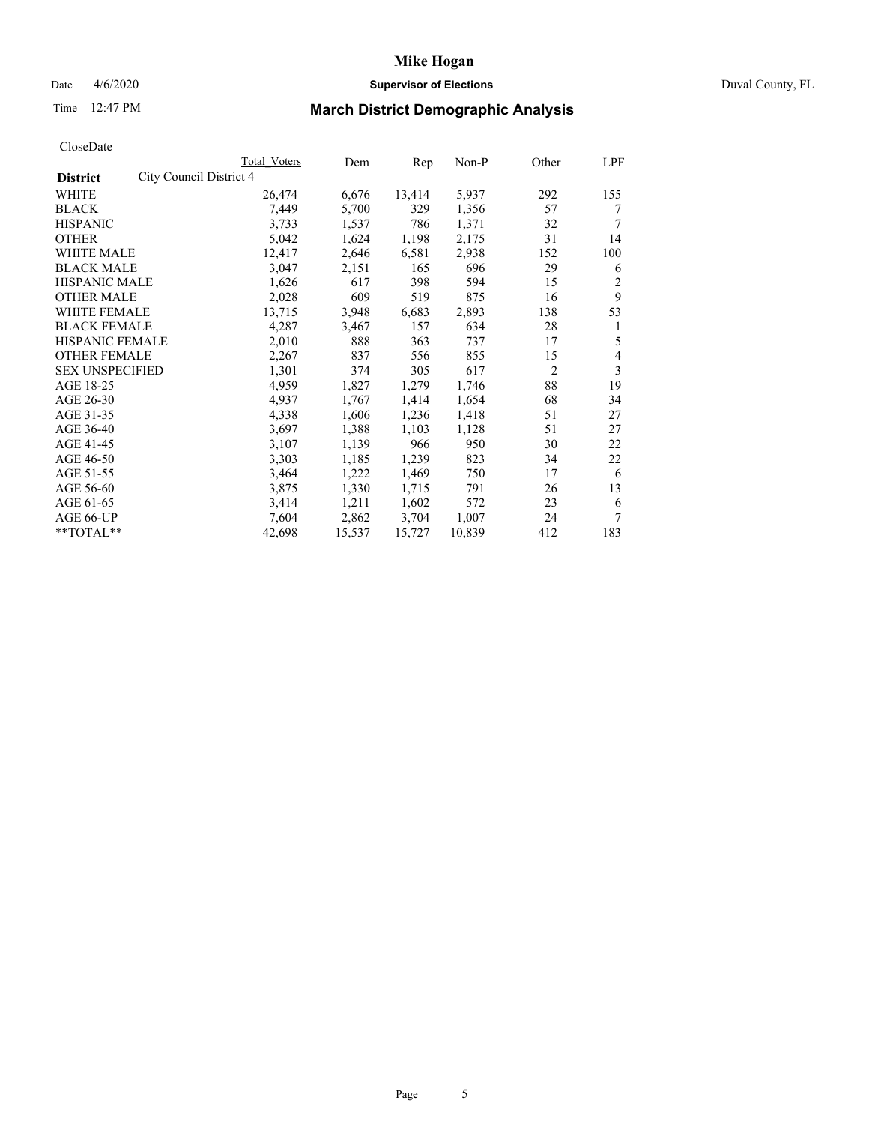## Date 4/6/2020 **Supervisor of Elections** Duval County, FL

# Time 12:47 PM **March District Demographic Analysis**

|                                            | <b>Total Voters</b> | Dem    | Rep    | Non-P  | Other          | LPF |
|--------------------------------------------|---------------------|--------|--------|--------|----------------|-----|
| City Council District 4<br><b>District</b> |                     |        |        |        |                |     |
| WHITE                                      | 26,474              | 6,676  | 13,414 | 5,937  | 292            | 155 |
| <b>BLACK</b>                               | 7,449               | 5,700  | 329    | 1,356  | 57             | 7   |
| <b>HISPANIC</b>                            | 3.733               | 1,537  | 786    | 1,371  | 32             | 7   |
| <b>OTHER</b>                               | 5,042               | 1,624  | 1,198  | 2,175  | 31             | 14  |
| WHITE MALE                                 | 12,417              | 2,646  | 6,581  | 2,938  | 152            | 100 |
| <b>BLACK MALE</b>                          | 3,047               | 2,151  | 165    | 696    | 29             | 6   |
| HISPANIC MALE                              | 1,626               | 617    | 398    | 594    | 15             | 2   |
| <b>OTHER MALE</b>                          | 2,028               | 609    | 519    | 875    | 16             | 9   |
| <b>WHITE FEMALE</b>                        | 13,715              | 3,948  | 6,683  | 2,893  | 138            | 53  |
| <b>BLACK FEMALE</b>                        | 4,287               | 3,467  | 157    | 634    | 28             | 1   |
| HISPANIC FEMALE                            | 2,010               | 888    | 363    | 737    | 17             | 5   |
| <b>OTHER FEMALE</b>                        | 2,267               | 837    | 556    | 855    | 15             | 4   |
| <b>SEX UNSPECIFIED</b>                     | 1,301               | 374    | 305    | 617    | $\overline{c}$ | 3   |
| AGE 18-25                                  | 4,959               | 1,827  | 1,279  | 1,746  | 88             | 19  |
| AGE 26-30                                  | 4,937               | 1,767  | 1,414  | 1,654  | 68             | 34  |
| AGE 31-35                                  | 4,338               | 1,606  | 1,236  | 1,418  | 51             | 27  |
| AGE 36-40                                  | 3,697               | 1,388  | 1,103  | 1,128  | 51             | 27  |
| AGE 41-45                                  | 3,107               | 1,139  | 966    | 950    | 30             | 22  |
| AGE 46-50                                  | 3,303               | 1,185  | 1,239  | 823    | 34             | 22  |
| AGE 51-55                                  | 3,464               | 1,222  | 1,469  | 750    | 17             | 6   |
| AGE 56-60                                  | 3,875               | 1,330  | 1,715  | 791    | 26             | 13  |
| AGE 61-65                                  | 3,414               | 1,211  | 1,602  | 572    | 23             | 6   |
| AGE 66-UP                                  | 7,604               | 2,862  | 3,704  | 1,007  | 24             | 7   |
| **TOTAL**                                  | 42,698              | 15,537 | 15,727 | 10,839 | 412            | 183 |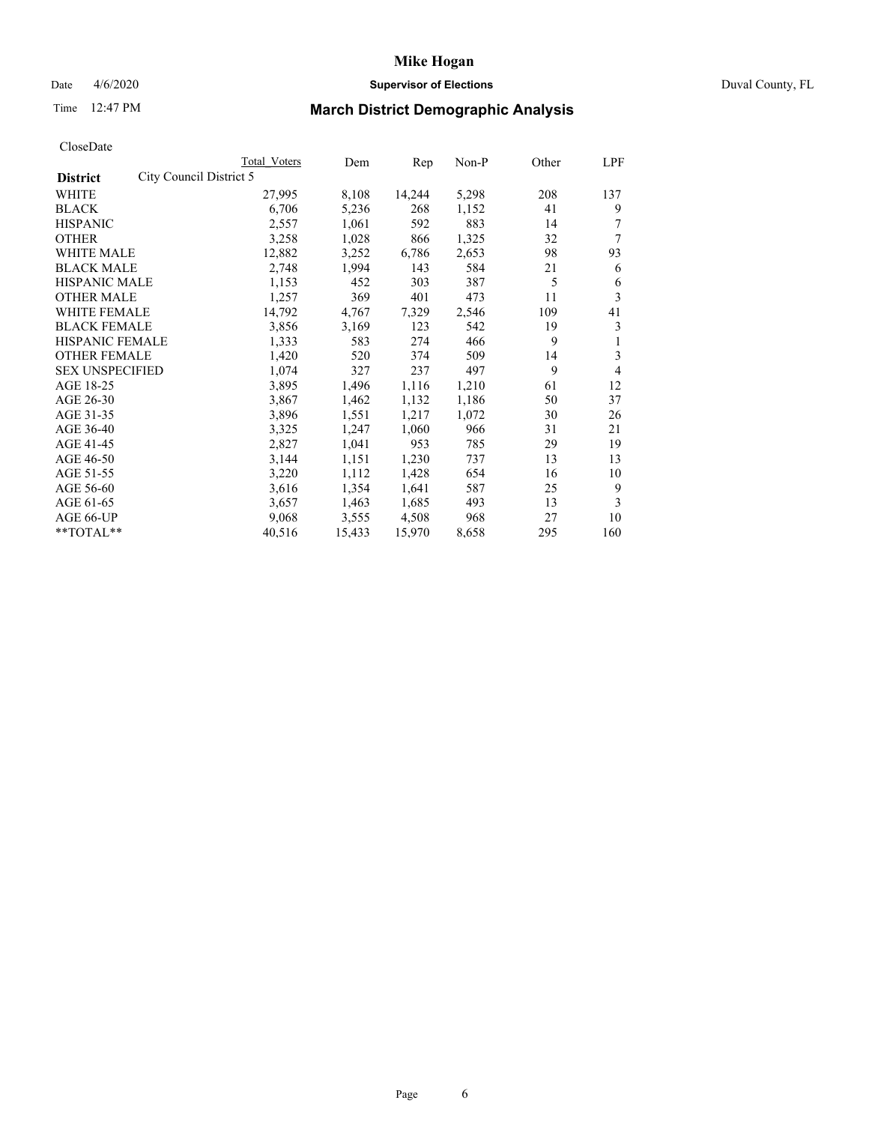## Date 4/6/2020 **Supervisor of Elections** Duval County, FL

# Time 12:47 PM **March District Demographic Analysis**

|                                            | Total Voters | Dem    | Rep    | Non-P | Other | LPF |
|--------------------------------------------|--------------|--------|--------|-------|-------|-----|
| City Council District 5<br><b>District</b> |              |        |        |       |       |     |
| WHITE                                      | 27,995       | 8,108  | 14,244 | 5,298 | 208   | 137 |
| <b>BLACK</b>                               | 6,706        | 5,236  | 268    | 1,152 | 41    | 9   |
| <b>HISPANIC</b>                            | 2,557        | 1,061  | 592    | 883   | 14    |     |
| <b>OTHER</b>                               | 3,258        | 1,028  | 866    | 1,325 | 32    | 7   |
| WHITE MALE                                 | 12,882       | 3,252  | 6,786  | 2,653 | 98    | 93  |
| <b>BLACK MALE</b>                          | 2,748        | 1,994  | 143    | 584   | 21    | 6   |
| HISPANIC MALE                              | 1,153        | 452    | 303    | 387   | 5     | 6   |
| <b>OTHER MALE</b>                          | 1,257        | 369    | 401    | 473   | 11    | 3   |
| <b>WHITE FEMALE</b>                        | 14,792       | 4,767  | 7,329  | 2,546 | 109   | 41  |
| <b>BLACK FEMALE</b>                        | 3,856        | 3,169  | 123    | 542   | 19    | 3   |
| HISPANIC FEMALE                            | 1,333        | 583    | 274    | 466   | 9     | 1   |
| <b>OTHER FEMALE</b>                        | 1,420        | 520    | 374    | 509   | 14    | 3   |
| <b>SEX UNSPECIFIED</b>                     | 1,074        | 327    | 237    | 497   | 9     | 4   |
| AGE 18-25                                  | 3,895        | 1,496  | 1,116  | 1,210 | 61    | 12  |
| AGE 26-30                                  | 3,867        | 1,462  | 1,132  | 1,186 | 50    | 37  |
| AGE 31-35                                  | 3,896        | 1,551  | 1,217  | 1,072 | 30    | 26  |
| AGE 36-40                                  | 3,325        | 1,247  | 1,060  | 966   | 31    | 21  |
| AGE 41-45                                  | 2,827        | 1,041  | 953    | 785   | 29    | 19  |
| AGE 46-50                                  | 3,144        | 1,151  | 1,230  | 737   | 13    | 13  |
| AGE 51-55                                  | 3,220        | 1,112  | 1,428  | 654   | 16    | 10  |
| AGE 56-60                                  | 3,616        | 1,354  | 1,641  | 587   | 25    | 9   |
| AGE 61-65                                  | 3,657        | 1,463  | 1,685  | 493   | 13    | 3   |
| AGE 66-UP                                  | 9,068        | 3,555  | 4,508  | 968   | 27    | 10  |
| **TOTAL**                                  | 40,516       | 15,433 | 15,970 | 8,658 | 295   | 160 |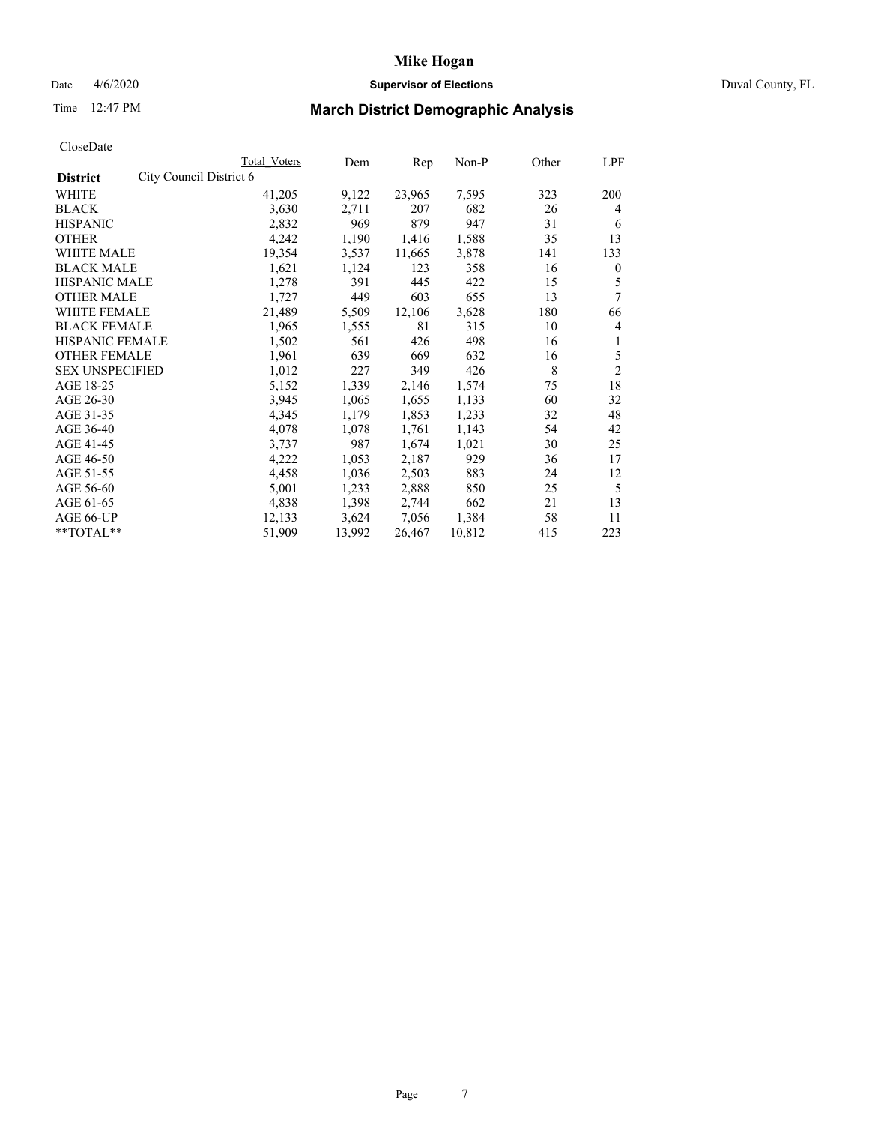## Date 4/6/2020 **Supervisor of Elections** Duval County, FL

# Time 12:47 PM **March District Demographic Analysis**

|                                            | Total Voters | Dem    | Rep    | Non-P  | Other | LPF            |
|--------------------------------------------|--------------|--------|--------|--------|-------|----------------|
| City Council District 6<br><b>District</b> |              |        |        |        |       |                |
| WHITE                                      | 41,205       | 9,122  | 23,965 | 7,595  | 323   | 200            |
| <b>BLACK</b>                               | 3,630        | 2,711  | 207    | 682    | 26    | 4              |
| <b>HISPANIC</b>                            | 2,832        | 969    | 879    | 947    | 31    | 6              |
| <b>OTHER</b>                               | 4,242        | 1,190  | 1,416  | 1,588  | 35    | 13             |
| WHITE MALE                                 | 19,354       | 3,537  | 11,665 | 3,878  | 141   | 133            |
| <b>BLACK MALE</b>                          | 1,621        | 1,124  | 123    | 358    | 16    | $\mathbf{0}$   |
| HISPANIC MALE                              | 1,278        | 391    | 445    | 422    | 15    | 5              |
| <b>OTHER MALE</b>                          | 1,727        | 449    | 603    | 655    | 13    | 7              |
| <b>WHITE FEMALE</b>                        | 21,489       | 5,509  | 12,106 | 3,628  | 180   | 66             |
| <b>BLACK FEMALE</b>                        | 1,965        | 1,555  | 81     | 315    | 10    | 4              |
| HISPANIC FEMALE                            | 1,502        | 561    | 426    | 498    | 16    | 1              |
| <b>OTHER FEMALE</b>                        | 1,961        | 639    | 669    | 632    | 16    | 5              |
| <b>SEX UNSPECIFIED</b>                     | 1,012        | 227    | 349    | 426    | 8     | $\overline{c}$ |
| AGE 18-25                                  | 5,152        | 1,339  | 2,146  | 1,574  | 75    | 18             |
| AGE 26-30                                  | 3,945        | 1,065  | 1,655  | 1,133  | 60    | 32             |
| AGE 31-35                                  | 4,345        | 1,179  | 1,853  | 1,233  | 32    | 48             |
| AGE 36-40                                  | 4,078        | 1,078  | 1,761  | 1,143  | 54    | 42             |
| AGE 41-45                                  | 3,737        | 987    | 1,674  | 1,021  | 30    | 25             |
| AGE 46-50                                  | 4,222        | 1,053  | 2,187  | 929    | 36    | 17             |
| AGE 51-55                                  | 4,458        | 1,036  | 2,503  | 883    | 24    | 12             |
| AGE 56-60                                  | 5,001        | 1,233  | 2,888  | 850    | 25    | 5              |
| AGE 61-65                                  | 4,838        | 1,398  | 2,744  | 662    | 21    | 13             |
| AGE 66-UP                                  | 12,133       | 3,624  | 7,056  | 1,384  | 58    | 11             |
| **TOTAL**                                  | 51,909       | 13,992 | 26,467 | 10,812 | 415   | 223            |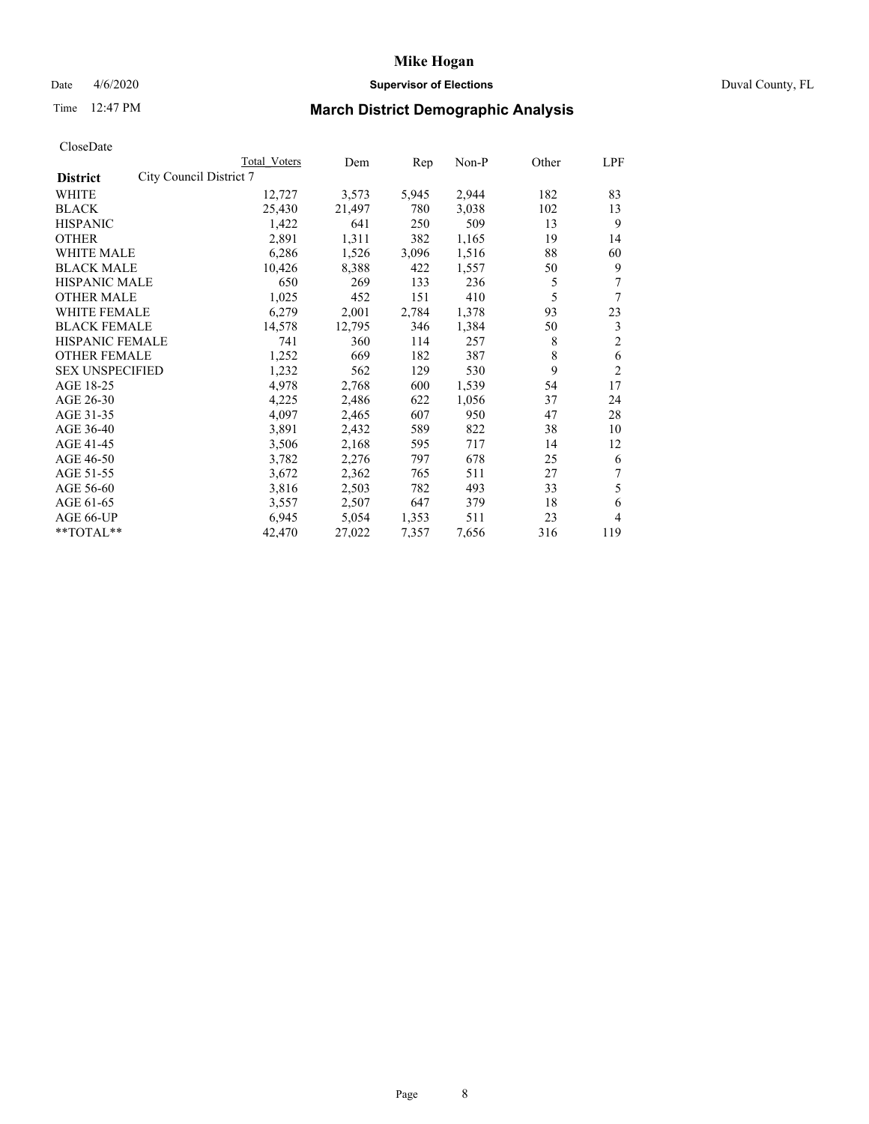## Date 4/6/2020 **Supervisor of Elections** Duval County, FL

# Time 12:47 PM **March District Demographic Analysis**

|                                            | Total Voters | Dem    | Rep   | Non-P | Other | LPF            |
|--------------------------------------------|--------------|--------|-------|-------|-------|----------------|
| City Council District 7<br><b>District</b> |              |        |       |       |       |                |
| WHITE                                      | 12,727       | 3,573  | 5,945 | 2,944 | 182   | 83             |
| <b>BLACK</b>                               | 25,430       | 21,497 | 780   | 3,038 | 102   | 13             |
| <b>HISPANIC</b>                            | 1,422        | 641    | 250   | 509   | 13    | 9              |
| <b>OTHER</b>                               | 2,891        | 1,311  | 382   | 1,165 | 19    | 14             |
| WHITE MALE                                 | 6,286        | 1,526  | 3,096 | 1,516 | 88    | 60             |
| <b>BLACK MALE</b>                          | 10,426       | 8,388  | 422   | 1,557 | 50    | 9              |
| HISPANIC MALE                              | 650          | 269    | 133   | 236   | 5     | 7              |
| <b>OTHER MALE</b>                          | 1,025        | 452    | 151   | 410   | 5     | 7              |
| <b>WHITE FEMALE</b>                        | 6,279        | 2,001  | 2,784 | 1,378 | 93    | 23             |
| <b>BLACK FEMALE</b>                        | 14,578       | 12,795 | 346   | 1,384 | 50    | 3              |
| <b>HISPANIC FEMALE</b>                     | 741          | 360    | 114   | 257   | 8     | $\overline{c}$ |
| <b>OTHER FEMALE</b>                        | 1,252        | 669    | 182   | 387   | 8     | 6              |
| <b>SEX UNSPECIFIED</b>                     | 1,232        | 562    | 129   | 530   | 9     | $\overline{2}$ |
| AGE 18-25                                  | 4,978        | 2,768  | 600   | 1,539 | 54    | 17             |
| AGE 26-30                                  | 4,225        | 2,486  | 622   | 1,056 | 37    | 24             |
| AGE 31-35                                  | 4,097        | 2,465  | 607   | 950   | 47    | 28             |
| AGE 36-40                                  | 3,891        | 2,432  | 589   | 822   | 38    | 10             |
| AGE 41-45                                  | 3,506        | 2,168  | 595   | 717   | 14    | 12             |
| AGE 46-50                                  | 3,782        | 2,276  | 797   | 678   | 25    | 6              |
| AGE 51-55                                  | 3,672        | 2,362  | 765   | 511   | 27    | 7              |
| AGE 56-60                                  | 3,816        | 2,503  | 782   | 493   | 33    | 5              |
| AGE 61-65                                  | 3,557        | 2,507  | 647   | 379   | 18    | 6              |
| AGE 66-UP                                  | 6,945        | 5,054  | 1,353 | 511   | 23    | 4              |
| **TOTAL**                                  | 42,470       | 27,022 | 7,357 | 7,656 | 316   | 119            |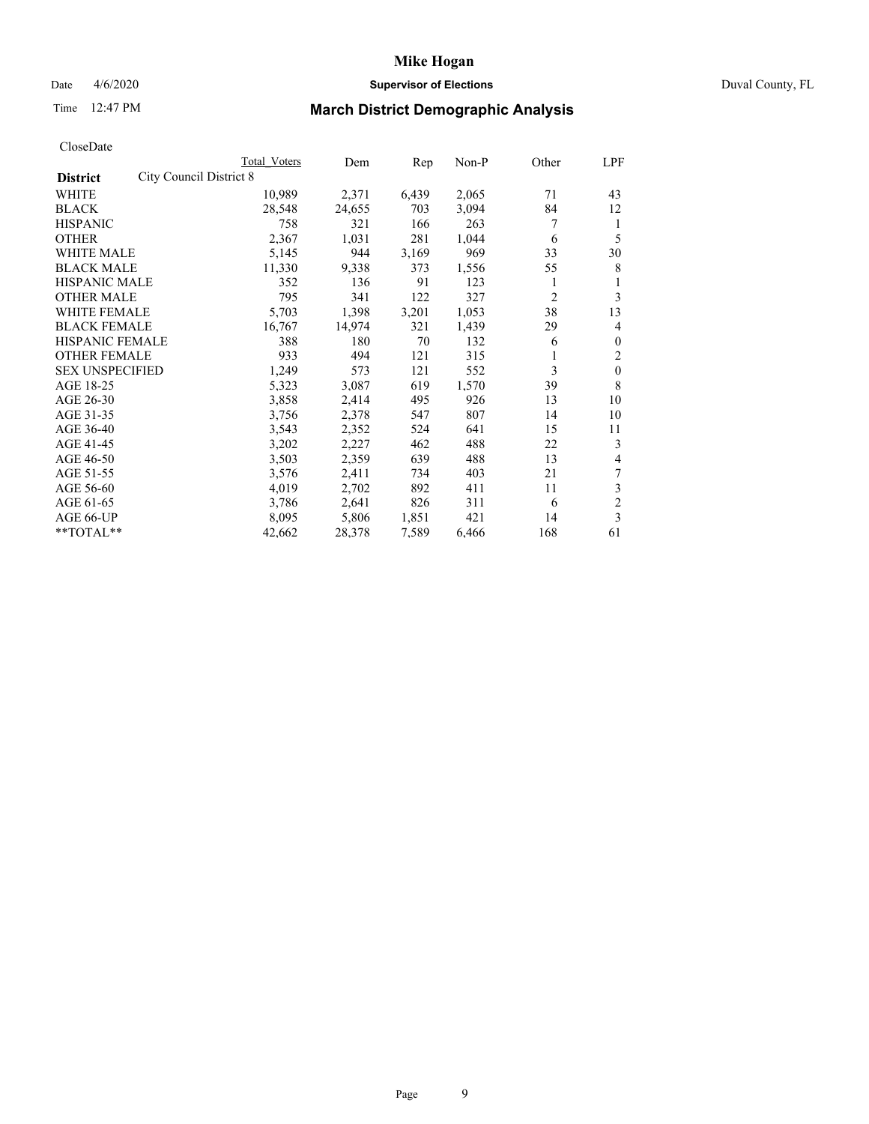## Date 4/6/2020 **Supervisor of Elections** Duval County, FL

# Time 12:47 PM **March District Demographic Analysis**

|                                            | Total Voters | Dem    | Rep   | Non-P | Other          | LPF            |
|--------------------------------------------|--------------|--------|-------|-------|----------------|----------------|
| City Council District 8<br><b>District</b> |              |        |       |       |                |                |
| WHITE                                      | 10,989       | 2,371  | 6,439 | 2,065 | 71             | 43             |
| <b>BLACK</b>                               | 28,548       | 24,655 | 703   | 3,094 | 84             | 12             |
| <b>HISPANIC</b>                            | 758          | 321    | 166   | 263   | 7              | 1              |
| <b>OTHER</b>                               | 2,367        | 1,031  | 281   | 1,044 | 6              | 5              |
| <b>WHITE MALE</b>                          | 5,145        | 944    | 3,169 | 969   | 33             | 30             |
| <b>BLACK MALE</b>                          | 11,330       | 9,338  | 373   | 1,556 | 55             | 8              |
| HISPANIC MALE                              | 352          | 136    | 91    | 123   | 1              |                |
| <b>OTHER MALE</b>                          | 795          | 341    | 122   | 327   | $\overline{c}$ | 3              |
| <b>WHITE FEMALE</b>                        | 5,703        | 1,398  | 3,201 | 1,053 | 38             | 13             |
| <b>BLACK FEMALE</b>                        | 16,767       | 14,974 | 321   | 1,439 | 29             | 4              |
| <b>HISPANIC FEMALE</b>                     | 388          | 180    | 70    | 132   | 6              | $\mathbf{0}$   |
| <b>OTHER FEMALE</b>                        | 933          | 494    | 121   | 315   |                | 2              |
| <b>SEX UNSPECIFIED</b>                     | 1,249        | 573    | 121   | 552   | 3              | $\mathbf{0}$   |
| AGE 18-25                                  | 5,323        | 3,087  | 619   | 1,570 | 39             | 8              |
| AGE 26-30                                  | 3,858        | 2,414  | 495   | 926   | 13             | 10             |
| AGE 31-35                                  | 3,756        | 2,378  | 547   | 807   | 14             | 10             |
| AGE 36-40                                  | 3,543        | 2,352  | 524   | 641   | 15             | 11             |
| AGE 41-45                                  | 3,202        | 2,227  | 462   | 488   | 22             | 3              |
| AGE 46-50                                  | 3,503        | 2,359  | 639   | 488   | 13             | 4              |
| AGE 51-55                                  | 3,576        | 2,411  | 734   | 403   | 21             | 7              |
| AGE 56-60                                  | 4,019        | 2,702  | 892   | 411   | 11             | 3              |
| AGE 61-65                                  | 3,786        | 2,641  | 826   | 311   | 6              | $\overline{c}$ |
| AGE 66-UP                                  | 8,095        | 5,806  | 1,851 | 421   | 14             | 3              |
| **TOTAL**                                  | 42,662       | 28,378 | 7,589 | 6,466 | 168            | 61             |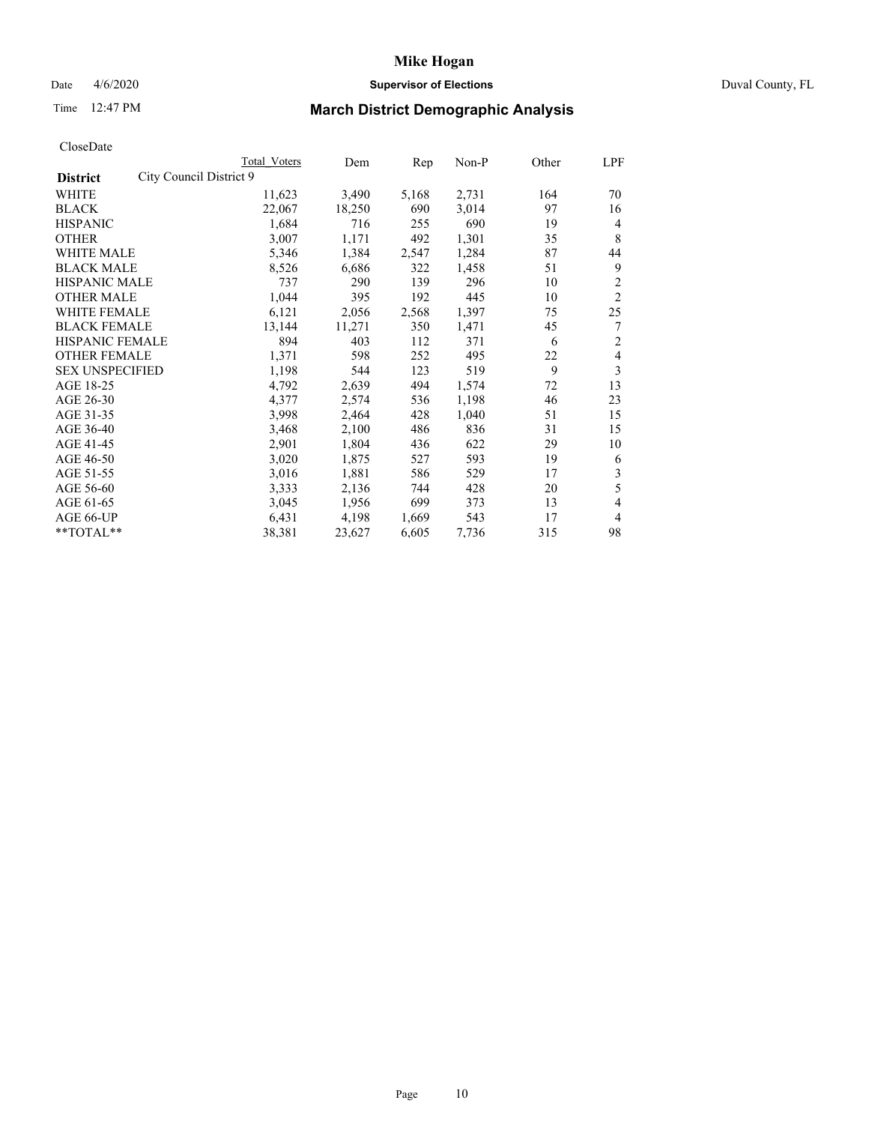## Date 4/6/2020 **Supervisor of Elections** Duval County, FL

# Time 12:47 PM **March District Demographic Analysis**

|                                            | Total Voters | Dem    | Rep   | Non-P | Other | LPF            |
|--------------------------------------------|--------------|--------|-------|-------|-------|----------------|
| City Council District 9<br><b>District</b> |              |        |       |       |       |                |
| WHITE                                      | 11,623       | 3,490  | 5,168 | 2,731 | 164   | 70             |
| <b>BLACK</b>                               | 22,067       | 18,250 | 690   | 3,014 | 97    | 16             |
| <b>HISPANIC</b>                            | 1,684        | 716    | 255   | 690   | 19    | $\overline{4}$ |
| <b>OTHER</b>                               | 3,007        | 1,171  | 492   | 1,301 | 35    | 8              |
| <b>WHITE MALE</b>                          | 5,346        | 1,384  | 2,547 | 1,284 | 87    | 44             |
| <b>BLACK MALE</b>                          | 8,526        | 6,686  | 322   | 1,458 | 51    | 9              |
| HISPANIC MALE                              | 737          | 290    | 139   | 296   | 10    | 2              |
| <b>OTHER MALE</b>                          | 1,044        | 395    | 192   | 445   | 10    | $\overline{2}$ |
| <b>WHITE FEMALE</b>                        | 6,121        | 2,056  | 2,568 | 1,397 | 75    | 25             |
| <b>BLACK FEMALE</b>                        | 13,144       | 11,271 | 350   | 1,471 | 45    | 7              |
| <b>HISPANIC FEMALE</b>                     | 894          | 403    | 112   | 371   | 6     | $\overline{c}$ |
| <b>OTHER FEMALE</b>                        | 1,371        | 598    | 252   | 495   | 22    | 4              |
| <b>SEX UNSPECIFIED</b>                     | 1,198        | 544    | 123   | 519   | 9     | 3              |
| AGE 18-25                                  | 4,792        | 2,639  | 494   | 1,574 | 72    | 13             |
| AGE 26-30                                  | 4,377        | 2,574  | 536   | 1,198 | 46    | 23             |
| AGE 31-35                                  | 3,998        | 2,464  | 428   | 1,040 | 51    | 15             |
| AGE 36-40                                  | 3,468        | 2,100  | 486   | 836   | 31    | 15             |
| AGE 41-45                                  | 2,901        | 1,804  | 436   | 622   | 29    | 10             |
| AGE 46-50                                  | 3,020        | 1,875  | 527   | 593   | 19    | 6              |
| AGE 51-55                                  | 3,016        | 1,881  | 586   | 529   | 17    | 3              |
| AGE 56-60                                  | 3,333        | 2,136  | 744   | 428   | 20    | 5              |
| AGE 61-65                                  | 3,045        | 1,956  | 699   | 373   | 13    | $\overline{4}$ |
| AGE 66-UP                                  | 6,431        | 4,198  | 1,669 | 543   | 17    | 4              |
| **TOTAL**                                  | 38,381       | 23,627 | 6,605 | 7,736 | 315   | 98             |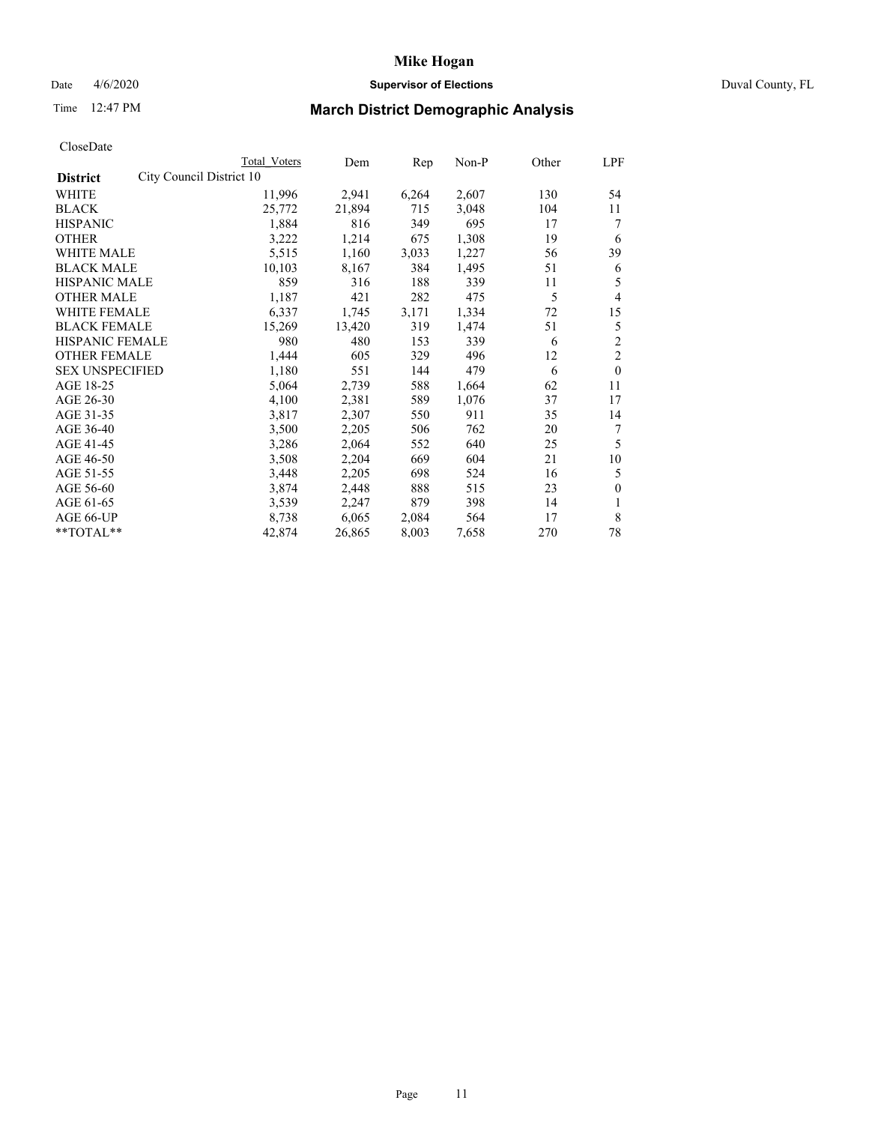## Date 4/6/2020 **Supervisor of Elections** Duval County, FL

# Time 12:47 PM **March District Demographic Analysis**

|                                             | Total Voters | Dem    | Rep   | Non-P | Other | LPF            |
|---------------------------------------------|--------------|--------|-------|-------|-------|----------------|
| City Council District 10<br><b>District</b> |              |        |       |       |       |                |
| WHITE                                       | 11,996       | 2,941  | 6,264 | 2,607 | 130   | 54             |
| <b>BLACK</b>                                | 25,772       | 21,894 | 715   | 3,048 | 104   | 11             |
| <b>HISPANIC</b>                             | 1,884        | 816    | 349   | 695   | 17    | 7              |
| <b>OTHER</b>                                | 3,222        | 1,214  | 675   | 1,308 | 19    | 6              |
| WHITE MALE                                  | 5,515        | 1,160  | 3,033 | 1,227 | 56    | 39             |
| <b>BLACK MALE</b>                           | 10,103       | 8,167  | 384   | 1,495 | 51    | 6              |
| <b>HISPANIC MALE</b>                        | 859          | 316    | 188   | 339   | 11    | 5              |
| <b>OTHER MALE</b>                           | 1,187        | 421    | 282   | 475   | 5     | $\overline{4}$ |
| WHITE FEMALE                                | 6,337        | 1,745  | 3,171 | 1,334 | 72    | 15             |
| <b>BLACK FEMALE</b>                         | 15,269       | 13,420 | 319   | 1,474 | 51    | 5              |
| <b>HISPANIC FEMALE</b>                      | 980          | 480    | 153   | 339   | 6     | $\overline{c}$ |
| <b>OTHER FEMALE</b>                         | 1,444        | 605    | 329   | 496   | 12    | $\overline{c}$ |
| <b>SEX UNSPECIFIED</b>                      | 1,180        | 551    | 144   | 479   | 6     | $\mathbf{0}$   |
| AGE 18-25                                   | 5,064        | 2,739  | 588   | 1,664 | 62    | 11             |
| AGE 26-30                                   | 4,100        | 2,381  | 589   | 1,076 | 37    | 17             |
| AGE 31-35                                   | 3,817        | 2,307  | 550   | 911   | 35    | 14             |
| AGE 36-40                                   | 3,500        | 2,205  | 506   | 762   | 20    | 7              |
| AGE 41-45                                   | 3,286        | 2,064  | 552   | 640   | 25    | 5              |
| AGE 46-50                                   | 3,508        | 2,204  | 669   | 604   | 21    | 10             |
| AGE 51-55                                   | 3,448        | 2,205  | 698   | 524   | 16    | 5              |
| AGE 56-60                                   | 3,874        | 2,448  | 888   | 515   | 23    | $\mathbf{0}$   |
| AGE 61-65                                   | 3,539        | 2,247  | 879   | 398   | 14    | 1              |
| AGE 66-UP                                   | 8,738        | 6,065  | 2,084 | 564   | 17    | 8              |
| **TOTAL**                                   | 42,874       | 26,865 | 8,003 | 7,658 | 270   | 78             |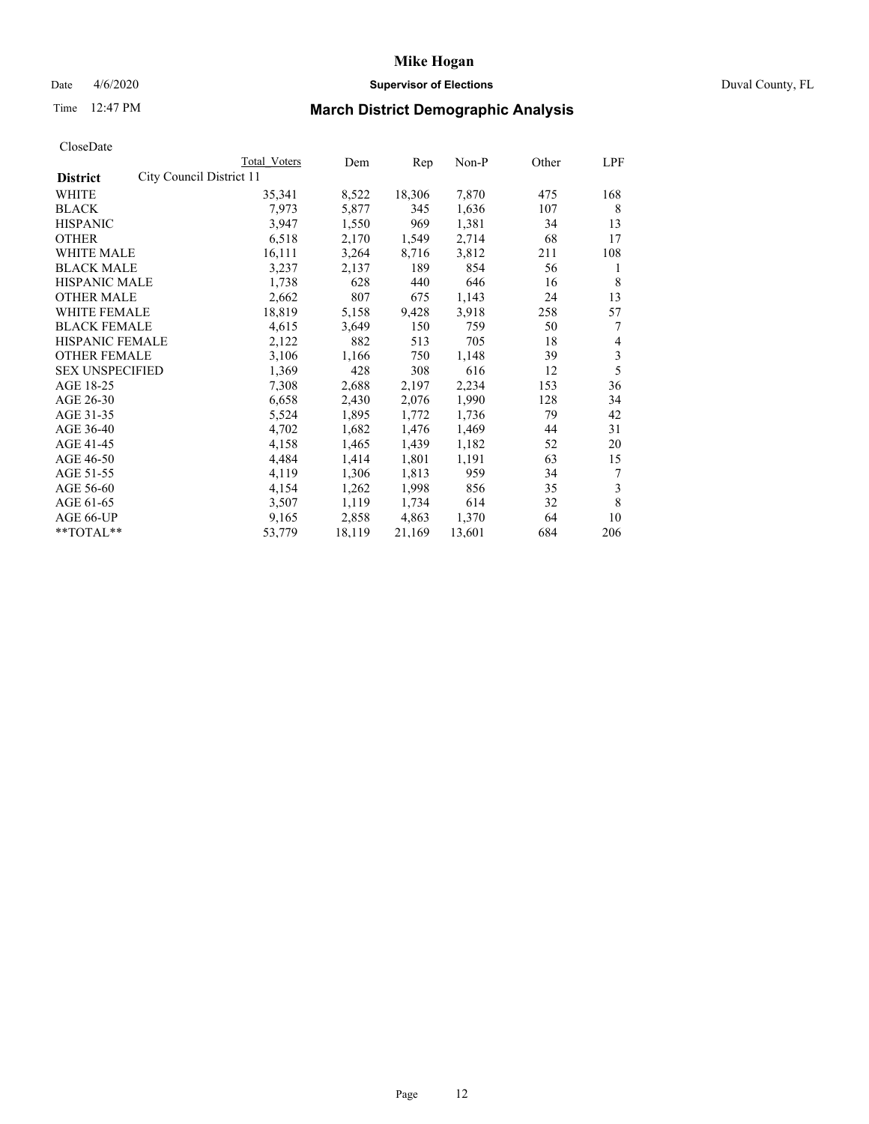## Date 4/6/2020 **Supervisor of Elections** Duval County, FL

# Time 12:47 PM **March District Demographic Analysis**

|                                             | Total Voters | Dem    | Rep    | Non-P  | Other | LPF |
|---------------------------------------------|--------------|--------|--------|--------|-------|-----|
| City Council District 11<br><b>District</b> |              |        |        |        |       |     |
| WHITE                                       | 35,341       | 8,522  | 18,306 | 7,870  | 475   | 168 |
| <b>BLACK</b>                                | 7,973        | 5,877  | 345    | 1,636  | 107   | 8   |
| <b>HISPANIC</b>                             | 3,947        | 1,550  | 969    | 1,381  | 34    | 13  |
| <b>OTHER</b>                                | 6,518        | 2,170  | 1,549  | 2,714  | 68    | 17  |
| WHITE MALE                                  | 16,111       | 3,264  | 8,716  | 3,812  | 211   | 108 |
| <b>BLACK MALE</b>                           | 3,237        | 2,137  | 189    | 854    | 56    | 1   |
| <b>HISPANIC MALE</b>                        | 1,738        | 628    | 440    | 646    | 16    | 8   |
| <b>OTHER MALE</b>                           | 2,662        | 807    | 675    | 1,143  | 24    | 13  |
| <b>WHITE FEMALE</b>                         | 18,819       | 5,158  | 9,428  | 3.918  | 258   | 57  |
| <b>BLACK FEMALE</b>                         | 4,615        | 3,649  | 150    | 759    | 50    | 7   |
| HISPANIC FEMALE                             | 2,122        | 882    | 513    | 705    | 18    | 4   |
| <b>OTHER FEMALE</b>                         | 3,106        | 1,166  | 750    | 1,148  | 39    | 3   |
| <b>SEX UNSPECIFIED</b>                      | 1,369        | 428    | 308    | 616    | 12    | 5   |
| AGE 18-25                                   | 7,308        | 2,688  | 2,197  | 2,234  | 153   | 36  |
| AGE 26-30                                   | 6,658        | 2,430  | 2,076  | 1,990  | 128   | 34  |
| AGE 31-35                                   | 5,524        | 1,895  | 1,772  | 1,736  | 79    | 42  |
| AGE 36-40                                   | 4,702        | 1,682  | 1,476  | 1,469  | 44    | 31  |
| AGE 41-45                                   | 4,158        | 1,465  | 1,439  | 1,182  | 52    | 20  |
| AGE 46-50                                   | 4,484        | 1,414  | 1,801  | 1,191  | 63    | 15  |
| AGE 51-55                                   | 4,119        | 1,306  | 1,813  | 959    | 34    | 7   |
| AGE 56-60                                   | 4,154        | 1,262  | 1,998  | 856    | 35    | 3   |
| AGE 61-65                                   | 3,507        | 1,119  | 1,734  | 614    | 32    | 8   |
| AGE 66-UP                                   | 9,165        | 2,858  | 4,863  | 1,370  | 64    | 10  |
| **TOTAL**                                   | 53,779       | 18,119 | 21,169 | 13,601 | 684   | 206 |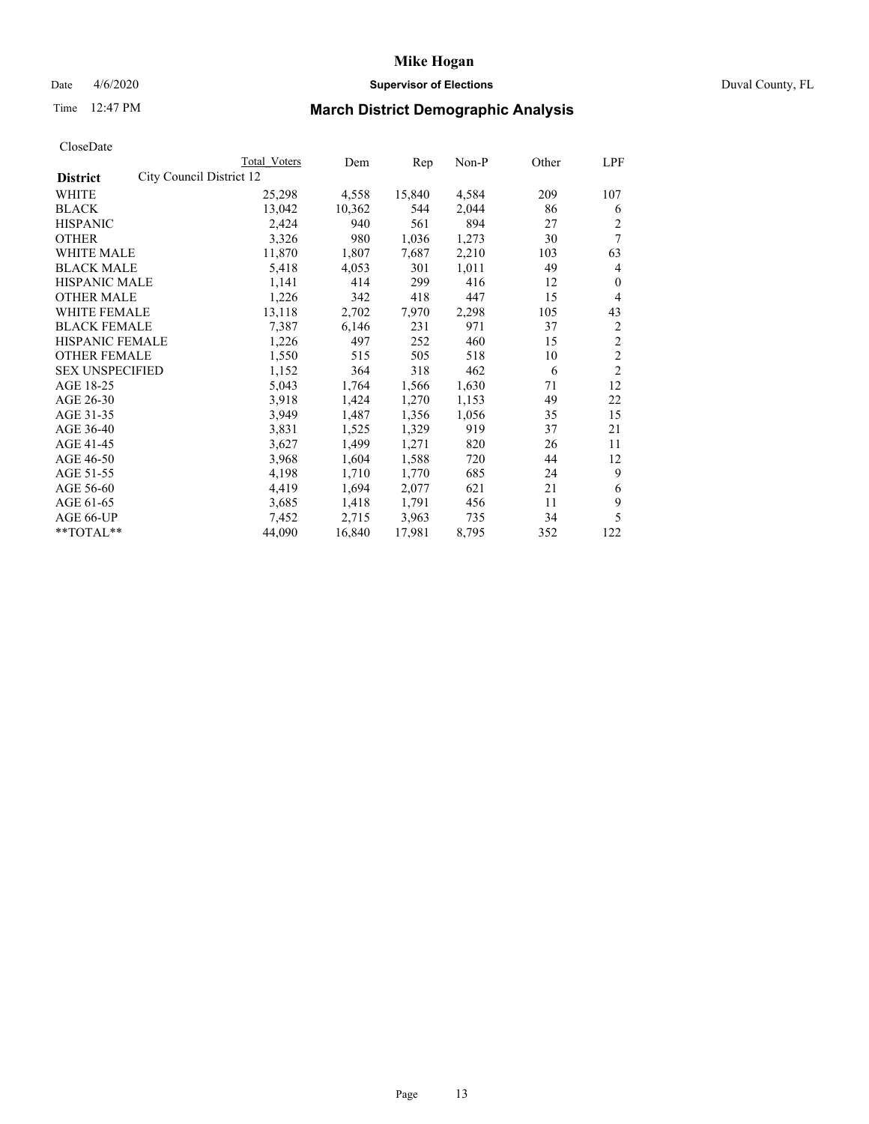## Date 4/6/2020 **Supervisor of Elections** Duval County, FL

# Time 12:47 PM **March District Demographic Analysis**

|                                             | Total Voters | Dem    | Rep    | $Non-P$ | Other | LPF            |
|---------------------------------------------|--------------|--------|--------|---------|-------|----------------|
| City Council District 12<br><b>District</b> |              |        |        |         |       |                |
| WHITE                                       | 25,298       | 4,558  | 15,840 | 4,584   | 209   | 107            |
| <b>BLACK</b>                                | 13,042       | 10,362 | 544    | 2,044   | 86    | 6              |
| <b>HISPANIC</b>                             | 2,424        | 940    | 561    | 894     | 27    | 2              |
| <b>OTHER</b>                                | 3,326        | 980    | 1,036  | 1,273   | 30    | 7              |
| WHITE MALE                                  | 11,870       | 1,807  | 7,687  | 2,210   | 103   | 63             |
| <b>BLACK MALE</b>                           | 5,418        | 4,053  | 301    | 1,011   | 49    | 4              |
| <b>HISPANIC MALE</b>                        | 1,141        | 414    | 299    | 416     | 12    | $\theta$       |
| <b>OTHER MALE</b>                           | 1,226        | 342    | 418    | 447     | 15    | 4              |
| <b>WHITE FEMALE</b>                         | 13,118       | 2,702  | 7,970  | 2,298   | 105   | 43             |
| <b>BLACK FEMALE</b>                         | 7,387        | 6,146  | 231    | 971     | 37    | $\overline{c}$ |
| HISPANIC FEMALE                             | 1,226        | 497    | 252    | 460     | 15    | $\overline{2}$ |
| <b>OTHER FEMALE</b>                         | 1,550        | 515    | 505    | 518     | 10    | $\overline{2}$ |
| <b>SEX UNSPECIFIED</b>                      | 1,152        | 364    | 318    | 462     | 6     | $\overline{2}$ |
| AGE 18-25                                   | 5,043        | 1,764  | 1,566  | 1,630   | 71    | 12             |
| AGE 26-30                                   | 3.918        | 1,424  | 1,270  | 1,153   | 49    | 22             |
| AGE 31-35                                   | 3,949        | 1,487  | 1,356  | 1,056   | 35    | 15             |
| AGE 36-40                                   | 3,831        | 1,525  | 1,329  | 919     | 37    | 21             |
| AGE 41-45                                   | 3,627        | 1,499  | 1,271  | 820     | 26    | 11             |
| AGE 46-50                                   | 3,968        | 1,604  | 1,588  | 720     | 44    | 12             |
| AGE 51-55                                   | 4,198        | 1,710  | 1,770  | 685     | 24    | 9              |
| AGE 56-60                                   | 4,419        | 1,694  | 2,077  | 621     | 21    | 6              |
| AGE 61-65                                   | 3,685        | 1,418  | 1,791  | 456     | 11    | 9              |
| AGE 66-UP                                   | 7,452        | 2,715  | 3,963  | 735     | 34    | 5              |
| **TOTAL**                                   | 44,090       | 16,840 | 17,981 | 8,795   | 352   | 122            |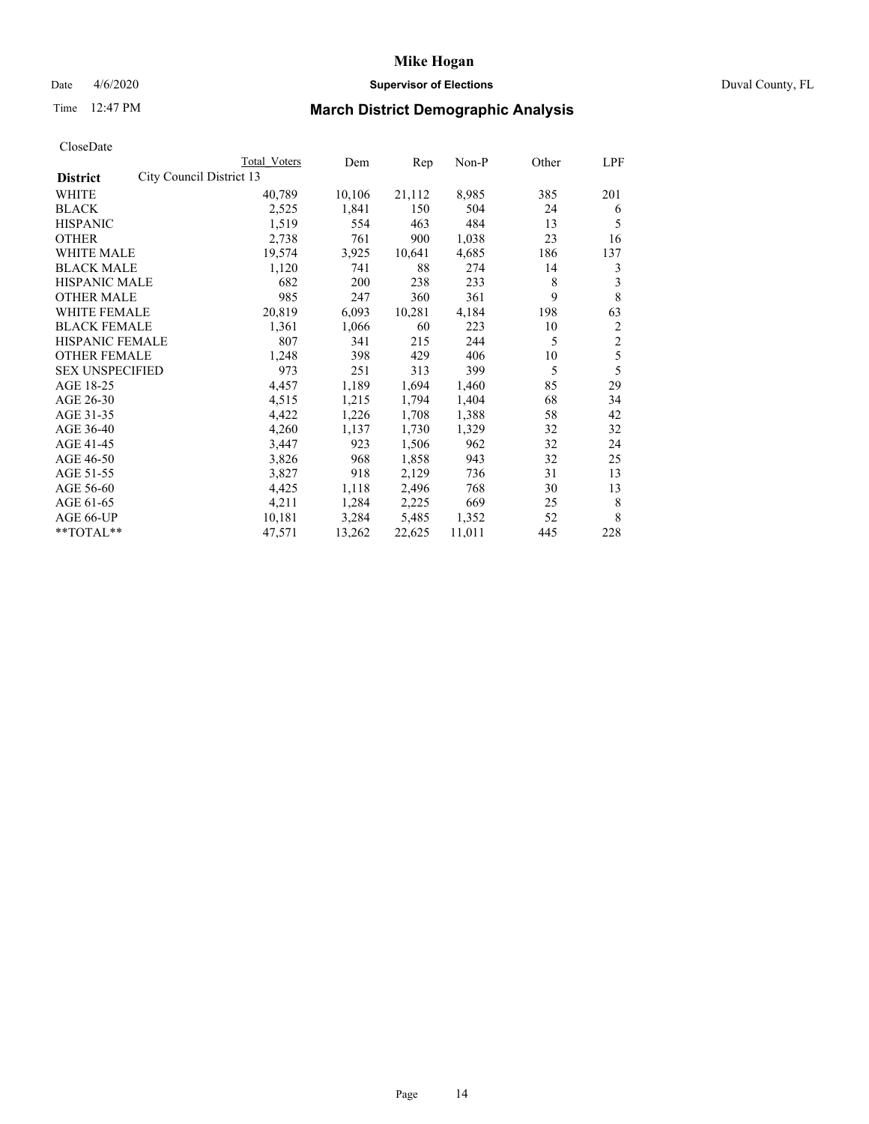## Date 4/6/2020 **Supervisor of Elections** Duval County, FL

# Time 12:47 PM **March District Demographic Analysis**

| Total Voters | Dem                      | Rep    | $Non-P$ | Other | LPF            |
|--------------|--------------------------|--------|---------|-------|----------------|
|              |                          |        |         |       |                |
| 40,789       | 10,106                   | 21,112 | 8,985   | 385   | 201            |
| 2,525        | 1,841                    | 150    | 504     | 24    | 6              |
| 1,519        | 554                      | 463    | 484     | 13    | 5              |
| 2,738        | 761                      | 900    | 1,038   | 23    | 16             |
| 19,574       | 3,925                    | 10,641 | 4,685   | 186   | 137            |
| 1,120        | 741                      | 88     | 274     | 14    | 3              |
| 682          | 200                      | 238    | 233     | 8     | 3              |
| 985          | 247                      | 360    | 361     | 9     | 8              |
| 20,819       | 6,093                    | 10,281 | 4,184   | 198   | 63             |
| 1,361        | 1,066                    | 60     | 223     | 10    | $\overline{c}$ |
| 807          | 341                      | 215    | 244     | 5     | $\overline{2}$ |
| 1,248        | 398                      | 429    | 406     | 10    | 5              |
| 973          | 251                      | 313    | 399     | 5     | 5              |
| 4,457        | 1,189                    | 1,694  | 1,460   | 85    | 29             |
| 4,515        | 1,215                    | 1,794  | 1,404   | 68    | 34             |
| 4,422        | 1,226                    | 1,708  | 1,388   | 58    | 42             |
| 4,260        | 1,137                    | 1,730  | 1,329   | 32    | 32             |
| 3,447        | 923                      | 1,506  | 962     | 32    | 24             |
| 3,826        | 968                      | 1,858  | 943     | 32    | 25             |
| 3,827        | 918                      | 2,129  | 736     | 31    | 13             |
| 4,425        | 1,118                    | 2,496  | 768     | 30    | 13             |
| 4,211        | 1,284                    | 2,225  | 669     | 25    | 8              |
| 10,181       | 3,284                    | 5,485  | 1,352   | 52    | 8              |
| 47,571       | 13,262                   | 22,625 | 11,011  | 445   | 228            |
|              | City Council District 13 |        |         |       |                |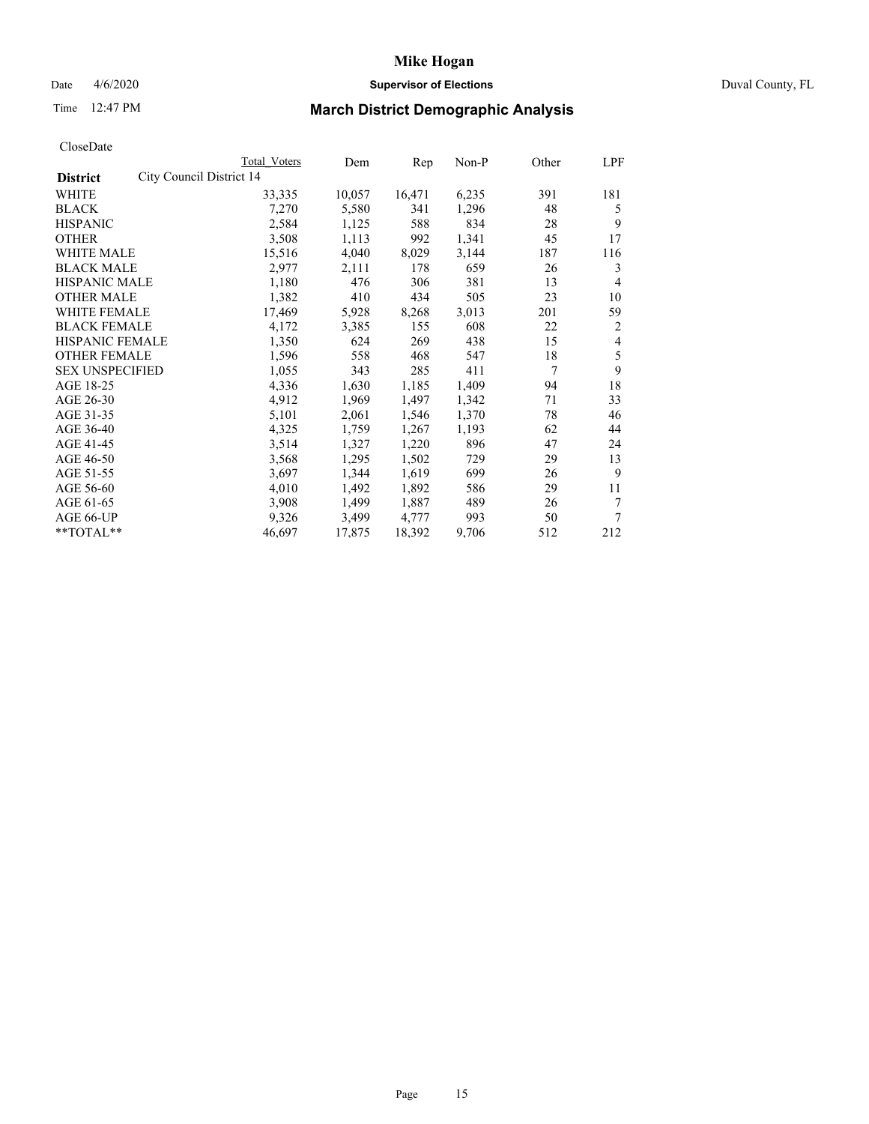## Date 4/6/2020 **Supervisor of Elections** Duval County, FL

# Time 12:47 PM **March District Demographic Analysis**

|                                             | <b>Total Voters</b> | Dem    | Rep    | Non-P | Other | LPF |
|---------------------------------------------|---------------------|--------|--------|-------|-------|-----|
| City Council District 14<br><b>District</b> |                     |        |        |       |       |     |
| WHITE                                       | 33,335              | 10,057 | 16,471 | 6,235 | 391   | 181 |
| <b>BLACK</b>                                | 7,270               | 5,580  | 341    | 1,296 | 48    | 5   |
| <b>HISPANIC</b>                             | 2,584               | 1,125  | 588    | 834   | 28    | 9   |
| <b>OTHER</b>                                | 3,508               | 1,113  | 992    | 1,341 | 45    | 17  |
| WHITE MALE                                  | 15,516              | 4,040  | 8,029  | 3,144 | 187   | 116 |
| <b>BLACK MALE</b>                           | 2,977               | 2,111  | 178    | 659   | 26    | 3   |
| HISPANIC MALE                               | 1,180               | 476    | 306    | 381   | 13    | 4   |
| <b>OTHER MALE</b>                           | 1,382               | 410    | 434    | 505   | 23    | 10  |
| <b>WHITE FEMALE</b>                         | 17,469              | 5,928  | 8,268  | 3,013 | 201   | 59  |
| <b>BLACK FEMALE</b>                         | 4,172               | 3,385  | 155    | 608   | 22    | 2   |
| HISPANIC FEMALE                             | 1,350               | 624    | 269    | 438   | 15    | 4   |
| <b>OTHER FEMALE</b>                         | 1,596               | 558    | 468    | 547   | 18    | 5   |
| <b>SEX UNSPECIFIED</b>                      | 1,055               | 343    | 285    | 411   | 7     | 9   |
| AGE 18-25                                   | 4,336               | 1,630  | 1,185  | 1,409 | 94    | 18  |
| AGE 26-30                                   | 4,912               | 1,969  | 1,497  | 1,342 | 71    | 33  |
| AGE 31-35                                   | 5,101               | 2,061  | 1,546  | 1,370 | 78    | 46  |
| AGE 36-40                                   | 4,325               | 1,759  | 1,267  | 1,193 | 62    | 44  |
| AGE 41-45                                   | 3,514               | 1,327  | 1,220  | 896   | 47    | 24  |
| AGE 46-50                                   | 3,568               | 1,295  | 1,502  | 729   | 29    | 13  |
| AGE 51-55                                   | 3,697               | 1,344  | 1,619  | 699   | 26    | 9   |
| AGE 56-60                                   | 4,010               | 1,492  | 1,892  | 586   | 29    | 11  |
| AGE 61-65                                   | 3,908               | 1,499  | 1,887  | 489   | 26    | 7   |
| AGE 66-UP                                   | 9,326               | 3,499  | 4,777  | 993   | 50    | 7   |
| **TOTAL**                                   | 46,697              | 17,875 | 18,392 | 9,706 | 512   | 212 |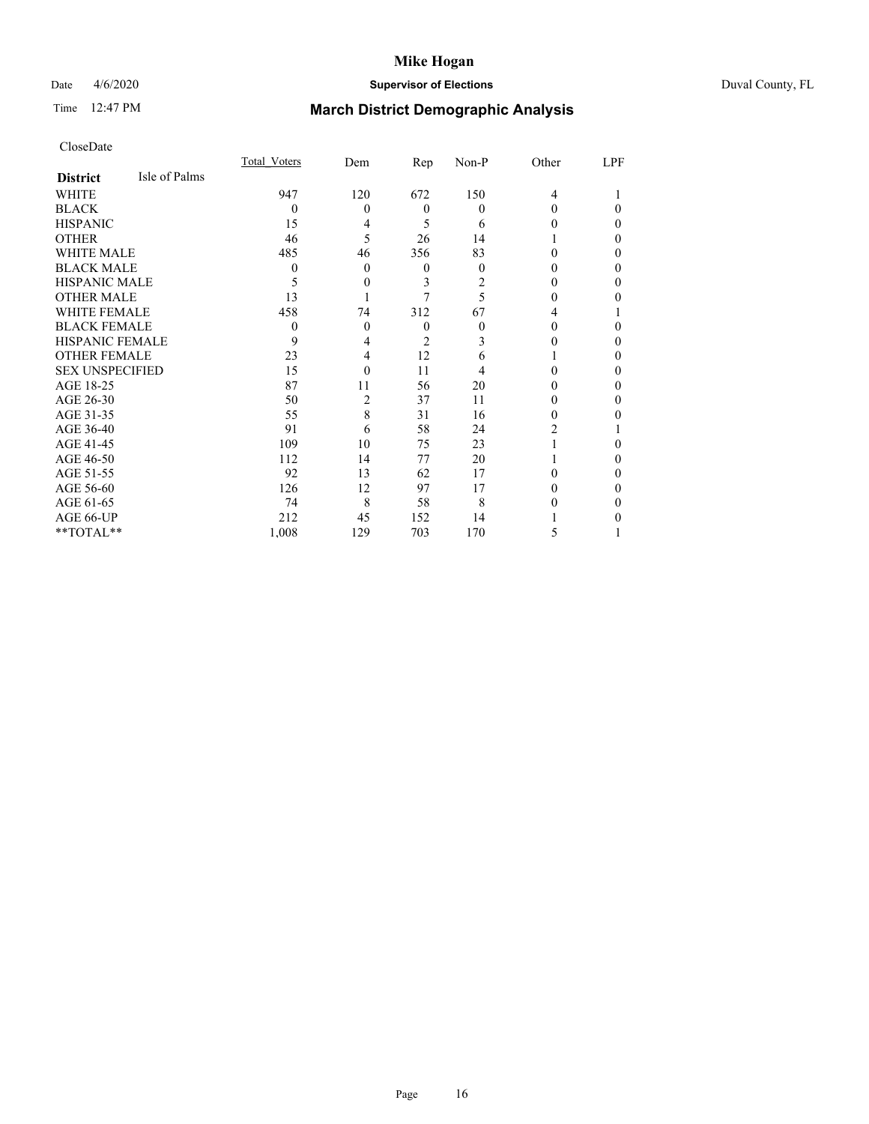## Date 4/6/2020 **Supervisor of Elections** Duval County, FL

# Time 12:47 PM **March District Demographic Analysis**

|                        |               | <b>Total Voters</b> | Dem      | Rep            | Non-P | Other          | LPF |
|------------------------|---------------|---------------------|----------|----------------|-------|----------------|-----|
| <b>District</b>        | Isle of Palms |                     |          |                |       |                |     |
| WHITE                  |               | 947                 | 120      | 672            | 150   | $\overline{4}$ |     |
| <b>BLACK</b>           |               | $\theta$            | $\theta$ | $\overline{0}$ | 0     | 0              | 0   |
| <b>HISPANIC</b>        |               | 15                  | 4        | 5              | 6     | 0              | 0   |
| <b>OTHER</b>           |               | 46                  | 5        | 26             | 14    |                | 0   |
| WHITE MALE             |               | 485                 | 46       | 356            | 83    | 0              | 0   |
| <b>BLACK MALE</b>      |               | 0                   | $\theta$ | 0              | 0     | 0              | 0   |
| <b>HISPANIC MALE</b>   |               | 5                   | $\theta$ | 3              | 2     | 0              | 0   |
| <b>OTHER MALE</b>      |               | 13                  |          |                | 5     | 0              | 0   |
| WHITE FEMALE           |               | 458                 | 74       | 312            | 67    | 4              |     |
| <b>BLACK FEMALE</b>    |               | $\theta$            | $\theta$ | $\theta$       | 0     | 0              | 0   |
| <b>HISPANIC FEMALE</b> |               | 9                   | 4        | 2              | 3     |                | 0   |
| <b>OTHER FEMALE</b>    |               | 23                  | 4        | 12             | 6     |                | 0   |
| <b>SEX UNSPECIFIED</b> |               | 15                  | $\Omega$ | 11             | 4     | 0              | 0   |
| AGE 18-25              |               | 87                  | 11       | 56             | 20    | 0              | 0   |
| AGE 26-30              |               | 50                  | 2        | 37             | 11    | 0              | 0   |
| AGE 31-35              |               | 55                  | 8        | 31             | 16    | 0              | 0   |
| AGE 36-40              |               | 91                  | 6        | 58             | 24    | 2              |     |
| AGE 41-45              |               | 109                 | 10       | 75             | 23    |                | 0   |
| AGE 46-50              |               | 112                 | 14       | 77             | 20    |                | 0   |
| AGE 51-55              |               | 92                  | 13       | 62             | 17    | 0              | 0   |
| AGE 56-60              |               | 126                 | 12       | 97             | 17    |                | 0   |
| AGE 61-65              |               | 74                  | 8        | 58             | 8     |                | 0   |
| AGE 66-UP              |               | 212                 | 45       | 152            | 14    |                |     |
| **TOTAL**              |               | 1,008               | 129      | 703            | 170   | 5              |     |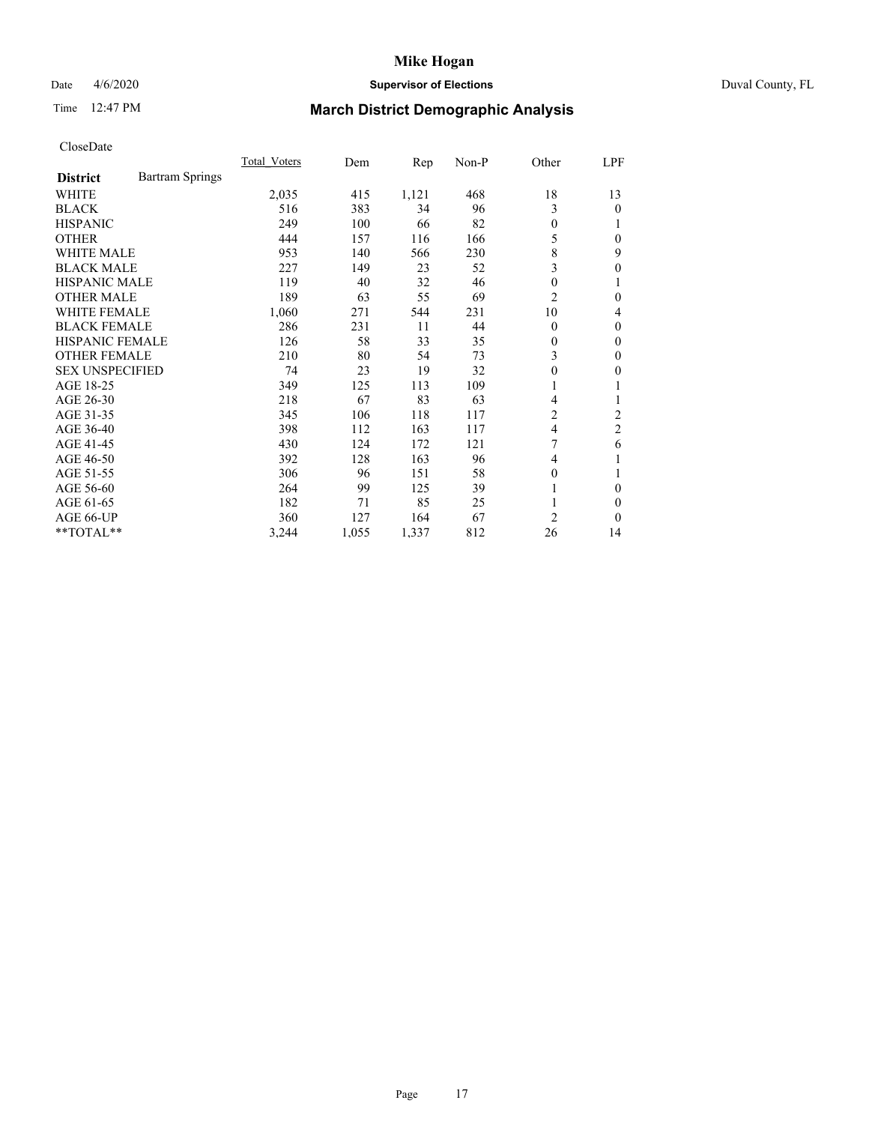## Date 4/6/2020 **Supervisor of Elections** Duval County, FL

# Time 12:47 PM **March District Demographic Analysis**

|                                           | <b>Total Voters</b> | Dem   | Rep   | $Non-P$ | Other            | LPF            |
|-------------------------------------------|---------------------|-------|-------|---------|------------------|----------------|
| <b>Bartram Springs</b><br><b>District</b> |                     |       |       |         |                  |                |
| WHITE                                     | 2,035               | 415   | 1,121 | 468     | 18               | 13             |
| <b>BLACK</b>                              | 516                 | 383   | 34    | 96      | 3                | 0              |
| <b>HISPANIC</b>                           | 249                 | 100   | 66    | 82      | $\theta$         |                |
| <b>OTHER</b>                              | 444                 | 157   | 116   | 166     | 5                | 0              |
| <b>WHITE MALE</b>                         | 953                 | 140   | 566   | 230     | 8                | 9              |
| <b>BLACK MALE</b>                         | 227                 | 149   | 23    | 52      | 3                | 0              |
| <b>HISPANIC MALE</b>                      | 119                 | 40    | 32    | 46      | $\theta$         |                |
| <b>OTHER MALE</b>                         | 189                 | 63    | 55    | 69      | $\overline{c}$   | 0              |
| WHITE FEMALE                              | 1,060               | 271   | 544   | 231     | 10               | 4              |
| <b>BLACK FEMALE</b>                       | 286                 | 231   | 11    | 44      | $\theta$         | 0              |
| <b>HISPANIC FEMALE</b>                    | 126                 | 58    | 33    | 35      | $\overline{0}$   | 0              |
| <b>OTHER FEMALE</b>                       | 210                 | 80    | 54    | 73      | 3                | 0              |
| <b>SEX UNSPECIFIED</b>                    | 74                  | 23    | 19    | 32      | $\boldsymbol{0}$ | 0              |
| AGE 18-25                                 | 349                 | 125   | 113   | 109     | 1                |                |
| AGE 26-30                                 | 218                 | 67    | 83    | 63      | 4                | 1              |
| AGE 31-35                                 | 345                 | 106   | 118   | 117     | $\overline{c}$   | $\overline{c}$ |
| AGE 36-40                                 | 398                 | 112   | 163   | 117     | 4                | $\overline{c}$ |
| AGE 41-45                                 | 430                 | 124   | 172   | 121     | 7                | 6              |
| AGE 46-50                                 | 392                 | 128   | 163   | 96      | 4                |                |
| AGE 51-55                                 | 306                 | 96    | 151   | 58      | $\theta$         |                |
| AGE 56-60                                 | 264                 | 99    | 125   | 39      |                  | 0              |
| AGE 61-65                                 | 182                 | 71    | 85    | 25      |                  | 0              |
| AGE 66-UP                                 | 360                 | 127   | 164   | 67      | $\overline{c}$   | 0              |
| **TOTAL**                                 | 3,244               | 1,055 | 1,337 | 812     | 26               | 14             |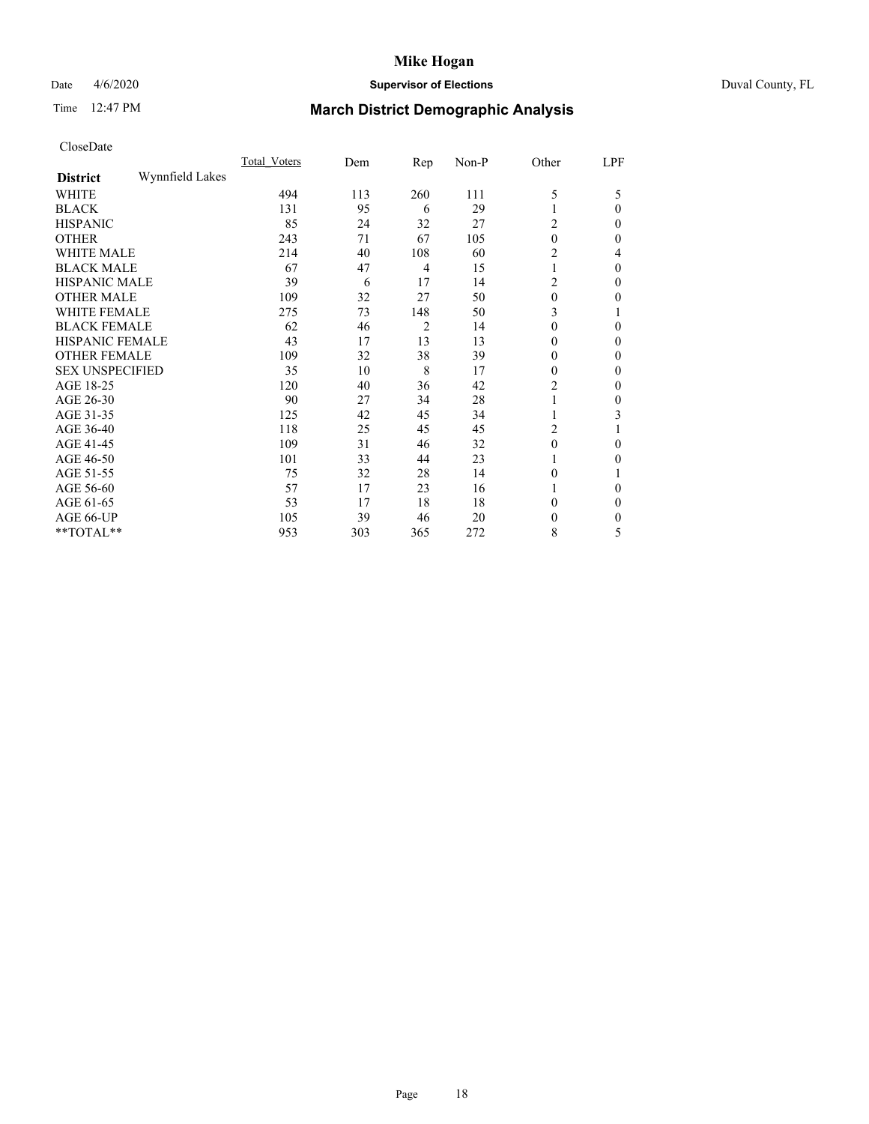## Date 4/6/2020 **Supervisor of Elections** Duval County, FL

# Time 12:47 PM **March District Demographic Analysis**

|                        |                 | <b>Total Voters</b> | Dem | Rep            | Non-P | Other            | LPF          |
|------------------------|-----------------|---------------------|-----|----------------|-------|------------------|--------------|
| <b>District</b>        | Wynnfield Lakes |                     |     |                |       |                  |              |
| WHITE                  |                 | 494                 | 113 | 260            | 111   | 5                | 5            |
| <b>BLACK</b>           |                 | 131                 | 95  | 6              | 29    |                  | $\Omega$     |
| <b>HISPANIC</b>        |                 | 85                  | 24  | 32             | 27    | 2                | $\Omega$     |
| <b>OTHER</b>           |                 | 243                 | 71  | 67             | 105   | $\theta$         | 0            |
| WHITE MALE             |                 | 214                 | 40  | 108            | 60    | 2                | 4            |
| <b>BLACK MALE</b>      |                 | 67                  | 47  | $\overline{4}$ | 15    |                  | $\theta$     |
| <b>HISPANIC MALE</b>   |                 | 39                  | 6   | 17             | 14    | 2                | $\Omega$     |
| <b>OTHER MALE</b>      |                 | 109                 | 32  | 27             | 50    | 0                | 0            |
| WHITE FEMALE           |                 | 275                 | 73  | 148            | 50    | 3                |              |
| <b>BLACK FEMALE</b>    |                 | 62                  | 46  | $\overline{2}$ | 14    | $\theta$         | $\Omega$     |
| HISPANIC FEMALE        |                 | 43                  | 17  | 13             | 13    | 0                | $\Omega$     |
| <b>OTHER FEMALE</b>    |                 | 109                 | 32  | 38             | 39    | $\theta$         | $\Omega$     |
| <b>SEX UNSPECIFIED</b> |                 | 35                  | 10  | 8              | 17    | $\theta$         | $\Omega$     |
| AGE 18-25              |                 | 120                 | 40  | 36             | 42    | 2                | $\theta$     |
| AGE 26-30              |                 | 90                  | 27  | 34             | 28    |                  | $\mathbf{0}$ |
| AGE 31-35              |                 | 125                 | 42  | 45             | 34    |                  | 3            |
| AGE 36-40              |                 | 118                 | 25  | 45             | 45    | 2                |              |
| AGE 41-45              |                 | 109                 | 31  | 46             | 32    | $\boldsymbol{0}$ | $\Omega$     |
| AGE 46-50              |                 | 101                 | 33  | 44             | 23    |                  | $\Omega$     |
| AGE 51-55              |                 | 75                  | 32  | 28             | 14    | $\theta$         |              |
| AGE 56-60              |                 | 57                  | 17  | 23             | 16    |                  | 0            |
| AGE 61-65              |                 | 53                  | 17  | 18             | 18    | 0                | $\theta$     |
| AGE 66-UP              |                 | 105                 | 39  | 46             | 20    | 0                | $\Omega$     |
| **TOTAL**              |                 | 953                 | 303 | 365            | 272   | 8                | 5            |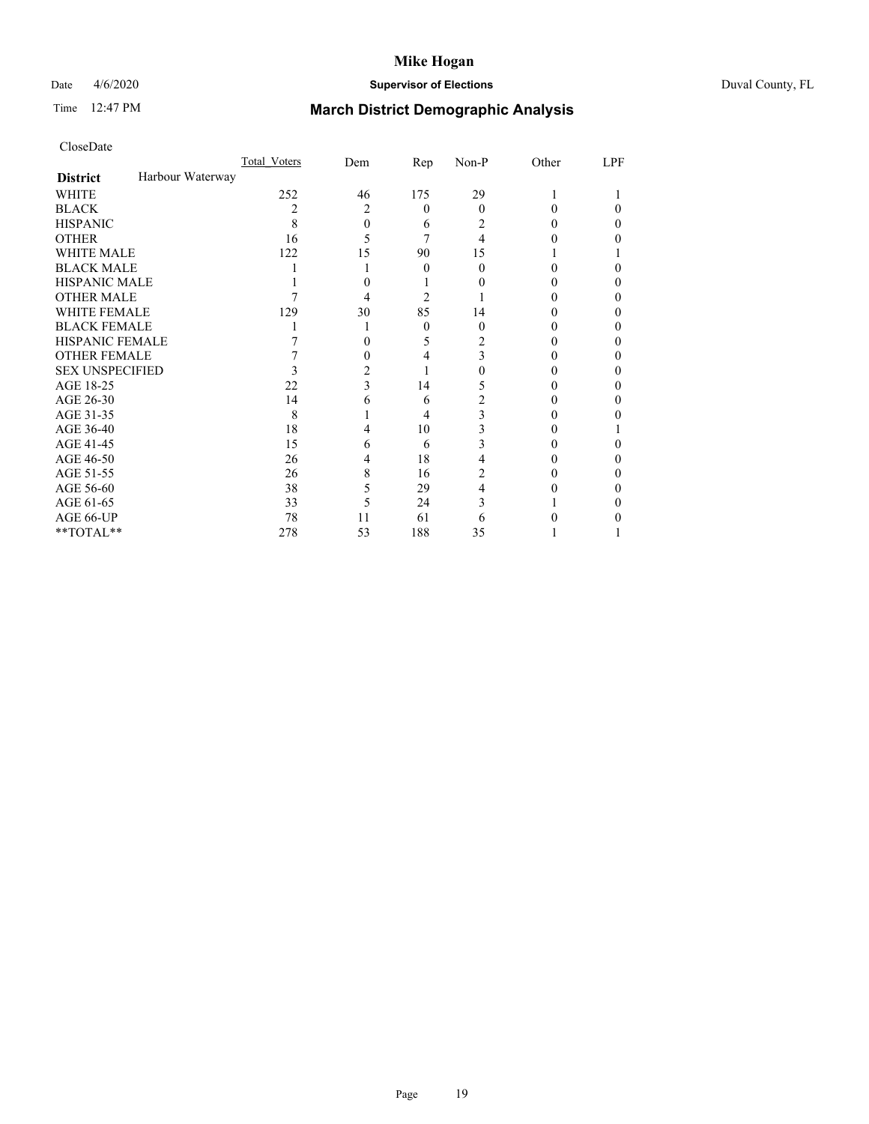## Date 4/6/2020 **Supervisor of Elections** Duval County, FL

# Time 12:47 PM **March District Demographic Analysis**

|                        |                  | Total Voters | Dem | Rep      | Non-P    | Other | LPF |
|------------------------|------------------|--------------|-----|----------|----------|-------|-----|
| <b>District</b>        | Harbour Waterway |              |     |          |          |       |     |
| <b>WHITE</b>           |                  | 252          | 46  | 175      | 29       |       |     |
| <b>BLACK</b>           |                  | 2            | 2   | $\theta$ | $\Omega$ | 0     | 0   |
| <b>HISPANIC</b>        |                  | 8            | 0   | 6        | 2        | 0     | 0   |
| <b>OTHER</b>           |                  | 16           | 5   |          | 4        |       |     |
| WHITE MALE             |                  | 122          | 15  | 90       | 15       |       |     |
| <b>BLACK MALE</b>      |                  |              |     | 0        | 0        | 0     |     |
| <b>HISPANIC MALE</b>   |                  |              |     |          |          |       |     |
| <b>OTHER MALE</b>      |                  |              | 4   | 2        |          |       | 0   |
| WHITE FEMALE           |                  | 129          | 30  | 85       | 14       |       |     |
| <b>BLACK FEMALE</b>    |                  |              |     | $\theta$ | $\Omega$ | 0     | 0   |
| HISPANIC FEMALE        |                  |              |     | 5        | 2        |       |     |
| <b>OTHER FEMALE</b>    |                  |              | 0   | 4        | 3        |       | 0   |
| <b>SEX UNSPECIFIED</b> |                  |              | 2   |          |          |       |     |
| AGE 18-25              |                  | 22           | 3   | 14       | 5        |       |     |
| AGE 26-30              |                  | 14           | 6   | 6        | 2        |       | 0   |
| AGE 31-35              |                  | 8            |     | 4        | 3        |       |     |
| AGE 36-40              |                  | 18           | 4   | 10       | 3        |       |     |
| AGE 41-45              |                  | 15           | 6   | 6        | 3        |       | 0   |
| AGE 46-50              |                  | 26           | 4   | 18       | 4        |       | 0   |
| AGE 51-55              |                  | 26           | 8   | 16       | 2        |       |     |
| AGE 56-60              |                  | 38           | 5   | 29       | 4        |       |     |
| AGE 61-65              |                  | 33           | 5   | 24       | 3        |       |     |
| AGE 66-UP              |                  | 78           | 11  | 61       | 6        |       |     |
| $**TOTAL**$            |                  | 278          | 53  | 188      | 35       |       |     |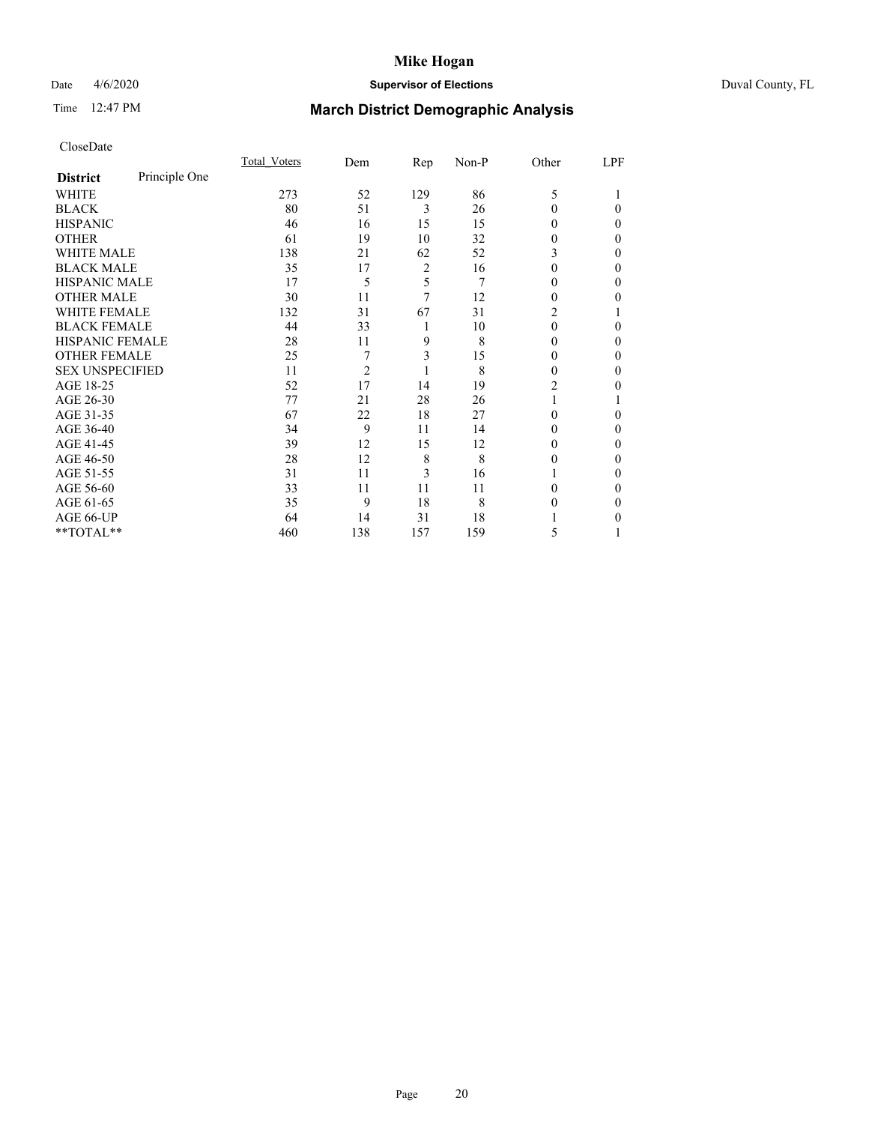## Date 4/6/2020 **Supervisor of Elections** Duval County, FL

# Time 12:47 PM **March District Demographic Analysis**

|                        |               | Total Voters | Dem            | Rep | Non-P | Other    | LPF |
|------------------------|---------------|--------------|----------------|-----|-------|----------|-----|
| <b>District</b>        | Principle One |              |                |     |       |          |     |
| WHITE                  |               | 273          | 52             | 129 | 86    | 5        |     |
| <b>BLACK</b>           |               | 80           | 51             | 3   | 26    | $\Omega$ | 0   |
| <b>HISPANIC</b>        |               | 46           | 16             | 15  | 15    | $\Omega$ | 0   |
| <b>OTHER</b>           |               | 61           | 19             | 10  | 32    | 0        | 0   |
| WHITE MALE             |               | 138          | 21             | 62  | 52    | 3        | 0   |
| <b>BLACK MALE</b>      |               | 35           | 17             | 2   | 16    | $\Omega$ | 0   |
| <b>HISPANIC MALE</b>   |               | 17           | 5              | 5   | 7     | 0        | 0   |
| <b>OTHER MALE</b>      |               | 30           | 11             | 7   | 12    | 0        | 0   |
| WHITE FEMALE           |               | 132          | 31             | 67  | 31    | 2        |     |
| <b>BLACK FEMALE</b>    |               | 44           | 33             | 1   | 10    | $\theta$ | 0   |
| <b>HISPANIC FEMALE</b> |               | 28           | 11             | 9   | 8     | 0        | 0   |
| <b>OTHER FEMALE</b>    |               | 25           | 7              | 3   | 15    | 0        | 0   |
| <b>SEX UNSPECIFIED</b> |               | 11           | $\overline{c}$ | 1   | 8     | 0        | 0   |
| AGE 18-25              |               | 52           | 17             | 14  | 19    | 2        | 0   |
| AGE 26-30              |               | 77           | 21             | 28  | 26    |          |     |
| AGE 31-35              |               | 67           | 22             | 18  | 27    | 0        | 0   |
| AGE 36-40              |               | 34           | 9              | 11  | 14    | 0        | 0   |
| AGE 41-45              |               | 39           | 12             | 15  | 12    | $_{0}$   | 0   |
| AGE 46-50              |               | 28           | 12             | 8   | 8     | 0        | 0   |
| AGE 51-55              |               | 31           | 11             | 3   | 16    |          | 0   |
| AGE 56-60              |               | 33           | 11             | 11  | 11    | 0        | 0   |
| AGE 61-65              |               | 35           | 9              | 18  | 8     | 0        | 0   |
| AGE 66-UP              |               | 64           | 14             | 31  | 18    |          | 0   |
| **TOTAL**              |               | 460          | 138            | 157 | 159   | 5        |     |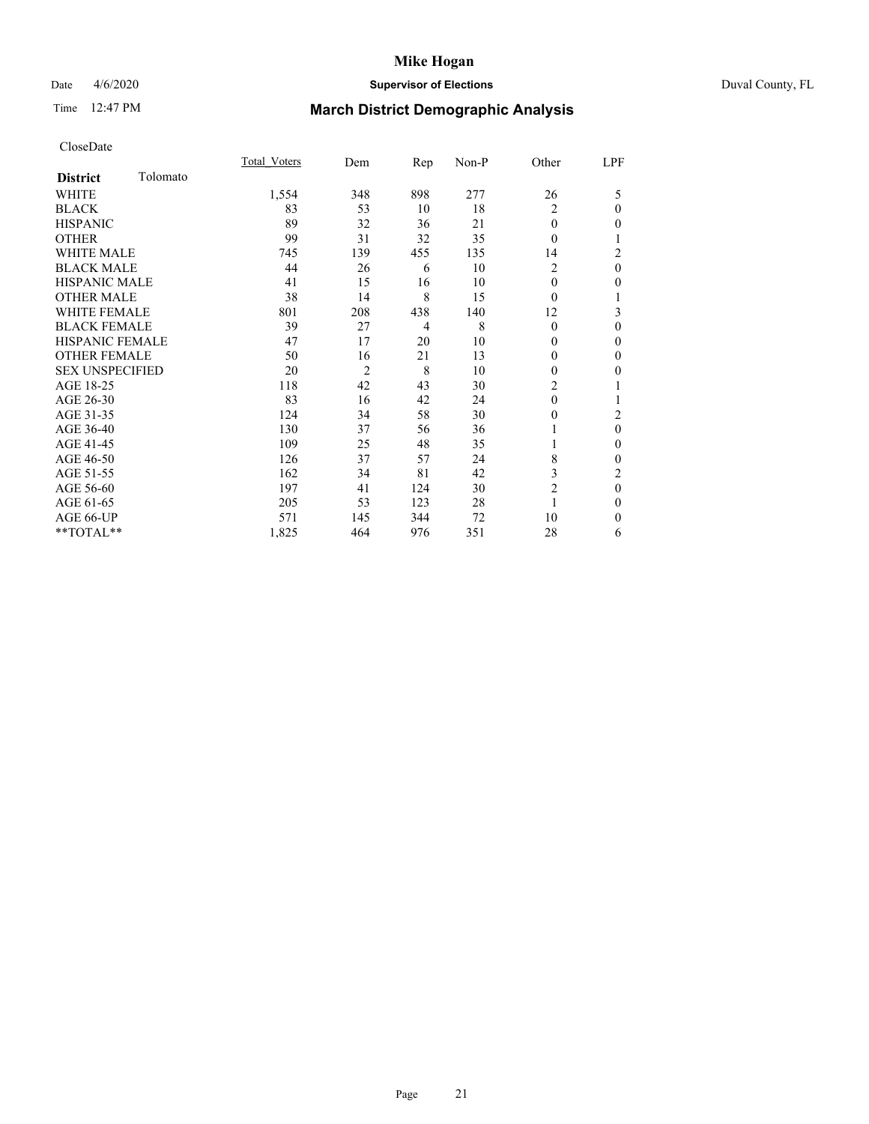## Date 4/6/2020 **Supervisor of Elections** Duval County, FL

# Time 12:47 PM **March District Demographic Analysis**

|                        |          | Total Voters | Dem            | Rep | Non-P | Other          | LPF            |
|------------------------|----------|--------------|----------------|-----|-------|----------------|----------------|
| <b>District</b>        | Tolomato |              |                |     |       |                |                |
| WHITE                  |          | 1,554        | 348            | 898 | 277   | 26             | 5              |
| <b>BLACK</b>           |          | 83           | 53             | 10  | 18    | 2              | 0              |
| <b>HISPANIC</b>        |          | 89           | 32             | 36  | 21    | $\theta$       | 0              |
| <b>OTHER</b>           |          | 99           | 31             | 32  | 35    | $\Omega$       |                |
| WHITE MALE             |          | 745          | 139            | 455 | 135   | 14             | $\overline{c}$ |
| <b>BLACK MALE</b>      |          | 44           | 26             | 6   | 10    | $\overline{c}$ | $\theta$       |
| <b>HISPANIC MALE</b>   |          | 41           | 15             | 16  | 10    | $\Omega$       | 0              |
| <b>OTHER MALE</b>      |          | 38           | 14             | 8   | 15    | $\Omega$       | 1              |
| WHITE FEMALE           |          | 801          | 208            | 438 | 140   | 12             | 3              |
| <b>BLACK FEMALE</b>    |          | 39           | 27             | 4   | 8     | $\theta$       | 0              |
| <b>HISPANIC FEMALE</b> |          | 47           | 17             | 20  | 10    | 0              | 0              |
| <b>OTHER FEMALE</b>    |          | 50           | 16             | 21  | 13    | $\Omega$       | 0              |
| <b>SEX UNSPECIFIED</b> |          | 20           | $\overline{c}$ | 8   | 10    | $\theta$       | 0              |
| AGE 18-25              |          | 118          | 42             | 43  | 30    | 2              |                |
| AGE 26-30              |          | 83           | 16             | 42  | 24    | $\theta$       |                |
| AGE 31-35              |          | 124          | 34             | 58  | 30    | 0              | $\overline{c}$ |
| AGE 36-40              |          | 130          | 37             | 56  | 36    |                | $\theta$       |
| AGE 41-45              |          | 109          | 25             | 48  | 35    |                | 0              |
| AGE 46-50              |          | 126          | 37             | 57  | 24    | 8              | 0              |
| AGE 51-55              |          | 162          | 34             | 81  | 42    | 3              | 2              |
| AGE 56-60              |          | 197          | 41             | 124 | 30    | $\overline{c}$ | $\theta$       |
| AGE 61-65              |          | 205          | 53             | 123 | 28    | 1              | 0              |
| AGE 66-UP              |          | 571          | 145            | 344 | 72    | 10             | $\Omega$       |
| **TOTAL**              |          | 1,825        | 464            | 976 | 351   | 28             | 6              |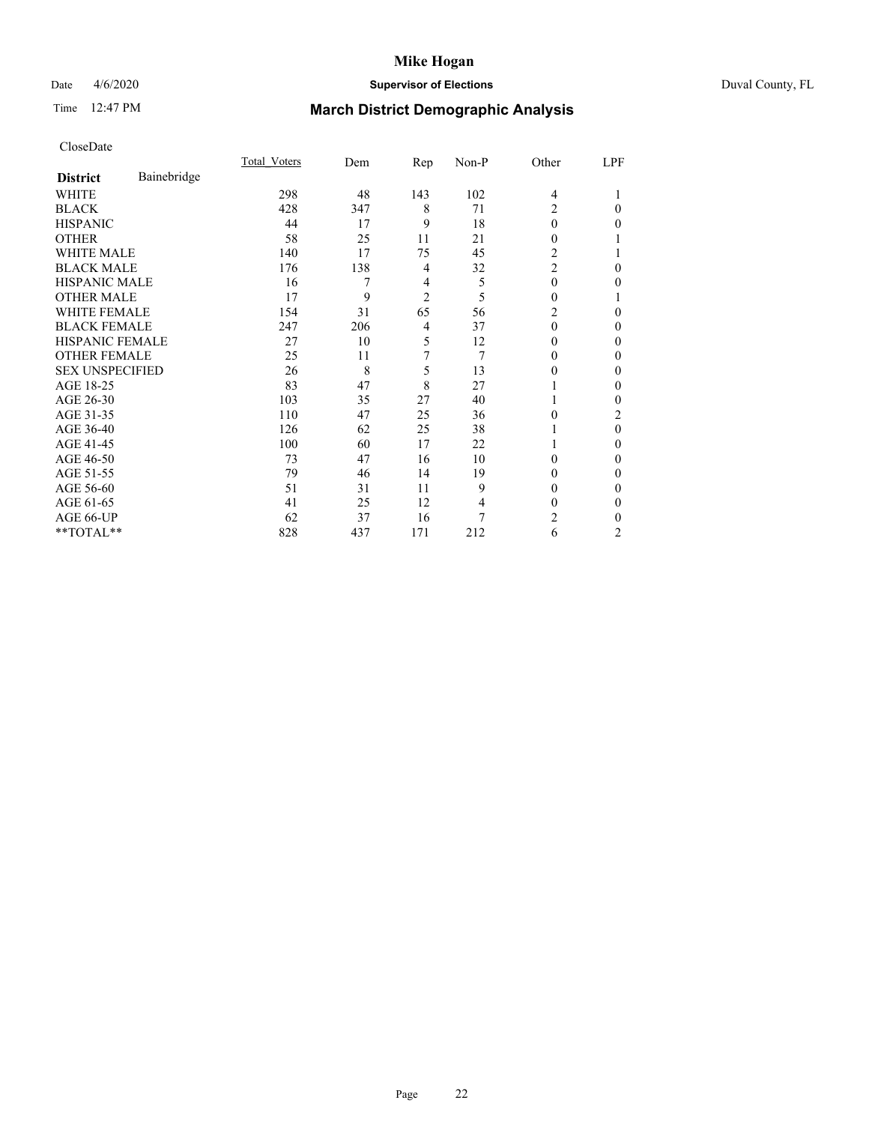## Date 4/6/2020 **Supervisor of Elections** Duval County, FL

# Time 12:47 PM **March District Demographic Analysis**

|                        |             | <b>Total Voters</b> | Dem | Rep            | Non-P | Other          | LPF            |
|------------------------|-------------|---------------------|-----|----------------|-------|----------------|----------------|
| <b>District</b>        | Bainebridge |                     |     |                |       |                |                |
| WHITE                  |             | 298                 | 48  | 143            | 102   | $\overline{4}$ |                |
| <b>BLACK</b>           |             | 428                 | 347 | 8              | 71    | 2              | $\Omega$       |
| <b>HISPANIC</b>        |             | 44                  | 17  | 9              | 18    | $\Omega$       | 0              |
| <b>OTHER</b>           |             | 58                  | 25  | 11             | 21    | 0              |                |
| WHITE MALE             |             | 140                 | 17  | 75             | 45    | 2              |                |
| <b>BLACK MALE</b>      |             | 176                 | 138 | 4              | 32    | $\overline{2}$ | 0              |
| <b>HISPANIC MALE</b>   |             | 16                  | 7   | $\overline{4}$ | 5     | 0              | 0              |
| <b>OTHER MALE</b>      |             | 17                  | 9   | $\overline{2}$ | 5     | 0              |                |
| WHITE FEMALE           |             | 154                 | 31  | 65             | 56    | 2              | 0              |
| <b>BLACK FEMALE</b>    |             | 247                 | 206 | 4              | 37    | $\theta$       | 0              |
| HISPANIC FEMALE        |             | 27                  | 10  | 5              | 12    | 0              | 0              |
| <b>OTHER FEMALE</b>    |             | 25                  | 11  | 7              | 7     | 0              | 0              |
| <b>SEX UNSPECIFIED</b> |             | 26                  | 8   | 5              | 13    | 0              | 0              |
| AGE 18-25              |             | 83                  | 47  | 8              | 27    |                | 0              |
| AGE 26-30              |             | 103                 | 35  | 27             | 40    |                | 0              |
| AGE 31-35              |             | 110                 | 47  | 25             | 36    | 0              | 2              |
| AGE 36-40              |             | 126                 | 62  | 25             | 38    |                | $\theta$       |
| AGE 41-45              |             | 100                 | 60  | 17             | 22    |                | 0              |
| AGE 46-50              |             | 73                  | 47  | 16             | 10    | 0              | 0              |
| AGE 51-55              |             | 79                  | 46  | 14             | 19    | 0              | 0              |
| AGE 56-60              |             | 51                  | 31  | 11             | 9     | 0              | 0              |
| AGE 61-65              |             | 41                  | 25  | 12             | 4     | 0              | 0              |
| AGE 66-UP              |             | 62                  | 37  | 16             | 7     | 2              | 0              |
| **TOTAL**              |             | 828                 | 437 | 171            | 212   | 6              | $\overline{c}$ |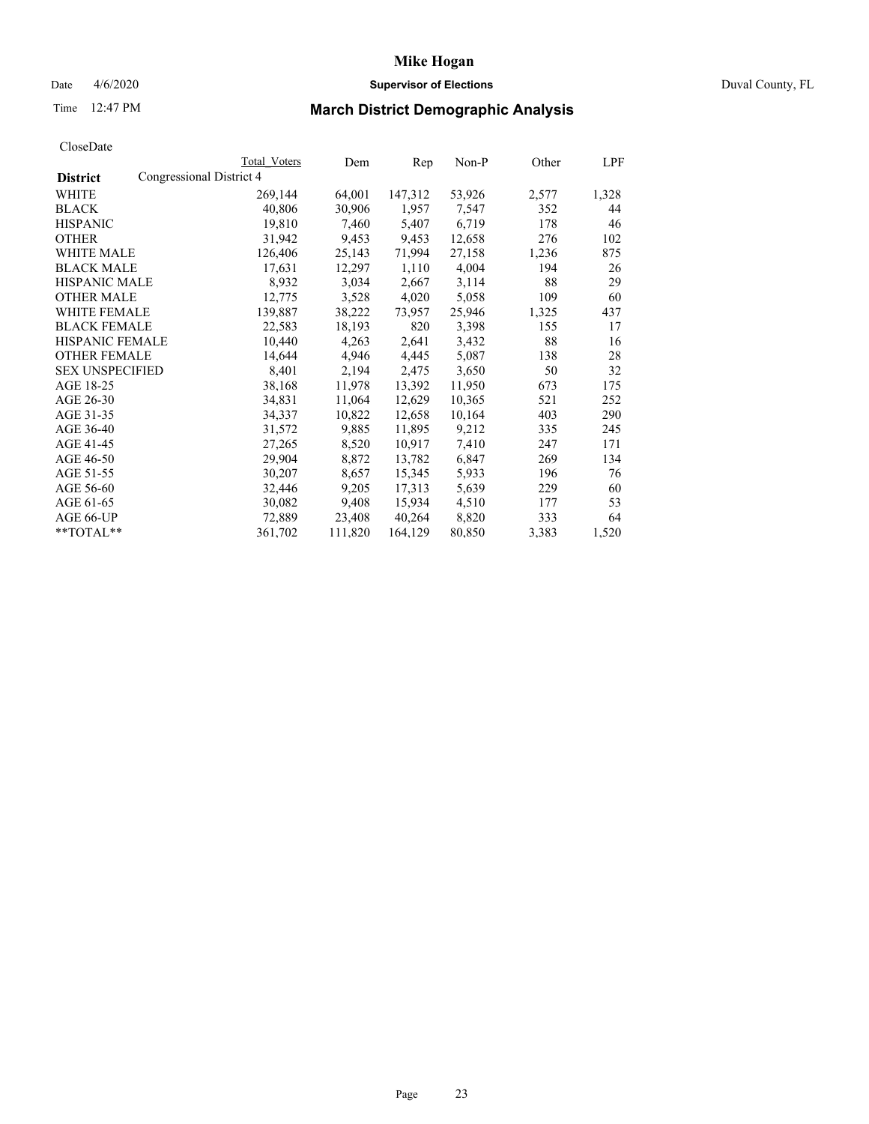# Date 4/6/2020 **Supervisor of Elections** Duval County, FL

# Time 12:47 PM **March District Demographic Analysis**

|                        |                          | Total Voters | Dem     | Rep     | Non-P  | Other | LPF   |
|------------------------|--------------------------|--------------|---------|---------|--------|-------|-------|
| <b>District</b>        | Congressional District 4 |              |         |         |        |       |       |
| WHITE                  |                          | 269,144      | 64,001  | 147,312 | 53,926 | 2,577 | 1,328 |
| <b>BLACK</b>           |                          | 40,806       | 30,906  | 1,957   | 7,547  | 352   | 44    |
| <b>HISPANIC</b>        |                          | 19,810       | 7,460   | 5,407   | 6,719  | 178   | 46    |
| <b>OTHER</b>           |                          | 31,942       | 9,453   | 9,453   | 12,658 | 276   | 102   |
| WHITE MALE             |                          | 126,406      | 25,143  | 71,994  | 27,158 | 1,236 | 875   |
| <b>BLACK MALE</b>      |                          | 17,631       | 12,297  | 1,110   | 4,004  | 194   | 26    |
| <b>HISPANIC MALE</b>   |                          | 8,932        | 3,034   | 2,667   | 3,114  | 88    | 29    |
| <b>OTHER MALE</b>      |                          | 12,775       | 3,528   | 4,020   | 5,058  | 109   | 60    |
| <b>WHITE FEMALE</b>    |                          | 139,887      | 38,222  | 73,957  | 25,946 | 1,325 | 437   |
| <b>BLACK FEMALE</b>    |                          | 22,583       | 18,193  | 820     | 3,398  | 155   | 17    |
| HISPANIC FEMALE        |                          | 10,440       | 4,263   | 2,641   | 3,432  | 88    | 16    |
| <b>OTHER FEMALE</b>    |                          | 14,644       | 4,946   | 4,445   | 5,087  | 138   | 28    |
| <b>SEX UNSPECIFIED</b> |                          | 8,401        | 2,194   | 2,475   | 3,650  | 50    | 32    |
| AGE 18-25              |                          | 38,168       | 11,978  | 13,392  | 11,950 | 673   | 175   |
| AGE 26-30              |                          | 34,831       | 11,064  | 12,629  | 10,365 | 521   | 252   |
| AGE 31-35              |                          | 34,337       | 10,822  | 12,658  | 10,164 | 403   | 290   |
| AGE 36-40              |                          | 31,572       | 9,885   | 11,895  | 9,212  | 335   | 245   |
| AGE 41-45              |                          | 27,265       | 8,520   | 10,917  | 7,410  | 247   | 171   |
| AGE 46-50              |                          | 29,904       | 8,872   | 13,782  | 6,847  | 269   | 134   |
| AGE 51-55              |                          | 30,207       | 8,657   | 15,345  | 5,933  | 196   | 76    |
| AGE 56-60              |                          | 32,446       | 9,205   | 17,313  | 5,639  | 229   | 60    |
| AGE 61-65              |                          | 30,082       | 9,408   | 15,934  | 4,510  | 177   | 53    |
| AGE 66-UP              |                          | 72,889       | 23,408  | 40,264  | 8,820  | 333   | 64    |
| $*$ TOTAL $*$          |                          | 361,702      | 111,820 | 164,129 | 80,850 | 3,383 | 1,520 |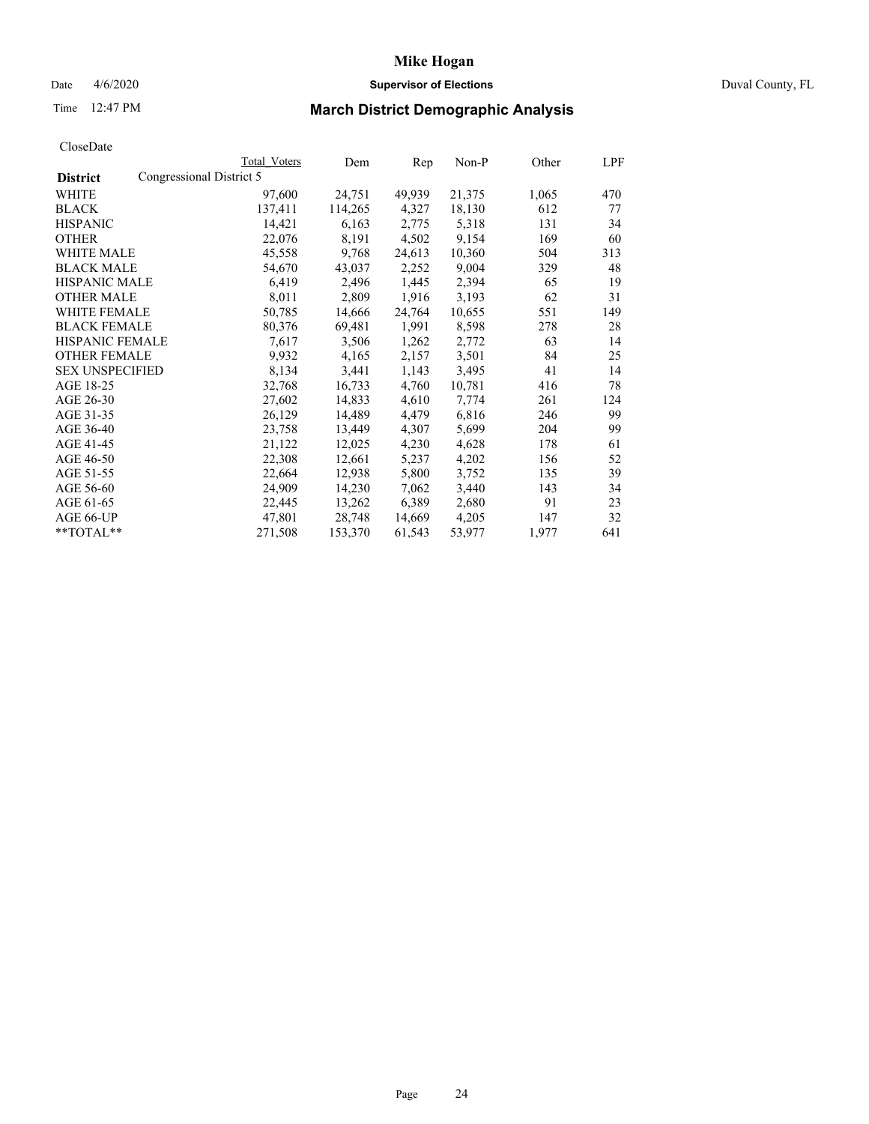## Date 4/6/2020 **Supervisor of Elections** Duval County, FL

# Time 12:47 PM **March District Demographic Analysis**

|                                             | <b>Total Voters</b> | Dem     | Rep    | Non-P  | Other | LPF |
|---------------------------------------------|---------------------|---------|--------|--------|-------|-----|
| Congressional District 5<br><b>District</b> |                     |         |        |        |       |     |
| WHITE                                       | 97,600              | 24,751  | 49,939 | 21,375 | 1,065 | 470 |
| <b>BLACK</b>                                | 137,411             | 114,265 | 4,327  | 18,130 | 612   | 77  |
| <b>HISPANIC</b>                             | 14,421              | 6,163   | 2,775  | 5,318  | 131   | 34  |
| <b>OTHER</b>                                | 22,076              | 8,191   | 4,502  | 9,154  | 169   | 60  |
| WHITE MALE                                  | 45,558              | 9,768   | 24,613 | 10,360 | 504   | 313 |
| <b>BLACK MALE</b>                           | 54,670              | 43,037  | 2,252  | 9,004  | 329   | 48  |
| <b>HISPANIC MALE</b>                        | 6,419               | 2,496   | 1,445  | 2,394  | 65    | 19  |
| <b>OTHER MALE</b>                           | 8,011               | 2,809   | 1,916  | 3,193  | 62    | 31  |
| WHITE FEMALE                                | 50,785              | 14,666  | 24,764 | 10,655 | 551   | 149 |
| <b>BLACK FEMALE</b>                         | 80,376              | 69,481  | 1,991  | 8,598  | 278   | 28  |
| HISPANIC FEMALE                             | 7,617               | 3,506   | 1,262  | 2,772  | 63    | 14  |
| <b>OTHER FEMALE</b>                         | 9,932               | 4,165   | 2,157  | 3,501  | 84    | 25  |
| <b>SEX UNSPECIFIED</b>                      | 8,134               | 3,441   | 1,143  | 3,495  | 41    | 14  |
| AGE 18-25                                   | 32,768              | 16,733  | 4,760  | 10,781 | 416   | 78  |
| AGE 26-30                                   | 27,602              | 14,833  | 4,610  | 7,774  | 261   | 124 |
| AGE 31-35                                   | 26,129              | 14,489  | 4,479  | 6,816  | 246   | 99  |
| AGE 36-40                                   | 23,758              | 13,449  | 4,307  | 5,699  | 204   | 99  |
| AGE 41-45                                   | 21,122              | 12,025  | 4,230  | 4,628  | 178   | 61  |
| AGE 46-50                                   | 22,308              | 12,661  | 5,237  | 4,202  | 156   | 52  |
| AGE 51-55                                   | 22,664              | 12,938  | 5,800  | 3,752  | 135   | 39  |
| AGE 56-60                                   | 24,909              | 14,230  | 7,062  | 3,440  | 143   | 34  |
| AGE 61-65                                   | 22,445              | 13,262  | 6,389  | 2,680  | 91    | 23  |
| AGE 66-UP                                   | 47,801              | 28,748  | 14,669 | 4,205  | 147   | 32  |
| **TOTAL**                                   | 271,508             | 153,370 | 61,543 | 53,977 | 1,977 | 641 |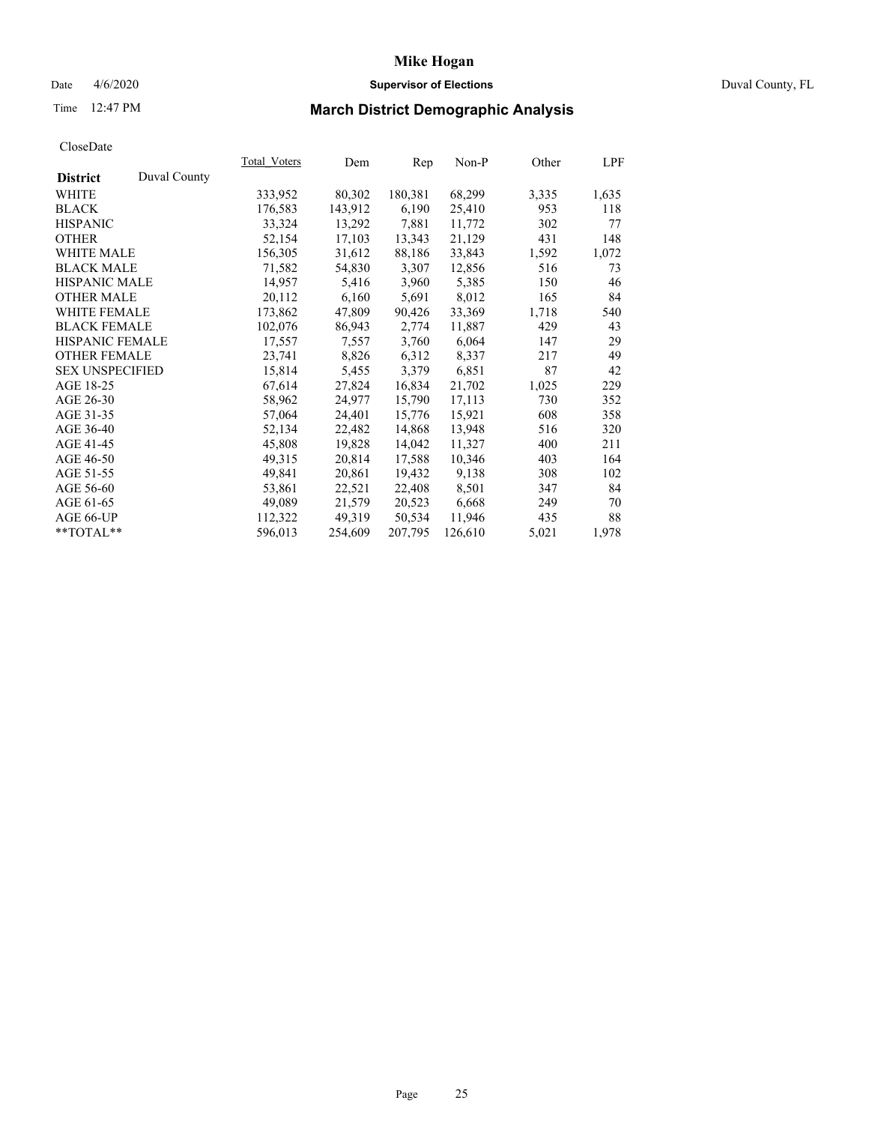## Date 4/6/2020 **Supervisor of Elections** Duval County, FL

# Time 12:47 PM **March District Demographic Analysis**

|                        |              | <b>Total Voters</b> | Dem     | Rep     | $Non-P$ | Other | LPF   |
|------------------------|--------------|---------------------|---------|---------|---------|-------|-------|
| <b>District</b>        | Duval County |                     |         |         |         |       |       |
| WHITE                  |              | 333,952             | 80,302  | 180,381 | 68,299  | 3,335 | 1,635 |
| <b>BLACK</b>           |              | 176,583             | 143,912 | 6,190   | 25,410  | 953   | 118   |
| <b>HISPANIC</b>        |              | 33,324              | 13,292  | 7,881   | 11,772  | 302   | 77    |
| <b>OTHER</b>           |              | 52,154              | 17,103  | 13,343  | 21,129  | 431   | 148   |
| WHITE MALE             |              | 156,305             | 31,612  | 88,186  | 33,843  | 1,592 | 1,072 |
| <b>BLACK MALE</b>      |              | 71,582              | 54,830  | 3,307   | 12,856  | 516   | 73    |
| <b>HISPANIC MALE</b>   |              | 14,957              | 5,416   | 3,960   | 5,385   | 150   | 46    |
| <b>OTHER MALE</b>      |              | 20,112              | 6,160   | 5,691   | 8,012   | 165   | 84    |
| <b>WHITE FEMALE</b>    |              | 173,862             | 47,809  | 90,426  | 33,369  | 1,718 | 540   |
| <b>BLACK FEMALE</b>    |              | 102,076             | 86,943  | 2,774   | 11,887  | 429   | 43    |
| HISPANIC FEMALE        |              | 17,557              | 7,557   | 3,760   | 6,064   | 147   | 29    |
| <b>OTHER FEMALE</b>    |              | 23,741              | 8,826   | 6,312   | 8,337   | 217   | 49    |
| <b>SEX UNSPECIFIED</b> |              | 15,814              | 5,455   | 3,379   | 6,851   | 87    | 42    |
| AGE 18-25              |              | 67,614              | 27,824  | 16,834  | 21,702  | 1,025 | 229   |
| AGE 26-30              |              | 58,962              | 24,977  | 15,790  | 17,113  | 730   | 352   |
| AGE 31-35              |              | 57,064              | 24,401  | 15,776  | 15,921  | 608   | 358   |
| AGE 36-40              |              | 52,134              | 22,482  | 14,868  | 13,948  | 516   | 320   |
| AGE 41-45              |              | 45,808              | 19,828  | 14,042  | 11,327  | 400   | 211   |
| AGE 46-50              |              | 49,315              | 20,814  | 17,588  | 10,346  | 403   | 164   |
| AGE 51-55              |              | 49,841              | 20,861  | 19,432  | 9,138   | 308   | 102   |
| AGE 56-60              |              | 53,861              | 22,521  | 22,408  | 8,501   | 347   | 84    |
| AGE 61-65              |              | 49,089              | 21,579  | 20,523  | 6,668   | 249   | 70    |
| AGE 66-UP              |              | 112,322             | 49,319  | 50,534  | 11,946  | 435   | 88    |
| $*$ $TOTAL**$          |              | 596,013             | 254,609 | 207,795 | 126,610 | 5,021 | 1,978 |
|                        |              |                     |         |         |         |       |       |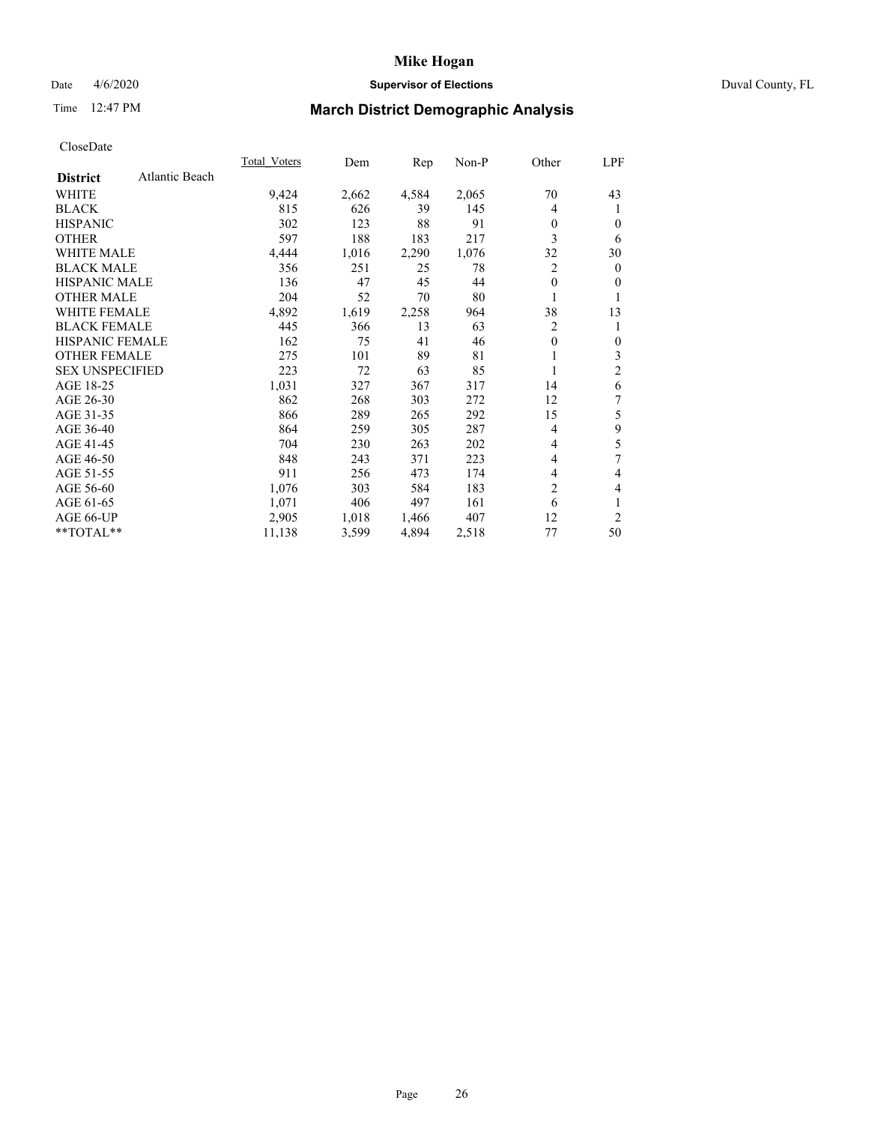## Date 4/6/2020 **Supervisor of Elections** Duval County, FL

# Time 12:47 PM **March District Demographic Analysis**

|                                   | <b>Total Voters</b> | Dem   | Rep   | Non-P | Other        | LPF |
|-----------------------------------|---------------------|-------|-------|-------|--------------|-----|
| Atlantic Beach<br><b>District</b> |                     |       |       |       |              |     |
| WHITE                             | 9,424               | 2,662 | 4,584 | 2,065 | 70           | 43  |
| <b>BLACK</b>                      | 815                 | 626   | 39    | 145   | 4            | 1   |
| <b>HISPANIC</b>                   | 302                 | 123   | 88    | 91    | $\theta$     | 0   |
| <b>OTHER</b>                      | 597                 | 188   | 183   | 217   | 3            | 6   |
| <b>WHITE MALE</b>                 | 4,444               | 1,016 | 2,290 | 1,076 | 32           | 30  |
| <b>BLACK MALE</b>                 | 356                 | 251   | 25    | 78    | 2            | 0   |
| <b>HISPANIC MALE</b>              | 136                 | 47    | 45    | 44    | $\mathbf{0}$ | 0   |
| <b>OTHER MALE</b>                 | 204                 | 52    | 70    | 80    |              |     |
| WHITE FEMALE                      | 4,892               | 1,619 | 2,258 | 964   | 38           | 13  |
| <b>BLACK FEMALE</b>               | 445                 | 366   | 13    | 63    | 2            |     |
| <b>HISPANIC FEMALE</b>            | 162                 | 75    | 41    | 46    | $\mathbf{0}$ | 0   |
| <b>OTHER FEMALE</b>               | 275                 | 101   | 89    | 81    | 1            | 3   |
| <b>SEX UNSPECIFIED</b>            | 223                 | 72    | 63    | 85    | 1            | 2   |
| AGE 18-25                         | 1,031               | 327   | 367   | 317   | 14           | 6   |
| AGE 26-30                         | 862                 | 268   | 303   | 272   | 12           | 7   |
| AGE 31-35                         | 866                 | 289   | 265   | 292   | 15           | 5   |
| AGE 36-40                         | 864                 | 259   | 305   | 287   | 4            | 9   |
| AGE 41-45                         | 704                 | 230   | 263   | 202   | 4            | 5   |
| AGE 46-50                         | 848                 | 243   | 371   | 223   | 4            | 7   |
| AGE 51-55                         | 911                 | 256   | 473   | 174   | 4            | 4   |
| AGE 56-60                         | 1,076               | 303   | 584   | 183   | 2            | 4   |
| AGE 61-65                         | 1,071               | 406   | 497   | 161   | 6            | 1   |
| AGE 66-UP                         | 2,905               | 1,018 | 1,466 | 407   | 12           | 2   |
| **TOTAL**                         | 11,138              | 3,599 | 4,894 | 2,518 | 77           | 50  |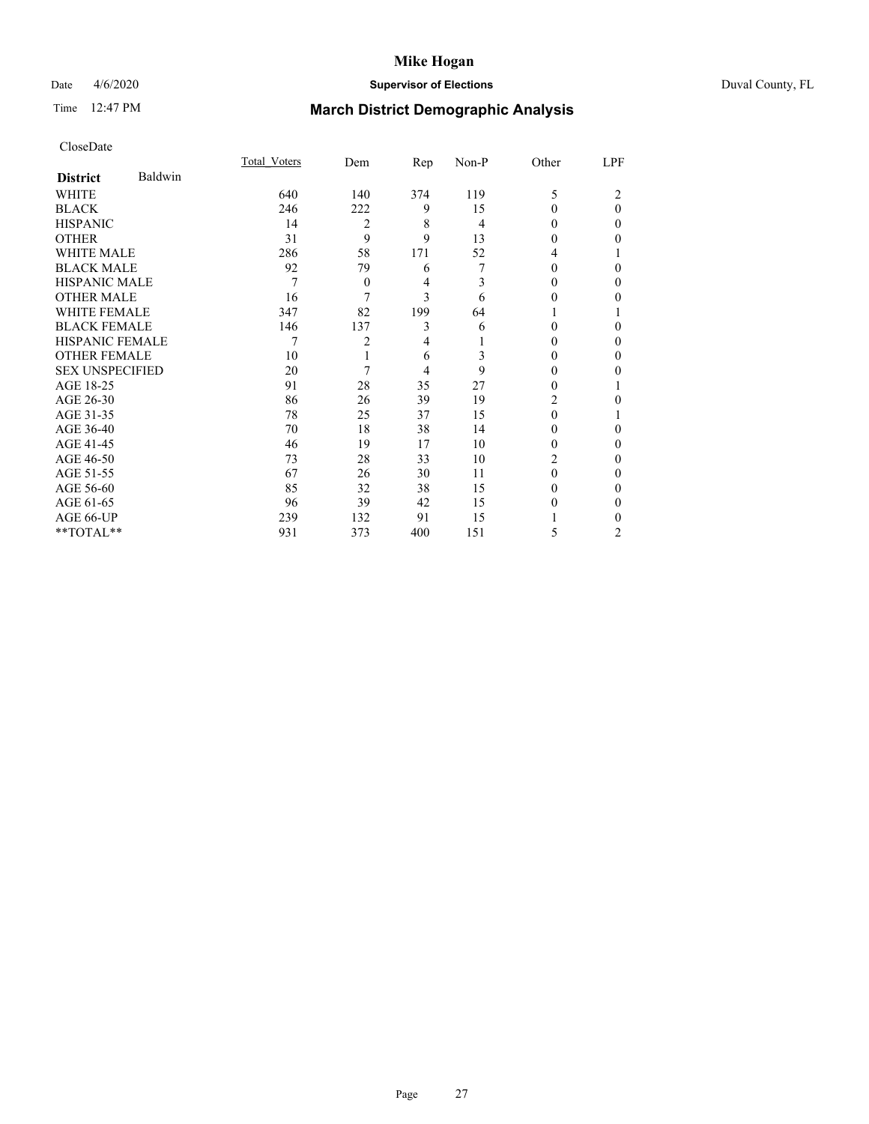## Date 4/6/2020 **Supervisor of Elections** Duval County, FL

# Time 12:47 PM **March District Demographic Analysis**

|                        |         | <b>Total Voters</b> | Dem            | Rep | Non-P | Other  | LPF      |
|------------------------|---------|---------------------|----------------|-----|-------|--------|----------|
| <b>District</b>        | Baldwin |                     |                |     |       |        |          |
| WHITE                  |         | 640                 | 140            | 374 | 119   | 5      | 2        |
| <b>BLACK</b>           |         | 246                 | 222            | 9   | 15    | 0      | $\theta$ |
| <b>HISPANIC</b>        |         | 14                  | 2              | 8   | 4     | 0      | $\Omega$ |
| <b>OTHER</b>           |         | 31                  | 9              | 9   | 13    | 0      | 0        |
| WHITE MALE             |         | 286                 | 58             | 171 | 52    | 4      |          |
| <b>BLACK MALE</b>      |         | 92                  | 79             | 6   | 7     | 0      | 0        |
| <b>HISPANIC MALE</b>   |         | 7                   | $\overline{0}$ | 4   | 3     | $_{0}$ | 0        |
| <b>OTHER MALE</b>      |         | 16                  | 7              | 3   | 6     | 0      | 0        |
| <b>WHITE FEMALE</b>    |         | 347                 | 82             | 199 | 64    |        |          |
| <b>BLACK FEMALE</b>    |         | 146                 | 137            | 3   | 6     | 0      | $\Omega$ |
| <b>HISPANIC FEMALE</b> |         | 7                   | 2              | 4   |       | 0      | 0        |
| <b>OTHER FEMALE</b>    |         | 10                  |                | 6   | 3     | 0      | 0        |
| <b>SEX UNSPECIFIED</b> |         | 20                  | 7              | 4   | 9     | 0      | 0        |
| AGE 18-25              |         | 91                  | 28             | 35  | 27    | 0      |          |
| AGE 26-30              |         | 86                  | 26             | 39  | 19    | 2      | 0        |
| AGE 31-35              |         | 78                  | 25             | 37  | 15    | 0      |          |
| AGE 36-40              |         | 70                  | 18             | 38  | 14    | 0      | 0        |
| AGE 41-45              |         | 46                  | 19             | 17  | 10    | 0      | 0        |
| AGE 46-50              |         | 73                  | 28             | 33  | 10    | 2      | 0        |
| AGE 51-55              |         | 67                  | 26             | 30  | 11    | 0      | 0        |
| AGE 56-60              |         | 85                  | 32             | 38  | 15    | 0      | 0        |
| AGE 61-65              |         | 96                  | 39             | 42  | 15    | 0      | 0        |
| AGE 66-UP              |         | 239                 | 132            | 91  | 15    |        | 0        |
| **TOTAL**              |         | 931                 | 373            | 400 | 151   | 5      | 2        |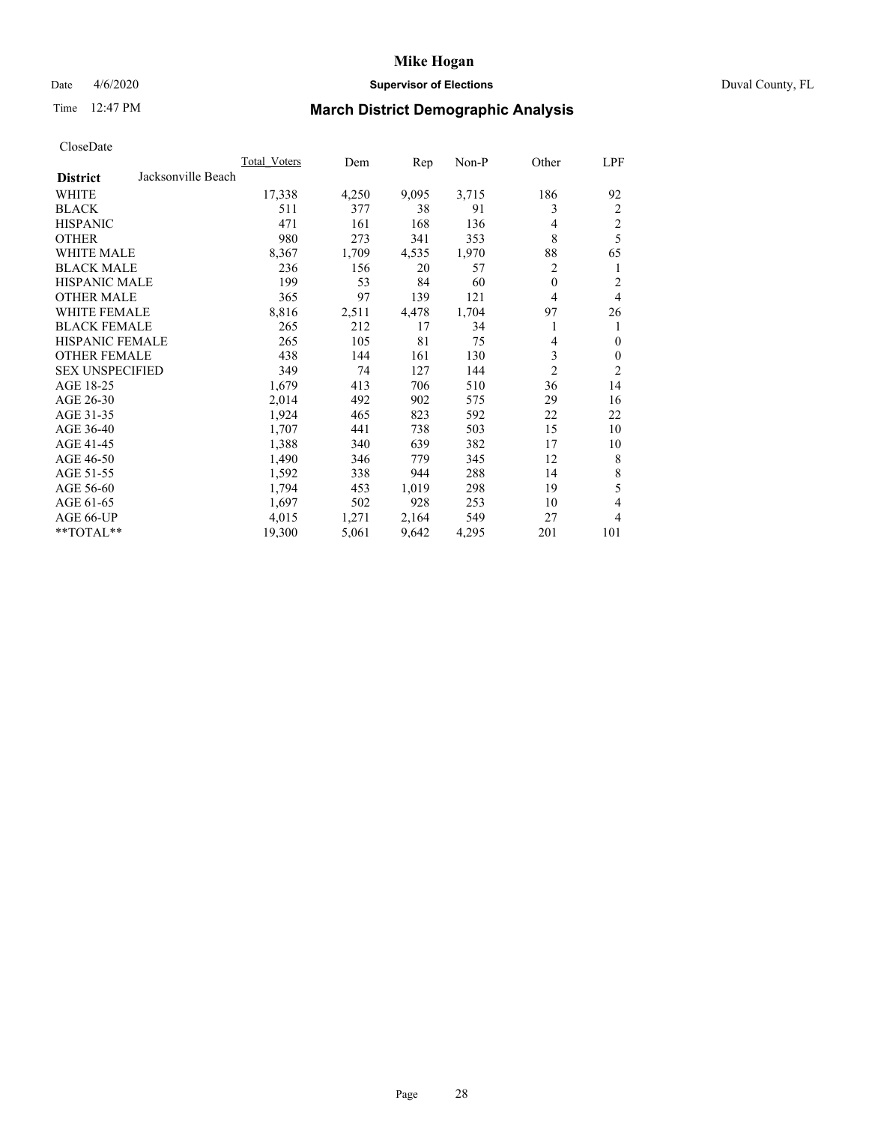## Date 4/6/2020 **Supervisor of Elections** Duval County, FL

# Time 12:47 PM **March District Demographic Analysis**

|                                       | Total Voters | Dem   | Rep   | Non-P | Other          | LPF                     |
|---------------------------------------|--------------|-------|-------|-------|----------------|-------------------------|
| Jacksonville Beach<br><b>District</b> |              |       |       |       |                |                         |
| WHITE                                 | 17,338       | 4,250 | 9,095 | 3,715 | 186            | 92                      |
| <b>BLACK</b>                          | 511          | 377   | 38    | 91    | 3              | 2                       |
| <b>HISPANIC</b>                       | 471          | 161   | 168   | 136   | $\overline{4}$ | $\overline{\mathbf{c}}$ |
| <b>OTHER</b>                          | 980          | 273   | 341   | 353   | 8              | 5                       |
| WHITE MALE                            | 8,367        | 1,709 | 4,535 | 1,970 | 88             | 65                      |
| <b>BLACK MALE</b>                     | 236          | 156   | 20    | 57    | 2              | 1                       |
| HISPANIC MALE                         | 199          | 53    | 84    | 60    | $\theta$       | 2                       |
| <b>OTHER MALE</b>                     | 365          | 97    | 139   | 121   | 4              | $\overline{4}$          |
| <b>WHITE FEMALE</b>                   | 8,816        | 2,511 | 4,478 | 1,704 | 97             | 26                      |
| <b>BLACK FEMALE</b>                   | 265          | 212   | 17    | 34    |                | 1                       |
| <b>HISPANIC FEMALE</b>                | 265          | 105   | 81    | 75    | 4              | $\mathbf{0}$            |
| <b>OTHER FEMALE</b>                   | 438          | 144   | 161   | 130   | 3              | $\mathbf{0}$            |
| <b>SEX UNSPECIFIED</b>                | 349          | 74    | 127   | 144   | $\overline{c}$ | $\overline{c}$          |
| AGE 18-25                             | 1,679        | 413   | 706   | 510   | 36             | 14                      |
| AGE 26-30                             | 2,014        | 492   | 902   | 575   | 29             | 16                      |
| AGE 31-35                             | 1,924        | 465   | 823   | 592   | 22             | 22                      |
| AGE 36-40                             | 1,707        | 441   | 738   | 503   | 15             | 10                      |
| AGE 41-45                             | 1,388        | 340   | 639   | 382   | 17             | 10                      |
| AGE 46-50                             | 1,490        | 346   | 779   | 345   | 12             | 8                       |
| AGE 51-55                             | 1,592        | 338   | 944   | 288   | 14             | 8                       |
| AGE 56-60                             | 1,794        | 453   | 1,019 | 298   | 19             | 5                       |
| AGE 61-65                             | 1,697        | 502   | 928   | 253   | 10             | $\overline{4}$          |
| AGE 66-UP                             | 4,015        | 1,271 | 2,164 | 549   | 27             | 4                       |
| **TOTAL**                             | 19,300       | 5,061 | 9,642 | 4,295 | 201            | 101                     |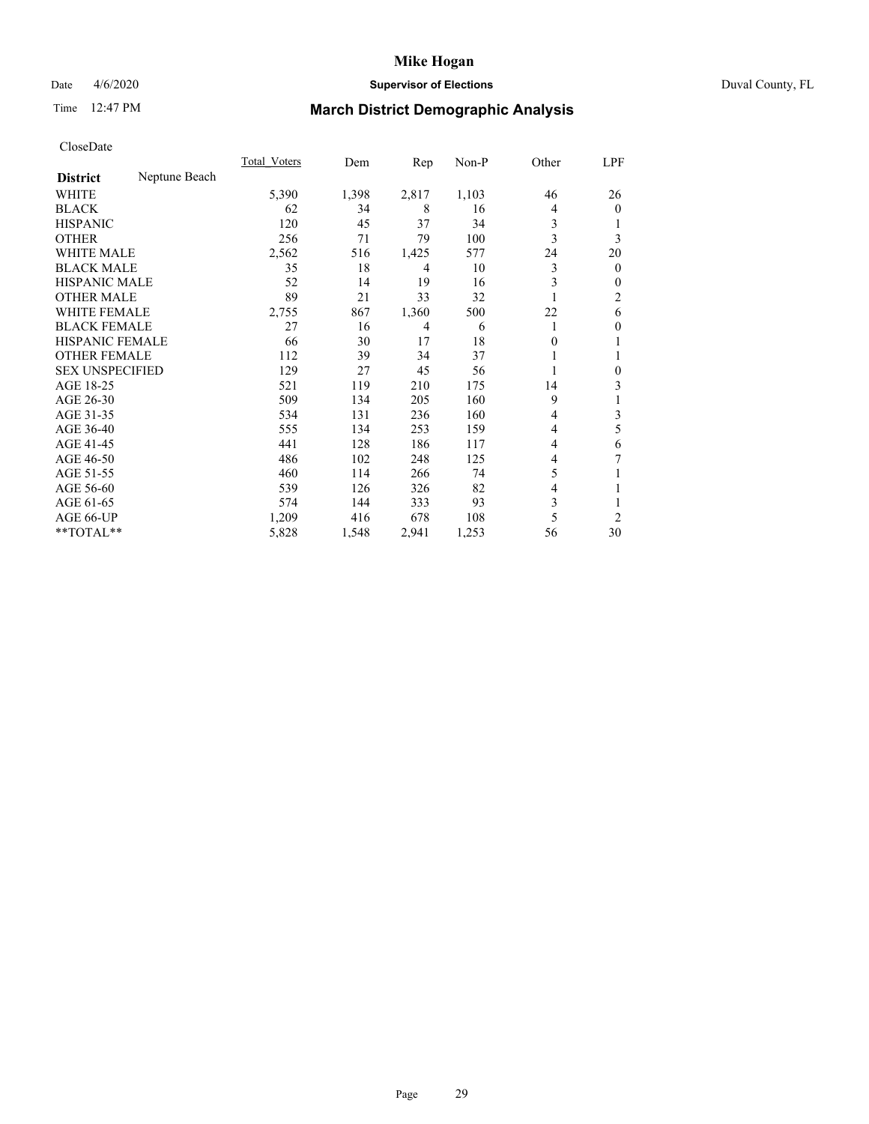# Date 4/6/2020 **Supervisor of Elections** Duval County, FL

# Time 12:47 PM **March District Demographic Analysis**

|                        |               | Total Voters | Dem   | Rep   | Non-P | Other | LPF            |
|------------------------|---------------|--------------|-------|-------|-------|-------|----------------|
| <b>District</b>        | Neptune Beach |              |       |       |       |       |                |
| WHITE                  |               | 5,390        | 1,398 | 2,817 | 1,103 | 46    | 26             |
| <b>BLACK</b>           |               | 62           | 34    | 8     | 16    | 4     | $\overline{0}$ |
| <b>HISPANIC</b>        |               | 120          | 45    | 37    | 34    | 3     |                |
| <b>OTHER</b>           |               | 256          | 71    | 79    | 100   | 3     | 3              |
| WHITE MALE             |               | 2,562        | 516   | 1,425 | 577   | 24    | 20             |
| <b>BLACK MALE</b>      |               | 35           | 18    | 4     | 10    | 3     | $\overline{0}$ |
| <b>HISPANIC MALE</b>   |               | 52           | 14    | 19    | 16    | 3     | 0              |
| <b>OTHER MALE</b>      |               | 89           | 21    | 33    | 32    |       | 2              |
| <b>WHITE FEMALE</b>    |               | 2,755        | 867   | 1,360 | 500   | 22    | 6              |
| <b>BLACK FEMALE</b>    |               | 27           | 16    | 4     | 6     |       | 0              |
| <b>HISPANIC FEMALE</b> |               | 66           | 30    | 17    | 18    | 0     | 1              |
| <b>OTHER FEMALE</b>    |               | 112          | 39    | 34    | 37    |       |                |
| <b>SEX UNSPECIFIED</b> |               | 129          | 27    | 45    | 56    |       | 0              |
| AGE 18-25              |               | 521          | 119   | 210   | 175   | 14    | 3              |
| AGE 26-30              |               | 509          | 134   | 205   | 160   | 9     | 1              |
| AGE 31-35              |               | 534          | 131   | 236   | 160   | 4     | 3              |
| AGE 36-40              |               | 555          | 134   | 253   | 159   | 4     | 5              |
| AGE 41-45              |               | 441          | 128   | 186   | 117   | 4     | 6              |
| AGE 46-50              |               | 486          | 102   | 248   | 125   | 4     | 7              |
| AGE 51-55              |               | 460          | 114   | 266   | 74    | 5     |                |
| AGE 56-60              |               | 539          | 126   | 326   | 82    | 4     |                |
| AGE 61-65              |               | 574          | 144   | 333   | 93    | 3     | 1              |
| AGE 66-UP              |               | 1,209        | 416   | 678   | 108   | 5     | $\overline{2}$ |
| $**TOTAL**$            |               | 5,828        | 1,548 | 2,941 | 1,253 | 56    | 30             |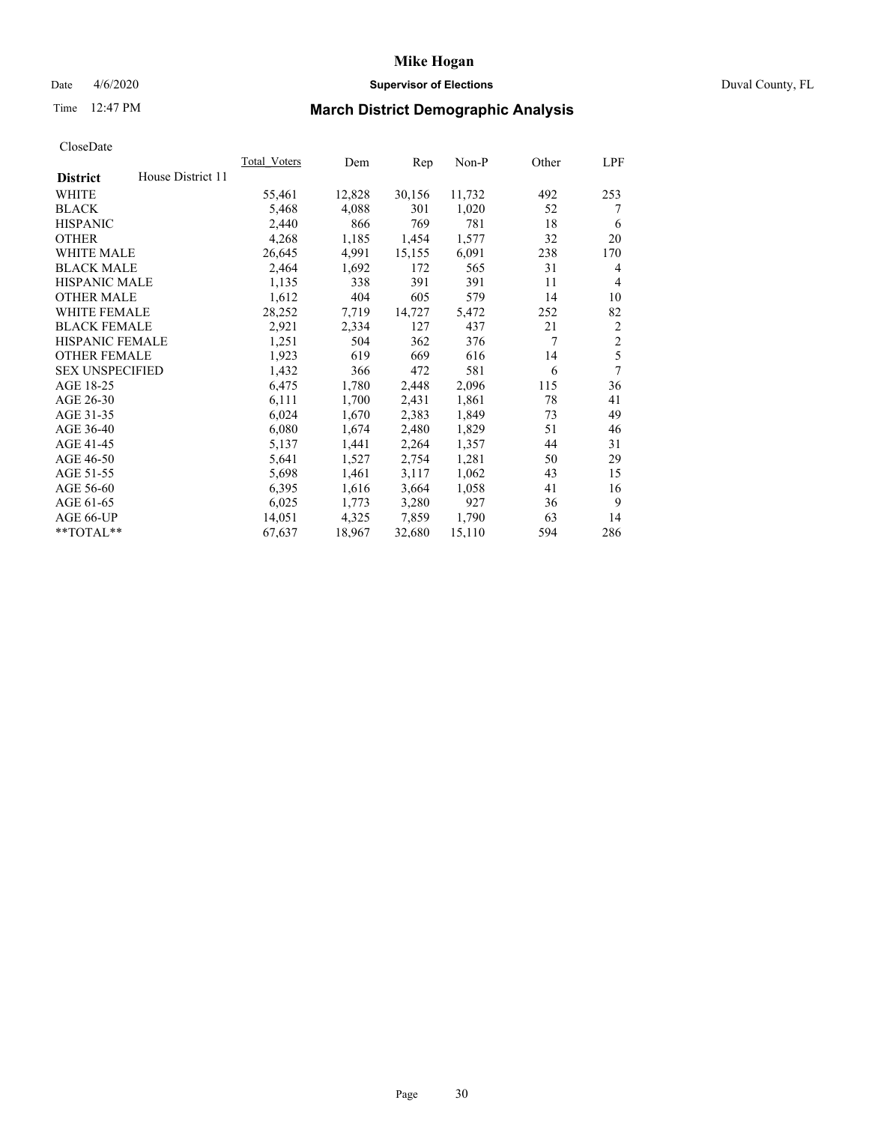# Date 4/6/2020 **Supervisor of Elections** Duval County, FL

# Time 12:47 PM **March District Demographic Analysis**

|                        |                   | Total Voters | Dem    | Rep    | Non-P  | Other | LPF            |
|------------------------|-------------------|--------------|--------|--------|--------|-------|----------------|
| <b>District</b>        | House District 11 |              |        |        |        |       |                |
| WHITE                  |                   | 55,461       | 12,828 | 30,156 | 11,732 | 492   | 253            |
| <b>BLACK</b>           |                   | 5,468        | 4,088  | 301    | 1,020  | 52    | 7              |
| <b>HISPANIC</b>        |                   | 2,440        | 866    | 769    | 781    | 18    | 6              |
| <b>OTHER</b>           |                   | 4,268        | 1,185  | 1,454  | 1,577  | 32    | 20             |
| <b>WHITE MALE</b>      |                   | 26,645       | 4,991  | 15,155 | 6,091  | 238   | 170            |
| <b>BLACK MALE</b>      |                   | 2,464        | 1,692  | 172    | 565    | 31    | 4              |
| <b>HISPANIC MALE</b>   |                   | 1,135        | 338    | 391    | 391    | 11    | 4              |
| <b>OTHER MALE</b>      |                   | 1,612        | 404    | 605    | 579    | 14    | 10             |
| <b>WHITE FEMALE</b>    |                   | 28,252       | 7,719  | 14,727 | 5,472  | 252   | 82             |
| <b>BLACK FEMALE</b>    |                   | 2,921        | 2,334  | 127    | 437    | 21    | $\overline{2}$ |
| HISPANIC FEMALE        |                   | 1,251        | 504    | 362    | 376    | 7     | $\overline{2}$ |
| <b>OTHER FEMALE</b>    |                   | 1,923        | 619    | 669    | 616    | 14    | 5              |
| <b>SEX UNSPECIFIED</b> |                   | 1,432        | 366    | 472    | 581    | 6     | 7              |
| AGE 18-25              |                   | 6,475        | 1,780  | 2,448  | 2,096  | 115   | 36             |
| AGE 26-30              |                   | 6,111        | 1,700  | 2,431  | 1,861  | 78    | 41             |
| AGE 31-35              |                   | 6,024        | 1,670  | 2,383  | 1,849  | 73    | 49             |
| AGE 36-40              |                   | 6,080        | 1,674  | 2,480  | 1,829  | 51    | 46             |
| AGE 41-45              |                   | 5,137        | 1,441  | 2,264  | 1,357  | 44    | 31             |
| AGE 46-50              |                   | 5,641        | 1,527  | 2,754  | 1,281  | 50    | 29             |
| AGE 51-55              |                   | 5,698        | 1,461  | 3,117  | 1,062  | 43    | 15             |
| AGE 56-60              |                   | 6,395        | 1,616  | 3,664  | 1,058  | 41    | 16             |
| AGE 61-65              |                   | 6,025        | 1,773  | 3,280  | 927    | 36    | 9              |
| AGE 66-UP              |                   | 14,051       | 4,325  | 7,859  | 1,790  | 63    | 14             |
| **TOTAL**              |                   | 67,637       | 18,967 | 32,680 | 15,110 | 594   | 286            |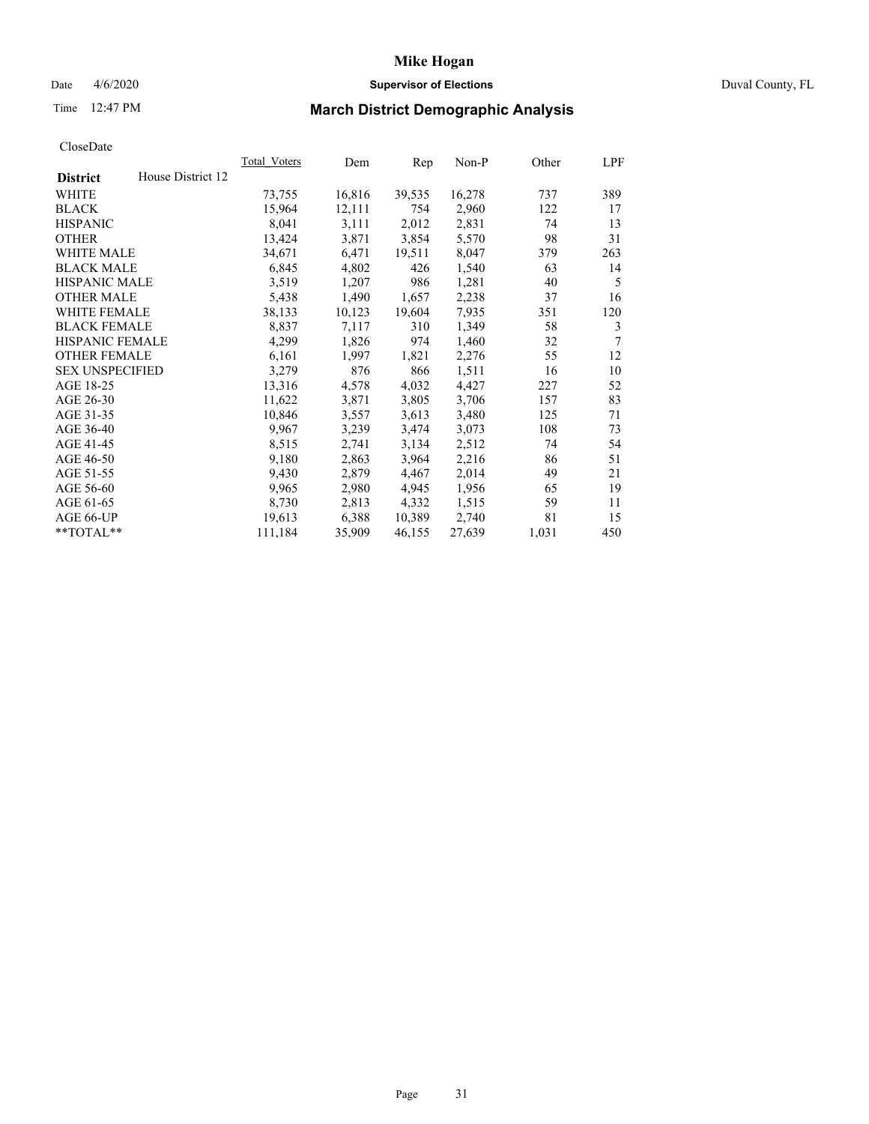## Date 4/6/2020 **Supervisor of Elections** Duval County, FL

# Time 12:47 PM **March District Demographic Analysis**

| Total Voters | Dem    | Rep    | Non-P  | Other | LPF |
|--------------|--------|--------|--------|-------|-----|
|              |        |        |        |       |     |
| 73,755       | 16,816 | 39,535 | 16,278 | 737   | 389 |
| 15,964       | 12,111 | 754    | 2,960  | 122   | 17  |
| 8,041        | 3,111  | 2,012  | 2,831  | 74    | 13  |
| 13,424       | 3,871  | 3,854  | 5,570  | 98    | 31  |
| 34,671       | 6,471  | 19,511 | 8,047  | 379   | 263 |
| 6,845        | 4,802  | 426    | 1,540  | 63    | 14  |
| 3,519        | 1,207  | 986    | 1,281  | 40    | 5   |
| 5,438        | 1,490  | 1,657  | 2,238  | 37    | 16  |
| 38,133       | 10,123 | 19,604 | 7.935  | 351   | 120 |
| 8,837        | 7,117  | 310    | 1,349  | 58    | 3   |
| 4,299        | 1,826  | 974    | 1,460  | 32    | 7   |
| 6,161        | 1,997  | 1,821  | 2,276  | 55    | 12  |
| 3,279        | 876    | 866    | 1,511  | 16    | 10  |
| 13,316       | 4,578  | 4,032  | 4,427  | 227   | 52  |
| 11,622       | 3,871  | 3,805  | 3,706  | 157   | 83  |
| 10,846       | 3,557  | 3,613  | 3,480  | 125   | 71  |
| 9,967        | 3,239  | 3,474  | 3,073  | 108   | 73  |
| 8,515        | 2,741  | 3,134  | 2,512  | 74    | 54  |
| 9,180        | 2,863  | 3,964  | 2,216  | 86    | 51  |
| 9,430        | 2,879  | 4,467  | 2,014  | 49    | 21  |
| 9,965        | 2,980  | 4,945  | 1,956  | 65    | 19  |
| 8,730        | 2,813  | 4,332  | 1,515  | 59    | 11  |
| 19,613       | 6,388  | 10,389 | 2,740  | 81    | 15  |
| 111,184      | 35,909 | 46,155 | 27,639 | 1,031 | 450 |
|              |        |        |        |       |     |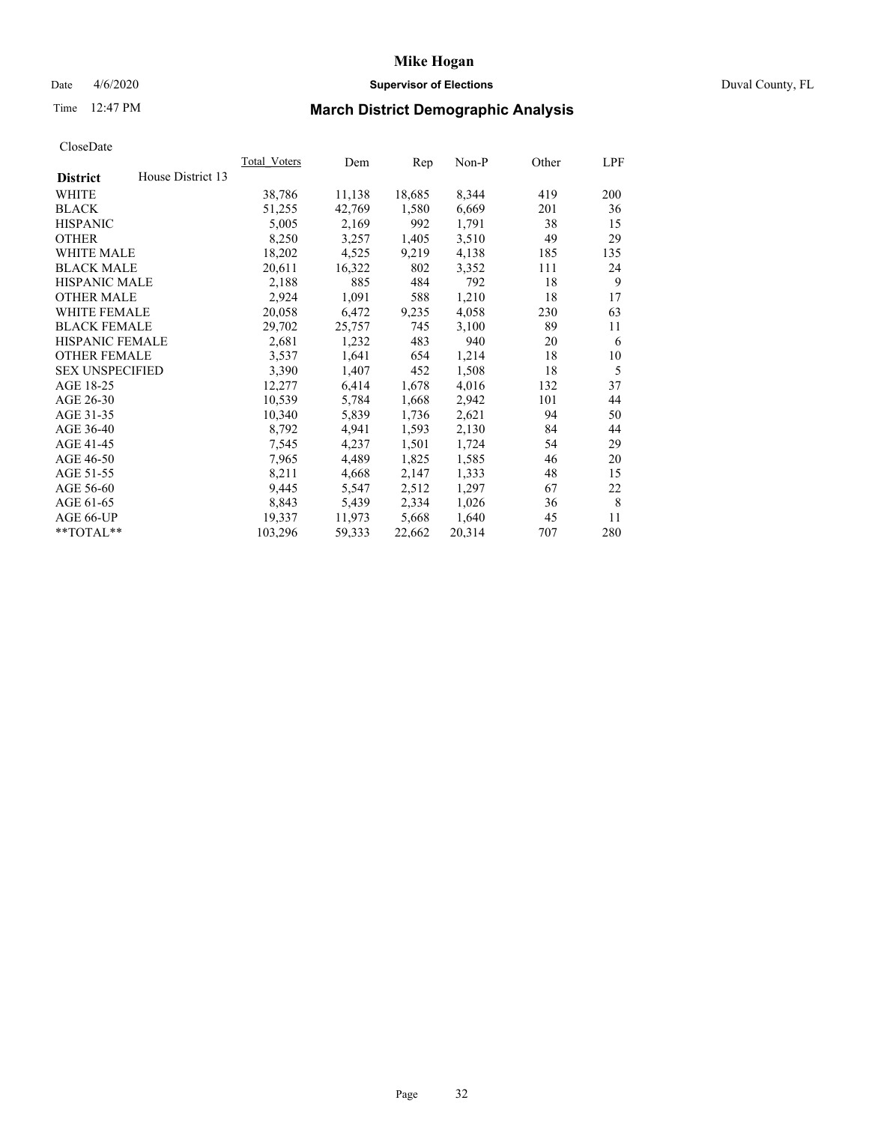## Date 4/6/2020 **Supervisor of Elections** Duval County, FL

# Time 12:47 PM **March District Demographic Analysis**

|                                      | Total Voters | Dem    | Rep    | Non-P  | Other | LPF |
|--------------------------------------|--------------|--------|--------|--------|-------|-----|
| House District 13<br><b>District</b> |              |        |        |        |       |     |
| <b>WHITE</b>                         | 38,786       | 11,138 | 18,685 | 8,344  | 419   | 200 |
| <b>BLACK</b>                         | 51,255       | 42,769 | 1,580  | 6,669  | 201   | 36  |
| <b>HISPANIC</b>                      | 5,005        | 2,169  | 992    | 1,791  | 38    | 15  |
| <b>OTHER</b>                         | 8,250        | 3,257  | 1,405  | 3,510  | 49    | 29  |
| WHITE MALE                           | 18,202       | 4,525  | 9,219  | 4,138  | 185   | 135 |
| <b>BLACK MALE</b>                    | 20,611       | 16,322 | 802    | 3,352  | 111   | 24  |
| <b>HISPANIC MALE</b>                 | 2,188        | 885    | 484    | 792    | 18    | 9   |
| <b>OTHER MALE</b>                    | 2,924        | 1,091  | 588    | 1,210  | 18    | 17  |
| <b>WHITE FEMALE</b>                  | 20,058       | 6,472  | 9,235  | 4,058  | 230   | 63  |
| <b>BLACK FEMALE</b>                  | 29,702       | 25,757 | 745    | 3,100  | 89    | 11  |
| <b>HISPANIC FEMALE</b>               | 2,681        | 1,232  | 483    | 940    | 20    | 6   |
| <b>OTHER FEMALE</b>                  | 3,537        | 1,641  | 654    | 1,214  | 18    | 10  |
| <b>SEX UNSPECIFIED</b>               | 3,390        | 1,407  | 452    | 1,508  | 18    | 5   |
| AGE 18-25                            | 12,277       | 6,414  | 1,678  | 4,016  | 132   | 37  |
| AGE 26-30                            | 10,539       | 5,784  | 1,668  | 2,942  | 101   | 44  |
| AGE 31-35                            | 10,340       | 5,839  | 1,736  | 2,621  | 94    | 50  |
| AGE 36-40                            | 8,792        | 4,941  | 1,593  | 2,130  | 84    | 44  |
| AGE 41-45                            | 7,545        | 4,237  | 1,501  | 1,724  | 54    | 29  |
| AGE 46-50                            | 7,965        | 4,489  | 1,825  | 1,585  | 46    | 20  |
| AGE 51-55                            | 8,211        | 4,668  | 2,147  | 1,333  | 48    | 15  |
| AGE 56-60                            | 9,445        | 5,547  | 2,512  | 1,297  | 67    | 22  |
| AGE 61-65                            | 8,843        | 5,439  | 2,334  | 1,026  | 36    | 8   |
| AGE 66-UP                            | 19,337       | 11,973 | 5,668  | 1,640  | 45    | 11  |
| $*$ $TOTAL**$                        | 103,296      | 59,333 | 22,662 | 20,314 | 707   | 280 |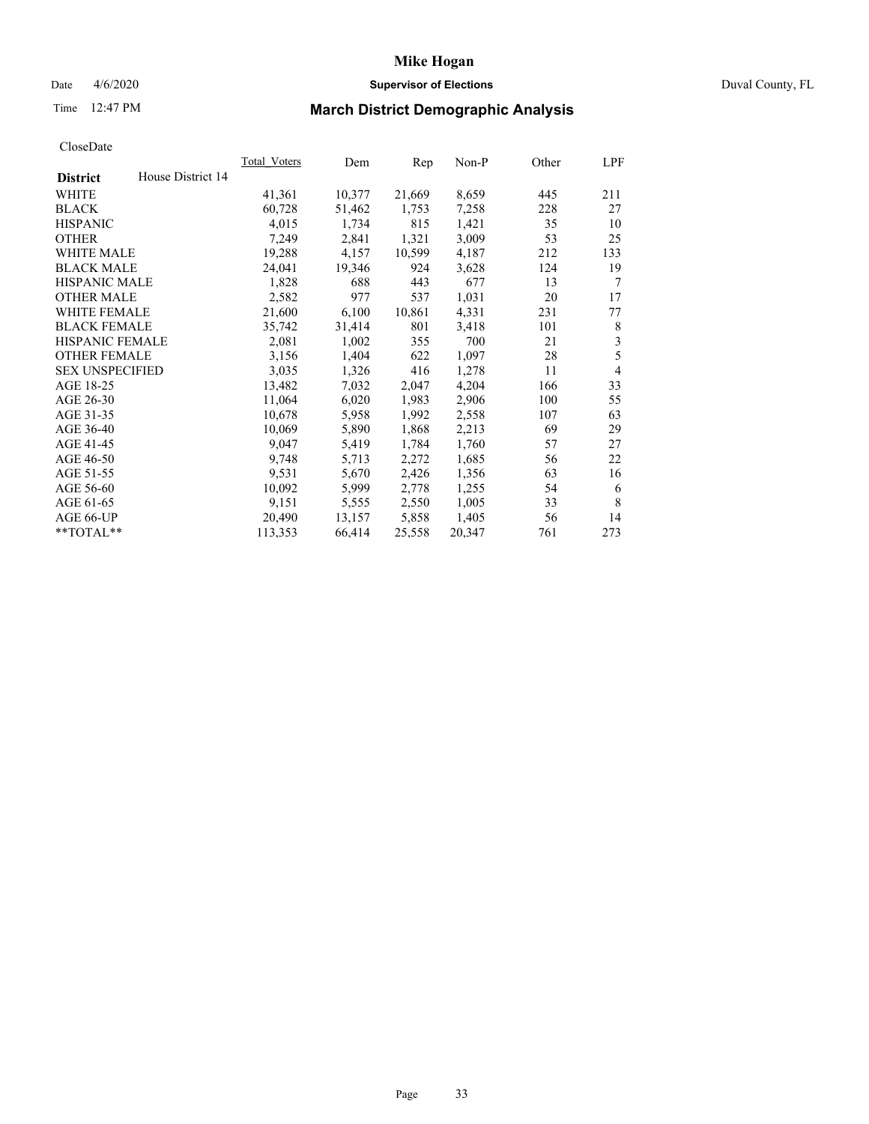## Date 4/6/2020 **Supervisor of Elections** Duval County, FL

# Time 12:47 PM **March District Demographic Analysis**

|                                      | Total Voters | Dem    | Rep    | Non-P  | Other | LPF            |
|--------------------------------------|--------------|--------|--------|--------|-------|----------------|
| House District 14<br><b>District</b> |              |        |        |        |       |                |
| <b>WHITE</b>                         | 41,361       | 10,377 | 21,669 | 8,659  | 445   | 211            |
| <b>BLACK</b>                         | 60,728       | 51,462 | 1,753  | 7,258  | 228   | 27             |
| <b>HISPANIC</b>                      | 4,015        | 1,734  | 815    | 1,421  | 35    | 10             |
| <b>OTHER</b>                         | 7,249        | 2,841  | 1,321  | 3,009  | 53    | 25             |
| WHITE MALE                           | 19,288       | 4,157  | 10,599 | 4,187  | 212   | 133            |
| <b>BLACK MALE</b>                    | 24,041       | 19,346 | 924    | 3,628  | 124   | 19             |
| <b>HISPANIC MALE</b>                 | 1,828        | 688    | 443    | 677    | 13    | 7              |
| <b>OTHER MALE</b>                    | 2,582        | 977    | 537    | 1,031  | 20    | 17             |
| <b>WHITE FEMALE</b>                  | 21,600       | 6,100  | 10,861 | 4,331  | 231   | 77             |
| <b>BLACK FEMALE</b>                  | 35,742       | 31,414 | 801    | 3,418  | 101   | 8              |
| <b>HISPANIC FEMALE</b>               | 2,081        | 1,002  | 355    | 700    | 21    | $\mathfrak{Z}$ |
| <b>OTHER FEMALE</b>                  | 3,156        | 1,404  | 622    | 1,097  | 28    | 5              |
| <b>SEX UNSPECIFIED</b>               | 3,035        | 1,326  | 416    | 1,278  | 11    | $\overline{4}$ |
| AGE 18-25                            | 13,482       | 7,032  | 2,047  | 4,204  | 166   | 33             |
| AGE 26-30                            | 11,064       | 6,020  | 1,983  | 2,906  | 100   | 55             |
| AGE 31-35                            | 10,678       | 5,958  | 1,992  | 2,558  | 107   | 63             |
| AGE 36-40                            | 10,069       | 5,890  | 1,868  | 2,213  | 69    | 29             |
| AGE 41-45                            | 9,047        | 5,419  | 1,784  | 1,760  | 57    | 27             |
| AGE 46-50                            | 9,748        | 5,713  | 2,272  | 1,685  | 56    | 22             |
| AGE 51-55                            | 9,531        | 5,670  | 2,426  | 1,356  | 63    | 16             |
| AGE 56-60                            | 10,092       | 5,999  | 2,778  | 1,255  | 54    | 6              |
| AGE 61-65                            | 9,151        | 5,555  | 2,550  | 1,005  | 33    | 8              |
| AGE 66-UP                            | 20,490       | 13,157 | 5,858  | 1,405  | 56    | 14             |
| **TOTAL**                            | 113,353      | 66,414 | 25,558 | 20,347 | 761   | 273            |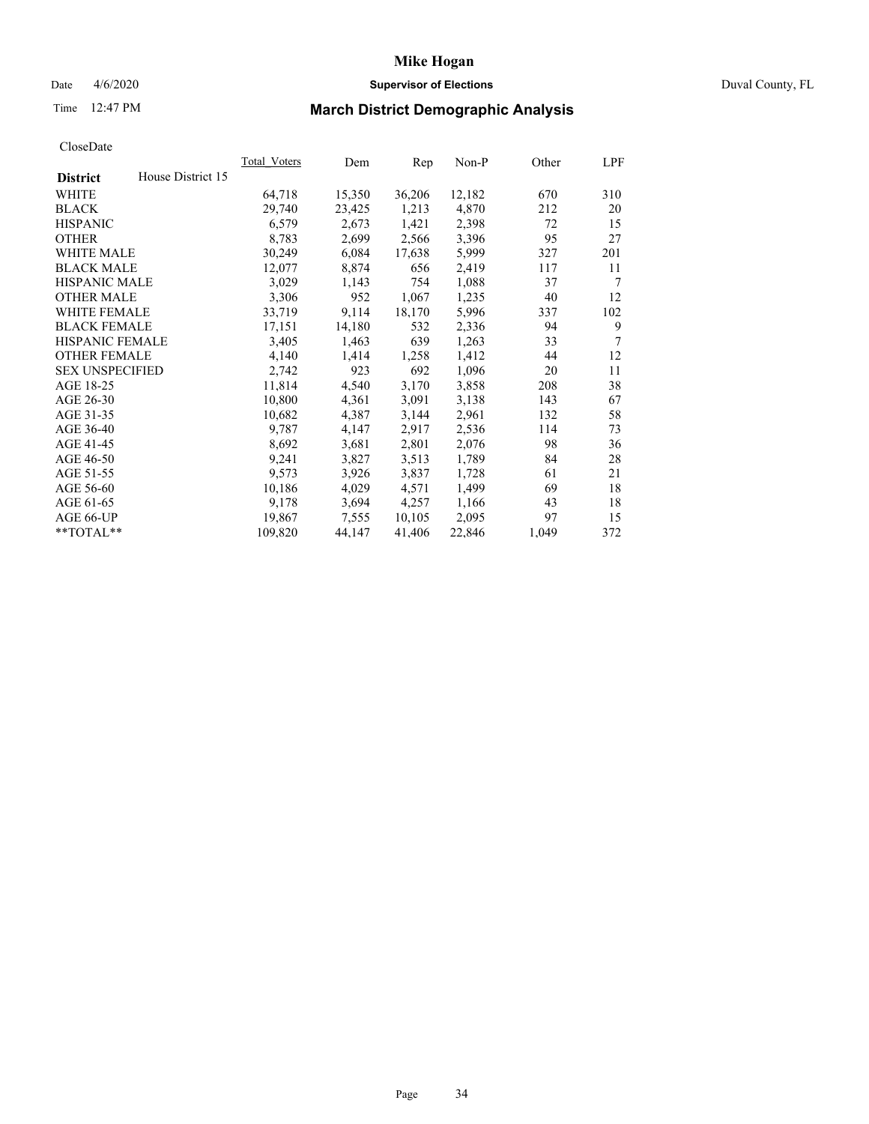## Date 4/6/2020 **Supervisor of Elections** Duval County, FL

# Time 12:47 PM **March District Demographic Analysis**

|                                      | Total Voters | Dem    | Rep    | Non-P  | Other | LPF |
|--------------------------------------|--------------|--------|--------|--------|-------|-----|
| House District 15<br><b>District</b> |              |        |        |        |       |     |
| <b>WHITE</b>                         | 64,718       | 15,350 | 36,206 | 12,182 | 670   | 310 |
| <b>BLACK</b>                         | 29,740       | 23,425 | 1,213  | 4,870  | 212   | 20  |
| <b>HISPANIC</b>                      | 6,579        | 2,673  | 1,421  | 2,398  | 72    | 15  |
| <b>OTHER</b>                         | 8,783        | 2,699  | 2,566  | 3,396  | 95    | 27  |
| WHITE MALE                           | 30,249       | 6,084  | 17,638 | 5,999  | 327   | 201 |
| <b>BLACK MALE</b>                    | 12,077       | 8,874  | 656    | 2,419  | 117   | 11  |
| <b>HISPANIC MALE</b>                 | 3,029        | 1,143  | 754    | 1,088  | 37    | 7   |
| <b>OTHER MALE</b>                    | 3,306        | 952    | 1,067  | 1,235  | 40    | 12  |
| <b>WHITE FEMALE</b>                  | 33,719       | 9,114  | 18,170 | 5,996  | 337   | 102 |
| <b>BLACK FEMALE</b>                  | 17,151       | 14,180 | 532    | 2,336  | 94    | 9   |
| HISPANIC FEMALE                      | 3,405        | 1,463  | 639    | 1,263  | 33    | 7   |
| <b>OTHER FEMALE</b>                  | 4,140        | 1,414  | 1,258  | 1,412  | 44    | 12  |
| <b>SEX UNSPECIFIED</b>               | 2,742        | 923    | 692    | 1,096  | 20    | 11  |
| AGE 18-25                            | 11,814       | 4,540  | 3,170  | 3,858  | 208   | 38  |
| AGE 26-30                            | 10,800       | 4,361  | 3,091  | 3,138  | 143   | 67  |
| AGE 31-35                            | 10,682       | 4,387  | 3,144  | 2,961  | 132   | 58  |
| AGE 36-40                            | 9,787        | 4,147  | 2,917  | 2,536  | 114   | 73  |
| AGE 41-45                            | 8,692        | 3,681  | 2,801  | 2,076  | 98    | 36  |
| AGE 46-50                            | 9,241        | 3,827  | 3,513  | 1,789  | 84    | 28  |
| AGE 51-55                            | 9,573        | 3,926  | 3,837  | 1,728  | 61    | 21  |
| AGE 56-60                            | 10,186       | 4,029  | 4,571  | 1,499  | 69    | 18  |
| AGE 61-65                            | 9,178        | 3,694  | 4,257  | 1,166  | 43    | 18  |
| AGE 66-UP                            | 19,867       | 7,555  | 10,105 | 2,095  | 97    | 15  |
| **TOTAL**                            | 109,820      | 44,147 | 41,406 | 22,846 | 1,049 | 372 |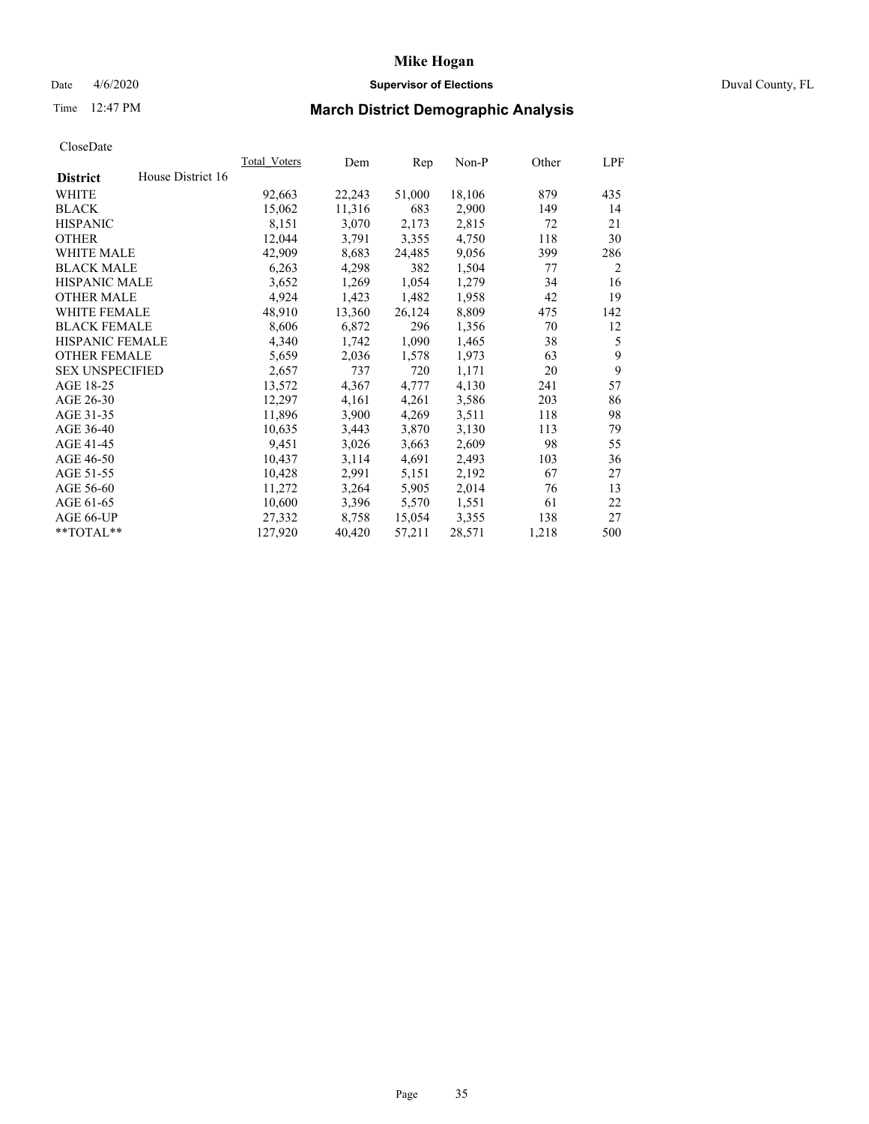# Date 4/6/2020 **Supervisor of Elections** Duval County, FL

# Time 12:47 PM **March District Demographic Analysis**

|                        |                   | Total Voters | Dem    | Rep    | Non-P  | Other | LPF |
|------------------------|-------------------|--------------|--------|--------|--------|-------|-----|
| <b>District</b>        | House District 16 |              |        |        |        |       |     |
| WHITE                  |                   | 92,663       | 22,243 | 51,000 | 18,106 | 879   | 435 |
| <b>BLACK</b>           |                   | 15,062       | 11,316 | 683    | 2,900  | 149   | 14  |
| <b>HISPANIC</b>        |                   | 8,151        | 3,070  | 2,173  | 2,815  | 72    | 21  |
| <b>OTHER</b>           |                   | 12,044       | 3,791  | 3,355  | 4,750  | 118   | 30  |
| WHITE MALE             |                   | 42,909       | 8,683  | 24,485 | 9,056  | 399   | 286 |
| <b>BLACK MALE</b>      |                   | 6,263        | 4,298  | 382    | 1,504  | 77    | 2   |
| <b>HISPANIC MALE</b>   |                   | 3,652        | 1,269  | 1,054  | 1,279  | 34    | 16  |
| <b>OTHER MALE</b>      |                   | 4,924        | 1,423  | 1,482  | 1,958  | 42    | 19  |
| WHITE FEMALE           |                   | 48,910       | 13,360 | 26,124 | 8,809  | 475   | 142 |
| <b>BLACK FEMALE</b>    |                   | 8,606        | 6,872  | 296    | 1,356  | 70    | 12  |
| HISPANIC FEMALE        |                   | 4,340        | 1,742  | 1,090  | 1,465  | 38    | 5   |
| <b>OTHER FEMALE</b>    |                   | 5,659        | 2,036  | 1,578  | 1,973  | 63    | 9   |
| <b>SEX UNSPECIFIED</b> |                   | 2,657        | 737    | 720    | 1,171  | 20    | 9   |
| AGE 18-25              |                   | 13,572       | 4,367  | 4,777  | 4,130  | 241   | 57  |
| AGE 26-30              |                   | 12,297       | 4,161  | 4,261  | 3,586  | 203   | 86  |
| AGE 31-35              |                   | 11,896       | 3,900  | 4,269  | 3,511  | 118   | 98  |
| AGE 36-40              |                   | 10,635       | 3,443  | 3,870  | 3,130  | 113   | 79  |
| AGE 41-45              |                   | 9,451        | 3,026  | 3,663  | 2,609  | 98    | 55  |
| AGE 46-50              |                   | 10,437       | 3,114  | 4,691  | 2,493  | 103   | 36  |
| AGE 51-55              |                   | 10,428       | 2,991  | 5,151  | 2,192  | 67    | 27  |
| AGE 56-60              |                   | 11,272       | 3,264  | 5,905  | 2,014  | 76    | 13  |
| AGE 61-65              |                   | 10,600       | 3,396  | 5,570  | 1,551  | 61    | 22  |
| AGE 66-UP              |                   | 27,332       | 8,758  | 15,054 | 3,355  | 138   | 27  |
| **TOTAL**              |                   | 127,920      | 40,420 | 57,211 | 28,571 | 1,218 | 500 |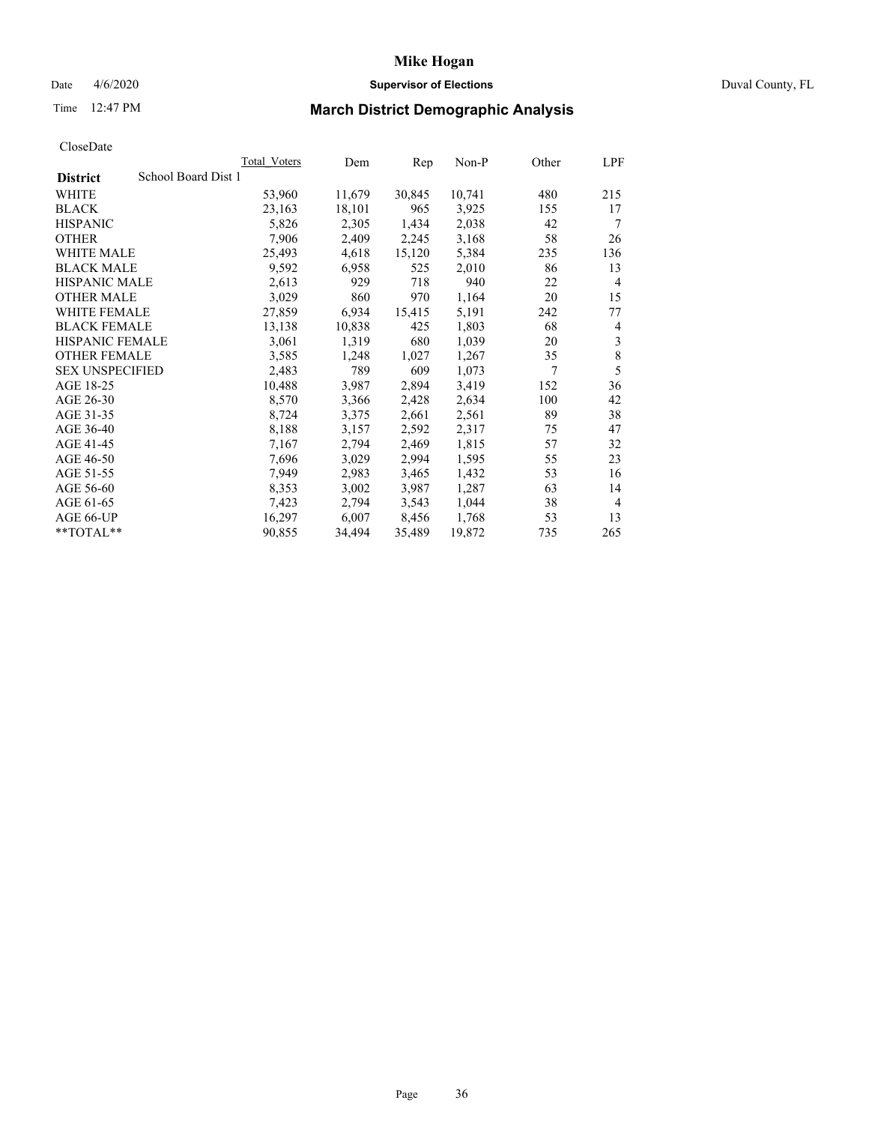## Date 4/6/2020 **Supervisor of Elections** Duval County, FL

# Time 12:47 PM **March District Demographic Analysis**

|                                        | Total Voters | Dem    | Rep    | Non-P  | Other | LPF            |
|----------------------------------------|--------------|--------|--------|--------|-------|----------------|
| School Board Dist 1<br><b>District</b> |              |        |        |        |       |                |
| <b>WHITE</b>                           | 53,960       | 11,679 | 30,845 | 10,741 | 480   | 215            |
| <b>BLACK</b>                           | 23,163       | 18,101 | 965    | 3,925  | 155   | 17             |
| <b>HISPANIC</b>                        | 5,826        | 2,305  | 1,434  | 2,038  | 42    | 7              |
| <b>OTHER</b>                           | 7,906        | 2,409  | 2,245  | 3,168  | 58    | 26             |
| WHITE MALE                             | 25,493       | 4,618  | 15,120 | 5,384  | 235   | 136            |
| <b>BLACK MALE</b>                      | 9,592        | 6,958  | 525    | 2,010  | 86    | 13             |
| <b>HISPANIC MALE</b>                   | 2,613        | 929    | 718    | 940    | 22    | $\overline{4}$ |
| <b>OTHER MALE</b>                      | 3,029        | 860    | 970    | 1,164  | 20    | 15             |
| <b>WHITE FEMALE</b>                    | 27,859       | 6,934  | 15,415 | 5,191  | 242   | 77             |
| <b>BLACK FEMALE</b>                    | 13,138       | 10,838 | 425    | 1,803  | 68    | 4              |
| <b>HISPANIC FEMALE</b>                 | 3,061        | 1,319  | 680    | 1,039  | 20    | 3              |
| <b>OTHER FEMALE</b>                    | 3,585        | 1,248  | 1,027  | 1,267  | 35    | $\,8\,$        |
| <b>SEX UNSPECIFIED</b>                 | 2,483        | 789    | 609    | 1,073  | 7     | 5              |
| AGE 18-25                              | 10,488       | 3,987  | 2,894  | 3,419  | 152   | 36             |
| AGE 26-30                              | 8,570        | 3,366  | 2,428  | 2,634  | 100   | 42             |
| AGE 31-35                              | 8,724        | 3,375  | 2,661  | 2,561  | 89    | 38             |
| AGE 36-40                              | 8,188        | 3,157  | 2,592  | 2,317  | 75    | 47             |
| AGE 41-45                              | 7,167        | 2,794  | 2,469  | 1,815  | 57    | 32             |
| AGE 46-50                              | 7,696        | 3,029  | 2,994  | 1,595  | 55    | 23             |
| AGE 51-55                              | 7,949        | 2,983  | 3,465  | 1,432  | 53    | 16             |
| AGE 56-60                              | 8,353        | 3,002  | 3,987  | 1,287  | 63    | 14             |
| AGE 61-65                              | 7,423        | 2,794  | 3,543  | 1,044  | 38    | $\overline{4}$ |
| AGE 66-UP                              | 16,297       | 6,007  | 8,456  | 1,768  | 53    | 13             |
| $*$ $TOTAL**$                          | 90,855       | 34,494 | 35,489 | 19,872 | 735   | 265            |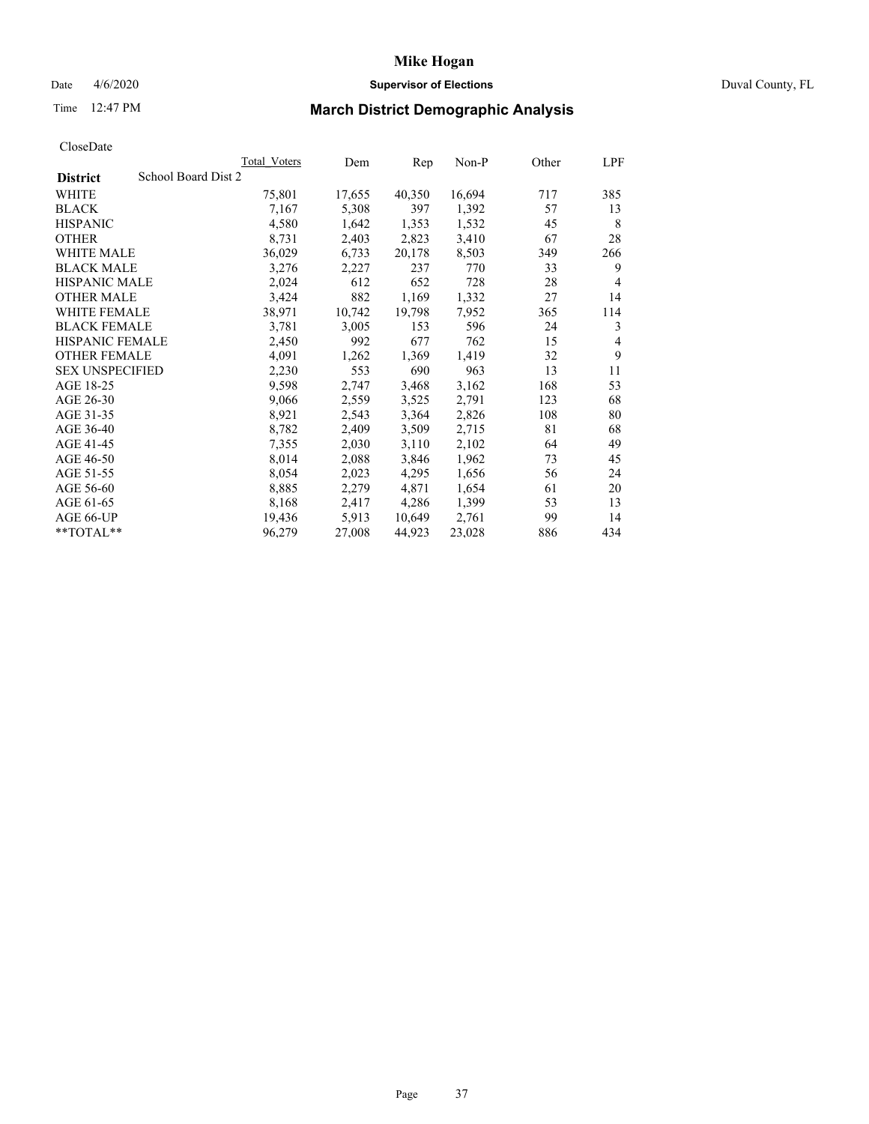## Date 4/6/2020 **Supervisor of Elections** Duval County, FL

# Time 12:47 PM **March District Demographic Analysis**

|                                        | Total Voters | Dem    | Rep    | Non-P  | Other | LPF |
|----------------------------------------|--------------|--------|--------|--------|-------|-----|
| School Board Dist 2<br><b>District</b> |              |        |        |        |       |     |
| <b>WHITE</b>                           | 75,801       | 17,655 | 40,350 | 16,694 | 717   | 385 |
| <b>BLACK</b>                           | 7,167        | 5,308  | 397    | 1,392  | 57    | 13  |
| <b>HISPANIC</b>                        | 4,580        | 1,642  | 1,353  | 1,532  | 45    | 8   |
| <b>OTHER</b>                           | 8,731        | 2,403  | 2,823  | 3,410  | 67    | 28  |
| WHITE MALE                             | 36,029       | 6,733  | 20,178 | 8,503  | 349   | 266 |
| <b>BLACK MALE</b>                      | 3,276        | 2,227  | 237    | 770    | 33    | 9   |
| <b>HISPANIC MALE</b>                   | 2,024        | 612    | 652    | 728    | 28    | 4   |
| <b>OTHER MALE</b>                      | 3,424        | 882    | 1,169  | 1,332  | 27    | 14  |
| <b>WHITE FEMALE</b>                    | 38,971       | 10,742 | 19,798 | 7,952  | 365   | 114 |
| <b>BLACK FEMALE</b>                    | 3,781        | 3,005  | 153    | 596    | 24    | 3   |
| <b>HISPANIC FEMALE</b>                 | 2,450        | 992    | 677    | 762    | 15    | 4   |
| <b>OTHER FEMALE</b>                    | 4,091        | 1,262  | 1,369  | 1,419  | 32    | 9   |
| <b>SEX UNSPECIFIED</b>                 | 2,230        | 553    | 690    | 963    | 13    | 11  |
| AGE 18-25                              | 9,598        | 2,747  | 3,468  | 3,162  | 168   | 53  |
| AGE 26-30                              | 9,066        | 2,559  | 3,525  | 2,791  | 123   | 68  |
| AGE 31-35                              | 8,921        | 2,543  | 3,364  | 2,826  | 108   | 80  |
| AGE 36-40                              | 8,782        | 2,409  | 3,509  | 2,715  | 81    | 68  |
| AGE 41-45                              | 7,355        | 2,030  | 3,110  | 2,102  | 64    | 49  |
| AGE 46-50                              | 8,014        | 2,088  | 3,846  | 1,962  | 73    | 45  |
| AGE 51-55                              | 8,054        | 2,023  | 4,295  | 1,656  | 56    | 24  |
| AGE 56-60                              | 8,885        | 2,279  | 4,871  | 1,654  | 61    | 20  |
| AGE 61-65                              | 8,168        | 2,417  | 4,286  | 1,399  | 53    | 13  |
| AGE 66-UP                              | 19,436       | 5,913  | 10,649 | 2,761  | 99    | 14  |
| $*$ $TOTAL**$                          | 96,279       | 27,008 | 44,923 | 23,028 | 886   | 434 |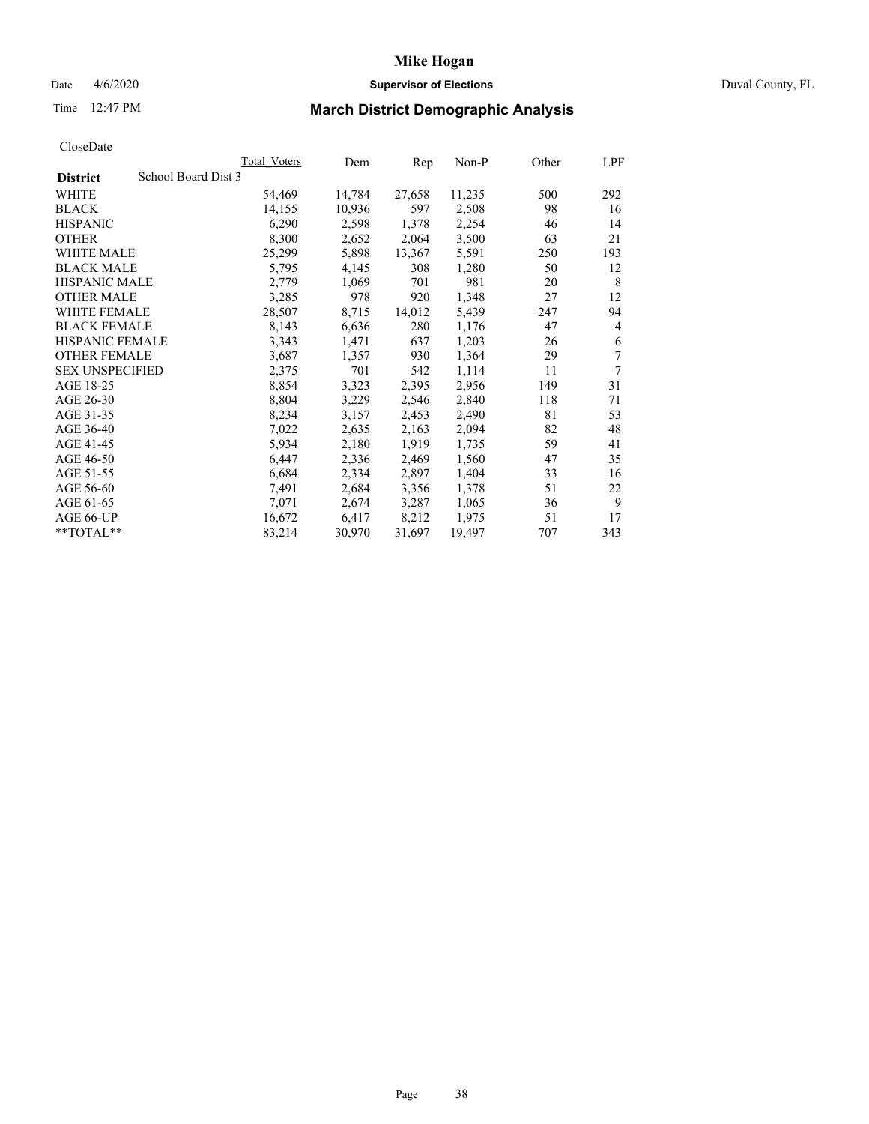## Date 4/6/2020 **Supervisor of Elections** Duval County, FL

# Time 12:47 PM **March District Demographic Analysis**

|                                        | Total Voters | Dem    | Rep    | Non-P  | Other | LPF |
|----------------------------------------|--------------|--------|--------|--------|-------|-----|
| School Board Dist 3<br><b>District</b> |              |        |        |        |       |     |
| <b>WHITE</b>                           | 54,469       | 14,784 | 27,658 | 11,235 | 500   | 292 |
| <b>BLACK</b>                           | 14,155       | 10,936 | 597    | 2,508  | 98    | 16  |
| <b>HISPANIC</b>                        | 6,290        | 2,598  | 1,378  | 2,254  | 46    | 14  |
| <b>OTHER</b>                           | 8,300        | 2,652  | 2,064  | 3,500  | 63    | 21  |
| WHITE MALE                             | 25,299       | 5,898  | 13,367 | 5,591  | 250   | 193 |
| <b>BLACK MALE</b>                      | 5,795        | 4,145  | 308    | 1,280  | 50    | 12  |
| <b>HISPANIC MALE</b>                   | 2,779        | 1,069  | 701    | 981    | 20    | 8   |
| <b>OTHER MALE</b>                      | 3,285        | 978    | 920    | 1,348  | 27    | 12  |
| <b>WHITE FEMALE</b>                    | 28,507       | 8,715  | 14,012 | 5,439  | 247   | 94  |
| <b>BLACK FEMALE</b>                    | 8,143        | 6,636  | 280    | 1,176  | 47    | 4   |
| <b>HISPANIC FEMALE</b>                 | 3,343        | 1,471  | 637    | 1,203  | 26    | 6   |
| <b>OTHER FEMALE</b>                    | 3,687        | 1,357  | 930    | 1,364  | 29    | 7   |
| <b>SEX UNSPECIFIED</b>                 | 2,375        | 701    | 542    | 1,114  | 11    | 7   |
| AGE 18-25                              | 8,854        | 3,323  | 2,395  | 2,956  | 149   | 31  |
| AGE 26-30                              | 8,804        | 3,229  | 2,546  | 2,840  | 118   | 71  |
| AGE 31-35                              | 8,234        | 3,157  | 2,453  | 2,490  | 81    | 53  |
| AGE 36-40                              | 7,022        | 2,635  | 2,163  | 2,094  | 82    | 48  |
| AGE 41-45                              | 5,934        | 2,180  | 1,919  | 1,735  | 59    | 41  |
| AGE 46-50                              | 6,447        | 2,336  | 2,469  | 1,560  | 47    | 35  |
| AGE 51-55                              | 6,684        | 2,334  | 2,897  | 1,404  | 33    | 16  |
| AGE 56-60                              | 7.491        | 2,684  | 3,356  | 1,378  | 51    | 22  |
| AGE 61-65                              | 7,071        | 2,674  | 3,287  | 1,065  | 36    | 9   |
| AGE 66-UP                              | 16,672       | 6,417  | 8,212  | 1,975  | 51    | 17  |
| $*$ $TOTAL**$                          | 83,214       | 30,970 | 31,697 | 19,497 | 707   | 343 |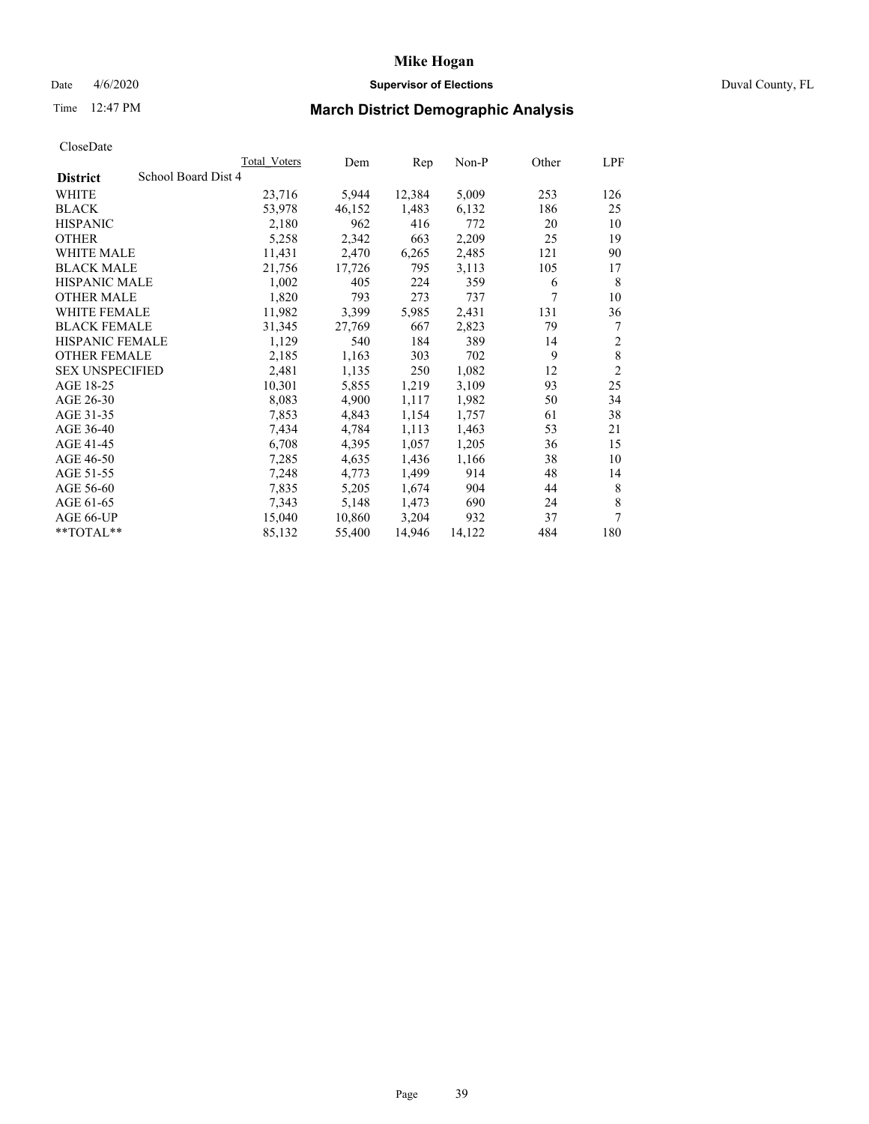## Date 4/6/2020 **Supervisor of Elections** Duval County, FL

# Time 12:47 PM **March District Demographic Analysis**

|                                        | Total Voters | Dem    | Rep    | Non-P  | Other | LPF            |
|----------------------------------------|--------------|--------|--------|--------|-------|----------------|
| School Board Dist 4<br><b>District</b> |              |        |        |        |       |                |
| WHITE                                  | 23,716       | 5,944  | 12,384 | 5,009  | 253   | 126            |
| <b>BLACK</b>                           | 53,978       | 46,152 | 1,483  | 6,132  | 186   | 25             |
| <b>HISPANIC</b>                        | 2,180        | 962    | 416    | 772    | 20    | 10             |
| <b>OTHER</b>                           | 5,258        | 2,342  | 663    | 2,209  | 25    | 19             |
| WHITE MALE                             | 11,431       | 2,470  | 6,265  | 2,485  | 121   | 90             |
| <b>BLACK MALE</b>                      | 21,756       | 17,726 | 795    | 3,113  | 105   | 17             |
| <b>HISPANIC MALE</b>                   | 1,002        | 405    | 224    | 359    | 6     | 8              |
| <b>OTHER MALE</b>                      | 1,820        | 793    | 273    | 737    | 7     | 10             |
| <b>WHITE FEMALE</b>                    | 11,982       | 3,399  | 5,985  | 2,431  | 131   | 36             |
| <b>BLACK FEMALE</b>                    | 31,345       | 27,769 | 667    | 2,823  | 79    | 7              |
| <b>HISPANIC FEMALE</b>                 | 1,129        | 540    | 184    | 389    | 14    | $\overline{2}$ |
| <b>OTHER FEMALE</b>                    | 2,185        | 1,163  | 303    | 702    | 9     | $\,$ 8 $\,$    |
| <b>SEX UNSPECIFIED</b>                 | 2,481        | 1,135  | 250    | 1,082  | 12    | $\overline{c}$ |
| AGE 18-25                              | 10,301       | 5,855  | 1,219  | 3,109  | 93    | 25             |
| AGE 26-30                              | 8,083        | 4,900  | 1,117  | 1,982  | 50    | 34             |
| AGE 31-35                              | 7,853        | 4,843  | 1,154  | 1,757  | 61    | 38             |
| AGE 36-40                              | 7,434        | 4,784  | 1,113  | 1,463  | 53    | 21             |
| AGE 41-45                              | 6,708        | 4,395  | 1,057  | 1,205  | 36    | 15             |
| AGE 46-50                              | 7,285        | 4,635  | 1,436  | 1,166  | 38    | 10             |
| AGE 51-55                              | 7,248        | 4,773  | 1,499  | 914    | 48    | 14             |
| AGE 56-60                              | 7,835        | 5,205  | 1,674  | 904    | 44    | 8              |
| AGE 61-65                              | 7,343        | 5,148  | 1,473  | 690    | 24    | 8              |
| AGE 66-UP                              | 15,040       | 10,860 | 3,204  | 932    | 37    | 7              |
| **TOTAL**                              | 85,132       | 55,400 | 14,946 | 14,122 | 484   | 180            |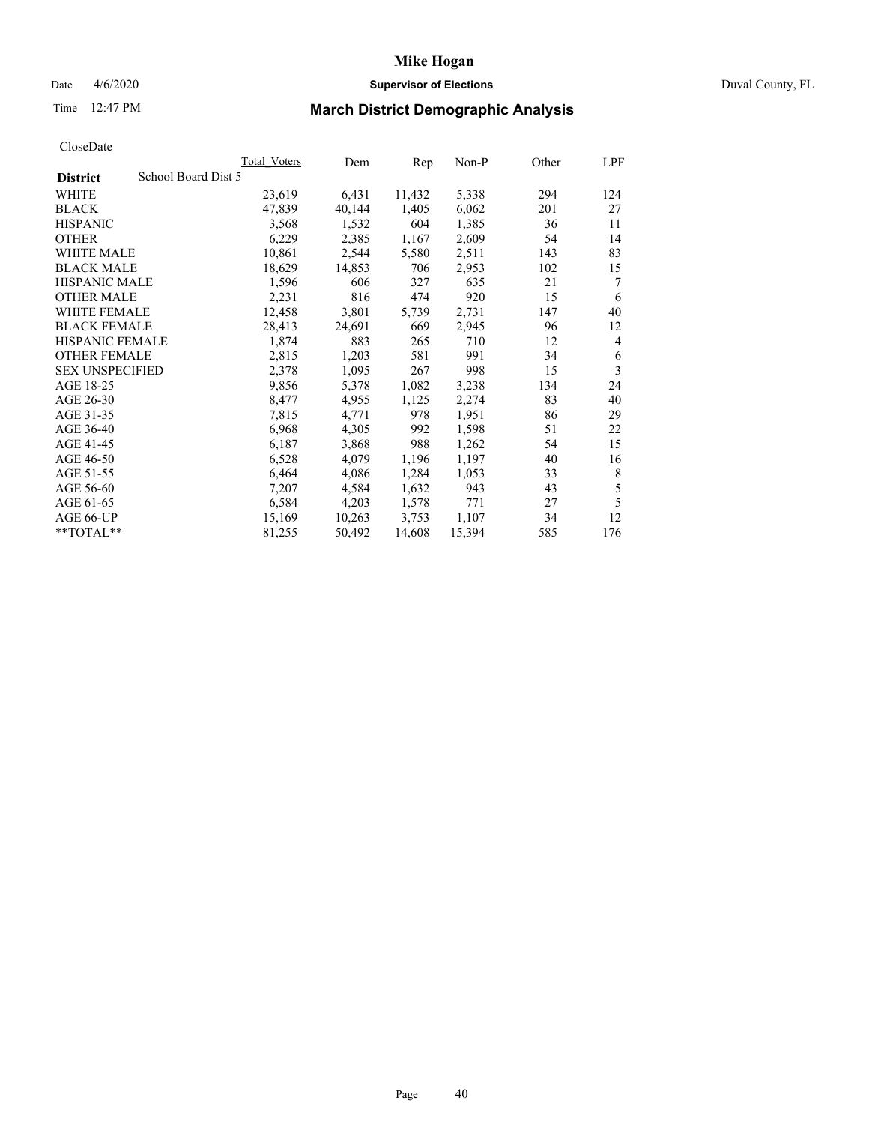## Date 4/6/2020 **Supervisor of Elections** Duval County, FL

# Time 12:47 PM **March District Demographic Analysis**

|                                        | Total Voters | Dem    | Rep    | Non-P  | Other | LPF |
|----------------------------------------|--------------|--------|--------|--------|-------|-----|
| School Board Dist 5<br><b>District</b> |              |        |        |        |       |     |
| WHITE                                  | 23,619       | 6,431  | 11,432 | 5,338  | 294   | 124 |
| <b>BLACK</b>                           | 47,839       | 40,144 | 1,405  | 6,062  | 201   | 27  |
| <b>HISPANIC</b>                        | 3,568        | 1,532  | 604    | 1,385  | 36    | 11  |
| <b>OTHER</b>                           | 6,229        | 2,385  | 1,167  | 2,609  | 54    | 14  |
| WHITE MALE                             | 10,861       | 2,544  | 5,580  | 2,511  | 143   | 83  |
| <b>BLACK MALE</b>                      | 18,629       | 14,853 | 706    | 2,953  | 102   | 15  |
| <b>HISPANIC MALE</b>                   | 1,596        | 606    | 327    | 635    | 21    | 7   |
| <b>OTHER MALE</b>                      | 2,231        | 816    | 474    | 920    | 15    | 6   |
| <b>WHITE FEMALE</b>                    | 12,458       | 3,801  | 5,739  | 2,731  | 147   | 40  |
| <b>BLACK FEMALE</b>                    | 28,413       | 24,691 | 669    | 2,945  | 96    | 12  |
| HISPANIC FEMALE                        | 1,874        | 883    | 265    | 710    | 12    | 4   |
| <b>OTHER FEMALE</b>                    | 2,815        | 1,203  | 581    | 991    | 34    | 6   |
| <b>SEX UNSPECIFIED</b>                 | 2,378        | 1,095  | 267    | 998    | 15    | 3   |
| AGE 18-25                              | 9,856        | 5,378  | 1,082  | 3,238  | 134   | 24  |
| AGE 26-30                              | 8,477        | 4,955  | 1,125  | 2,274  | 83    | 40  |
| AGE 31-35                              | 7,815        | 4,771  | 978    | 1,951  | 86    | 29  |
| AGE 36-40                              | 6,968        | 4,305  | 992    | 1,598  | 51    | 22  |
| AGE 41-45                              | 6,187        | 3,868  | 988    | 1,262  | 54    | 15  |
| AGE 46-50                              | 6,528        | 4,079  | 1,196  | 1,197  | 40    | 16  |
| AGE 51-55                              | 6,464        | 4,086  | 1,284  | 1,053  | 33    | 8   |
| AGE 56-60                              | 7,207        | 4,584  | 1,632  | 943    | 43    | 5   |
| AGE 61-65                              | 6,584        | 4,203  | 1,578  | 771    | 27    | 5   |
| AGE 66-UP                              | 15,169       | 10,263 | 3,753  | 1,107  | 34    | 12  |
| $*$ $TOTAL**$                          | 81,255       | 50,492 | 14,608 | 15,394 | 585   | 176 |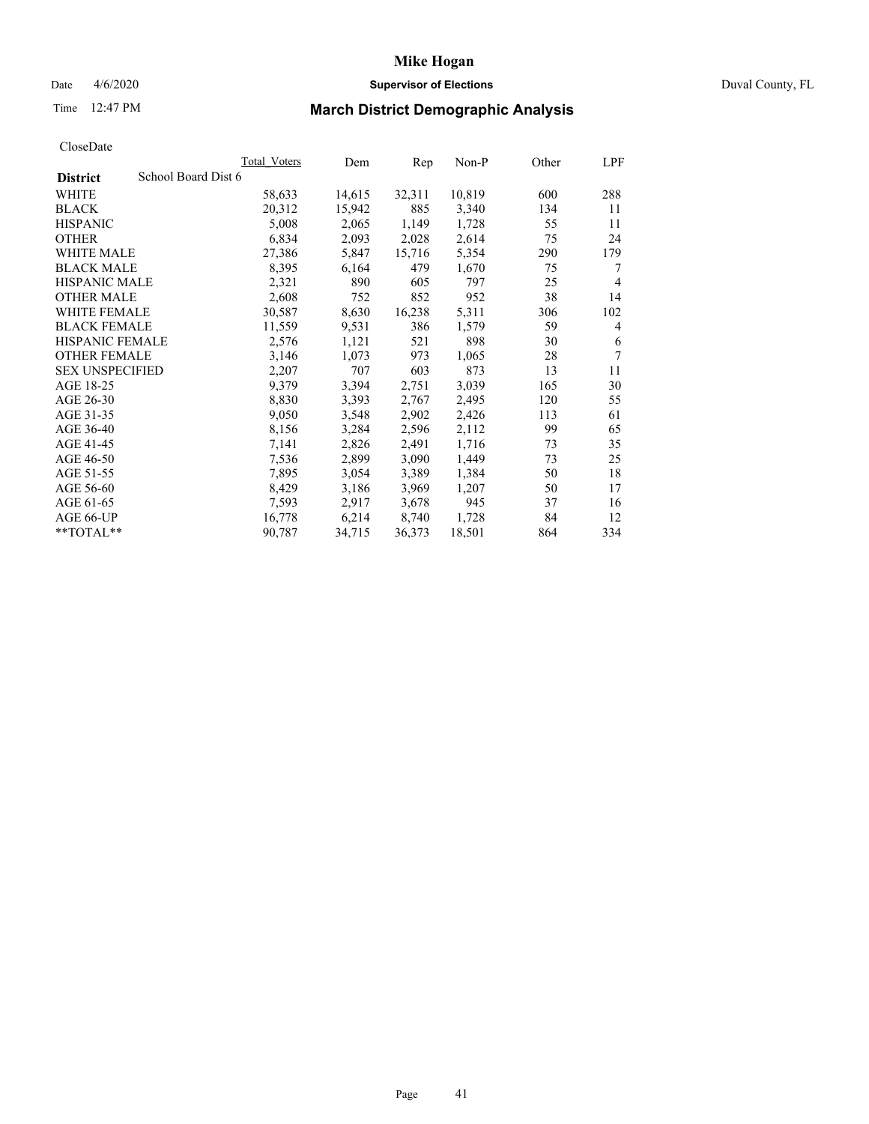# **Mike Hogan** Date 4/6/2020 **Supervisor of Elections** Duval County, FL

# Time 12:47 PM **March District Demographic Analysis**

|                                        | Total Voters | Dem    | Rep    | Non-P  | Other | LPF            |
|----------------------------------------|--------------|--------|--------|--------|-------|----------------|
| School Board Dist 6<br><b>District</b> |              |        |        |        |       |                |
| <b>WHITE</b>                           | 58,633       | 14,615 | 32,311 | 10,819 | 600   | 288            |
| <b>BLACK</b>                           | 20,312       | 15,942 | 885    | 3,340  | 134   | 11             |
| <b>HISPANIC</b>                        | 5,008        | 2,065  | 1,149  | 1,728  | 55    | 11             |
| <b>OTHER</b>                           | 6,834        | 2,093  | 2,028  | 2,614  | 75    | 24             |
| WHITE MALE                             | 27,386       | 5,847  | 15,716 | 5,354  | 290   | 179            |
| <b>BLACK MALE</b>                      | 8,395        | 6,164  | 479    | 1,670  | 75    | 7              |
| <b>HISPANIC MALE</b>                   | 2,321        | 890    | 605    | 797    | 25    | $\overline{4}$ |
| <b>OTHER MALE</b>                      | 2,608        | 752    | 852    | 952    | 38    | 14             |
| <b>WHITE FEMALE</b>                    | 30,587       | 8,630  | 16,238 | 5,311  | 306   | 102            |
| <b>BLACK FEMALE</b>                    | 11,559       | 9.531  | 386    | 1,579  | 59    | 4              |
| <b>HISPANIC FEMALE</b>                 | 2,576        | 1,121  | 521    | 898    | 30    | 6              |
| <b>OTHER FEMALE</b>                    | 3,146        | 1,073  | 973    | 1,065  | 28    | 7              |
| <b>SEX UNSPECIFIED</b>                 | 2,207        | 707    | 603    | 873    | 13    | 11             |
| AGE 18-25                              | 9,379        | 3,394  | 2,751  | 3,039  | 165   | 30             |
| AGE 26-30                              | 8,830        | 3,393  | 2,767  | 2,495  | 120   | 55             |
| AGE 31-35                              | 9,050        | 3,548  | 2,902  | 2,426  | 113   | 61             |
| AGE 36-40                              | 8,156        | 3,284  | 2,596  | 2,112  | 99    | 65             |
| AGE 41-45                              | 7,141        | 2,826  | 2,491  | 1,716  | 73    | 35             |
| AGE 46-50                              | 7,536        | 2,899  | 3,090  | 1,449  | 73    | 25             |
| AGE 51-55                              | 7,895        | 3,054  | 3,389  | 1,384  | 50    | 18             |
| AGE 56-60                              | 8,429        | 3,186  | 3,969  | 1,207  | 50    | 17             |
| AGE 61-65                              | 7,593        | 2,917  | 3,678  | 945    | 37    | 16             |
| AGE 66-UP                              | 16,778       | 6,214  | 8,740  | 1,728  | 84    | 12             |
| **TOTAL**                              | 90,787       | 34,715 | 36,373 | 18,501 | 864   | 334            |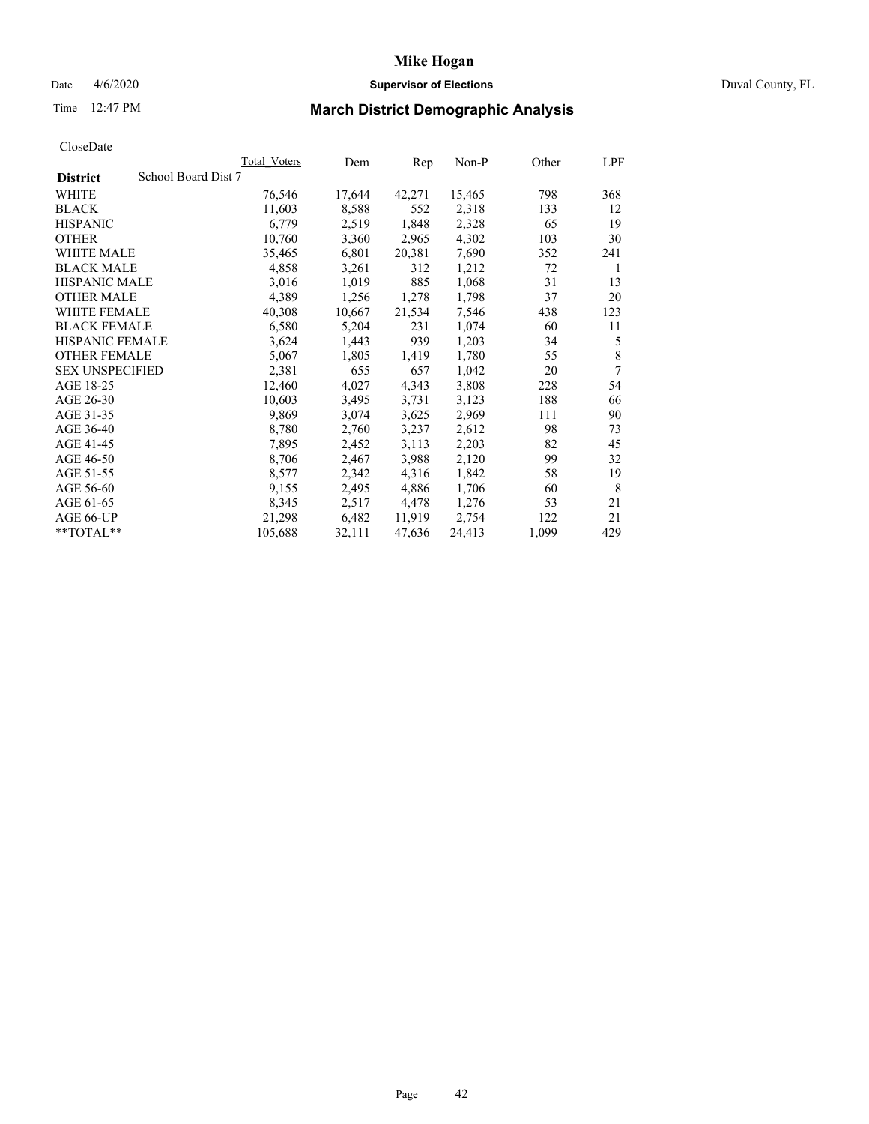## Date 4/6/2020 **Supervisor of Elections** Duval County, FL

# Time 12:47 PM **March District Demographic Analysis**

|                                        | Total Voters | Dem    | Rep    | Non-P  | Other | LPF |
|----------------------------------------|--------------|--------|--------|--------|-------|-----|
| School Board Dist 7<br><b>District</b> |              |        |        |        |       |     |
| <b>WHITE</b>                           | 76,546       | 17,644 | 42,271 | 15,465 | 798   | 368 |
| <b>BLACK</b>                           | 11,603       | 8,588  | 552    | 2,318  | 133   | 12  |
| <b>HISPANIC</b>                        | 6,779        | 2,519  | 1,848  | 2,328  | 65    | 19  |
| <b>OTHER</b>                           | 10,760       | 3,360  | 2,965  | 4,302  | 103   | 30  |
| WHITE MALE                             | 35,465       | 6,801  | 20,381 | 7,690  | 352   | 241 |
| <b>BLACK MALE</b>                      | 4,858        | 3,261  | 312    | 1,212  | 72    | 1   |
| <b>HISPANIC MALE</b>                   | 3,016        | 1,019  | 885    | 1,068  | 31    | 13  |
| <b>OTHER MALE</b>                      | 4,389        | 1,256  | 1,278  | 1,798  | 37    | 20  |
| <b>WHITE FEMALE</b>                    | 40,308       | 10,667 | 21,534 | 7,546  | 438   | 123 |
| <b>BLACK FEMALE</b>                    | 6,580        | 5,204  | 231    | 1,074  | 60    | 11  |
| HISPANIC FEMALE                        | 3,624        | 1,443  | 939    | 1,203  | 34    | 5   |
| <b>OTHER FEMALE</b>                    | 5,067        | 1,805  | 1,419  | 1,780  | 55    | 8   |
| <b>SEX UNSPECIFIED</b>                 | 2,381        | 655    | 657    | 1,042  | 20    | 7   |
| AGE 18-25                              | 12,460       | 4,027  | 4,343  | 3,808  | 228   | 54  |
| AGE 26-30                              | 10,603       | 3,495  | 3,731  | 3,123  | 188   | 66  |
| AGE 31-35                              | 9,869        | 3,074  | 3,625  | 2,969  | 111   | 90  |
| AGE 36-40                              | 8,780        | 2,760  | 3,237  | 2,612  | 98    | 73  |
| AGE 41-45                              | 7,895        | 2,452  | 3,113  | 2,203  | 82    | 45  |
| AGE 46-50                              | 8,706        | 2,467  | 3,988  | 2,120  | 99    | 32  |
| AGE 51-55                              | 8,577        | 2,342  | 4,316  | 1,842  | 58    | 19  |
| AGE 56-60                              | 9,155        | 2,495  | 4,886  | 1,706  | 60    | 8   |
| AGE 61-65                              | 8,345        | 2,517  | 4,478  | 1,276  | 53    | 21  |
| AGE 66-UP                              | 21,298       | 6,482  | 11,919 | 2,754  | 122   | 21  |
| **TOTAL**                              | 105,688      | 32,111 | 47,636 | 24,413 | 1,099 | 429 |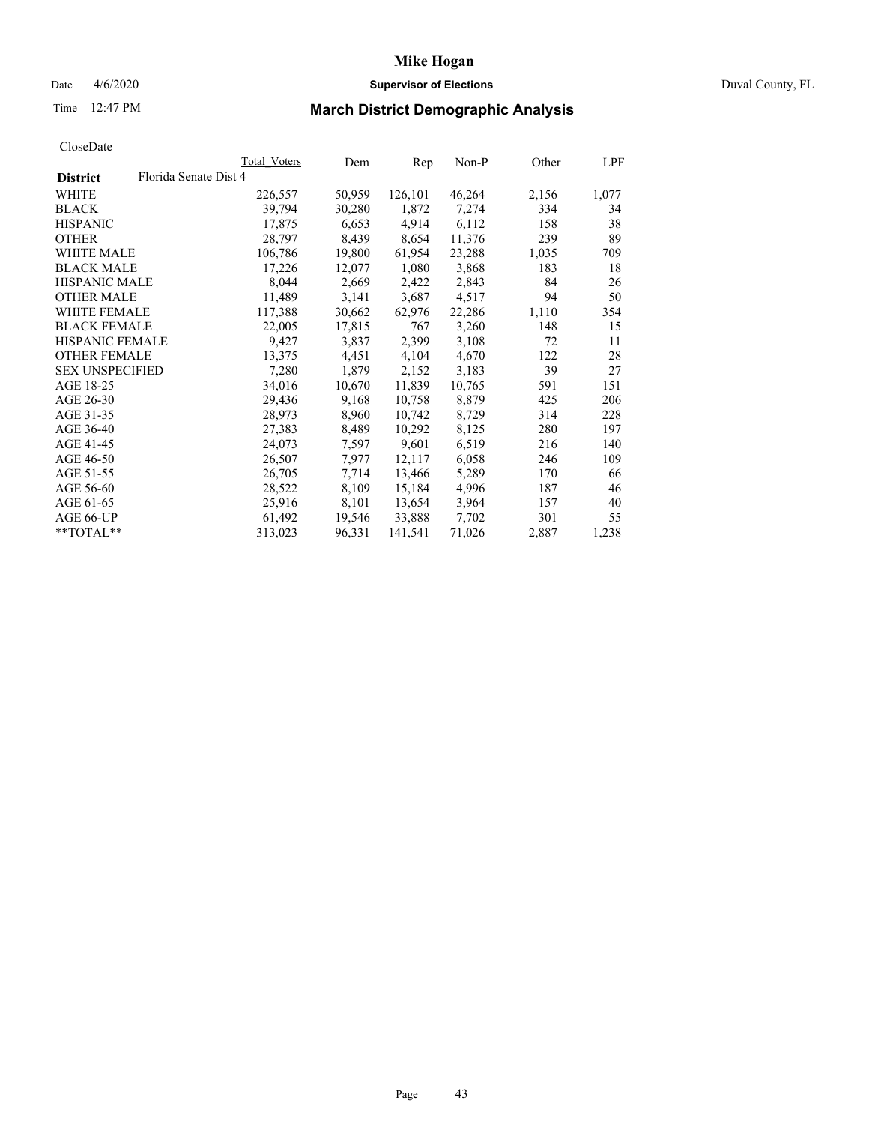## Date 4/6/2020 **Supervisor of Elections** Duval County, FL

# Time 12:47 PM **March District Demographic Analysis**

|                                          | Total Voters | Dem    | Rep     | Non-P  | Other | LPF   |
|------------------------------------------|--------------|--------|---------|--------|-------|-------|
| Florida Senate Dist 4<br><b>District</b> |              |        |         |        |       |       |
| <b>WHITE</b>                             | 226,557      | 50,959 | 126,101 | 46,264 | 2,156 | 1,077 |
| <b>BLACK</b>                             | 39,794       | 30,280 | 1,872   | 7,274  | 334   | 34    |
| <b>HISPANIC</b>                          | 17,875       | 6,653  | 4,914   | 6,112  | 158   | 38    |
| <b>OTHER</b>                             | 28,797       | 8,439  | 8,654   | 11,376 | 239   | 89    |
| WHITE MALE                               | 106,786      | 19,800 | 61,954  | 23,288 | 1,035 | 709   |
| <b>BLACK MALE</b>                        | 17,226       | 12,077 | 1,080   | 3,868  | 183   | 18    |
| <b>HISPANIC MALE</b>                     | 8,044        | 2,669  | 2,422   | 2,843  | 84    | 26    |
| <b>OTHER MALE</b>                        | 11,489       | 3,141  | 3,687   | 4,517  | 94    | 50    |
| <b>WHITE FEMALE</b>                      | 117,388      | 30,662 | 62,976  | 22,286 | 1,110 | 354   |
| <b>BLACK FEMALE</b>                      | 22,005       | 17,815 | 767     | 3,260  | 148   | 15    |
| <b>HISPANIC FEMALE</b>                   | 9,427        | 3,837  | 2,399   | 3,108  | 72    | 11    |
| <b>OTHER FEMALE</b>                      | 13,375       | 4,451  | 4,104   | 4,670  | 122   | 28    |
| <b>SEX UNSPECIFIED</b>                   | 7,280        | 1,879  | 2,152   | 3,183  | 39    | 27    |
| AGE 18-25                                | 34,016       | 10,670 | 11,839  | 10,765 | 591   | 151   |
| AGE 26-30                                | 29,436       | 9,168  | 10,758  | 8,879  | 425   | 206   |
| AGE 31-35                                | 28,973       | 8,960  | 10,742  | 8,729  | 314   | 228   |
| AGE 36-40                                | 27,383       | 8,489  | 10,292  | 8,125  | 280   | 197   |
| AGE 41-45                                | 24,073       | 7,597  | 9,601   | 6,519  | 216   | 140   |
| AGE 46-50                                | 26,507       | 7,977  | 12,117  | 6,058  | 246   | 109   |
| AGE 51-55                                | 26,705       | 7.714  | 13,466  | 5,289  | 170   | 66    |
| AGE 56-60                                | 28,522       | 8,109  | 15,184  | 4,996  | 187   | 46    |
| AGE 61-65                                | 25,916       | 8,101  | 13,654  | 3,964  | 157   | 40    |
| AGE 66-UP                                | 61,492       | 19,546 | 33,888  | 7,702  | 301   | 55    |
| $*$ $TOTAL**$                            | 313,023      | 96,331 | 141,541 | 71,026 | 2,887 | 1,238 |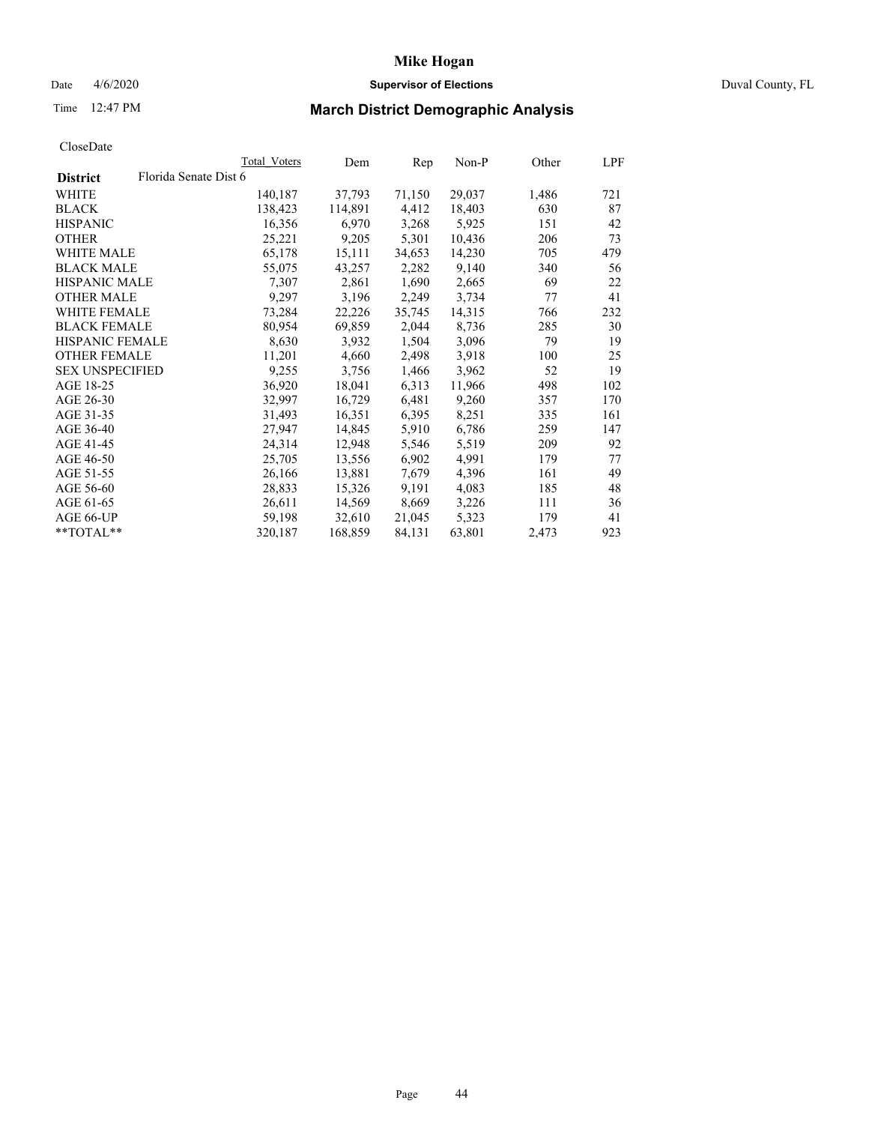## Date 4/6/2020 **Supervisor of Elections** Duval County, FL

# Time 12:47 PM **March District Demographic Analysis**

|                        |                       | Total Voters | Dem     | Rep    | Non-P  | Other | LPF |
|------------------------|-----------------------|--------------|---------|--------|--------|-------|-----|
| <b>District</b>        | Florida Senate Dist 6 |              |         |        |        |       |     |
| WHITE                  |                       | 140,187      | 37,793  | 71,150 | 29,037 | 1,486 | 721 |
| <b>BLACK</b>           |                       | 138,423      | 114,891 | 4,412  | 18,403 | 630   | 87  |
| <b>HISPANIC</b>        |                       | 16,356       | 6,970   | 3,268  | 5,925  | 151   | 42  |
| <b>OTHER</b>           |                       | 25,221       | 9,205   | 5,301  | 10,436 | 206   | 73  |
| WHITE MALE             |                       | 65,178       | 15,111  | 34,653 | 14,230 | 705   | 479 |
| <b>BLACK MALE</b>      |                       | 55,075       | 43,257  | 2,282  | 9,140  | 340   | 56  |
| <b>HISPANIC MALE</b>   |                       | 7,307        | 2,861   | 1,690  | 2,665  | 69    | 22  |
| <b>OTHER MALE</b>      |                       | 9,297        | 3,196   | 2,249  | 3,734  | 77    | 41  |
| <b>WHITE FEMALE</b>    |                       | 73,284       | 22,226  | 35,745 | 14,315 | 766   | 232 |
| <b>BLACK FEMALE</b>    |                       | 80,954       | 69,859  | 2,044  | 8,736  | 285   | 30  |
| HISPANIC FEMALE        |                       | 8,630        | 3,932   | 1,504  | 3,096  | 79    | 19  |
| <b>OTHER FEMALE</b>    |                       | 11,201       | 4,660   | 2,498  | 3.918  | 100   | 25  |
| <b>SEX UNSPECIFIED</b> |                       | 9,255        | 3,756   | 1,466  | 3,962  | 52    | 19  |
| AGE 18-25              |                       | 36,920       | 18,041  | 6,313  | 11,966 | 498   | 102 |
| AGE 26-30              |                       | 32,997       | 16,729  | 6,481  | 9,260  | 357   | 170 |
| AGE 31-35              |                       | 31,493       | 16,351  | 6,395  | 8,251  | 335   | 161 |
| AGE 36-40              |                       | 27,947       | 14,845  | 5,910  | 6,786  | 259   | 147 |
| AGE 41-45              |                       | 24,314       | 12,948  | 5,546  | 5,519  | 209   | 92  |
| AGE 46-50              |                       | 25,705       | 13,556  | 6,902  | 4,991  | 179   | 77  |
| AGE 51-55              |                       | 26,166       | 13,881  | 7,679  | 4,396  | 161   | 49  |
| AGE 56-60              |                       | 28,833       | 15,326  | 9,191  | 4,083  | 185   | 48  |
| AGE 61-65              |                       | 26,611       | 14,569  | 8,669  | 3,226  | 111   | 36  |
| AGE 66-UP              |                       | 59,198       | 32,610  | 21,045 | 5,323  | 179   | 41  |
| $*$ TOTAL $*$          |                       | 320,187      | 168,859 | 84,131 | 63,801 | 2,473 | 923 |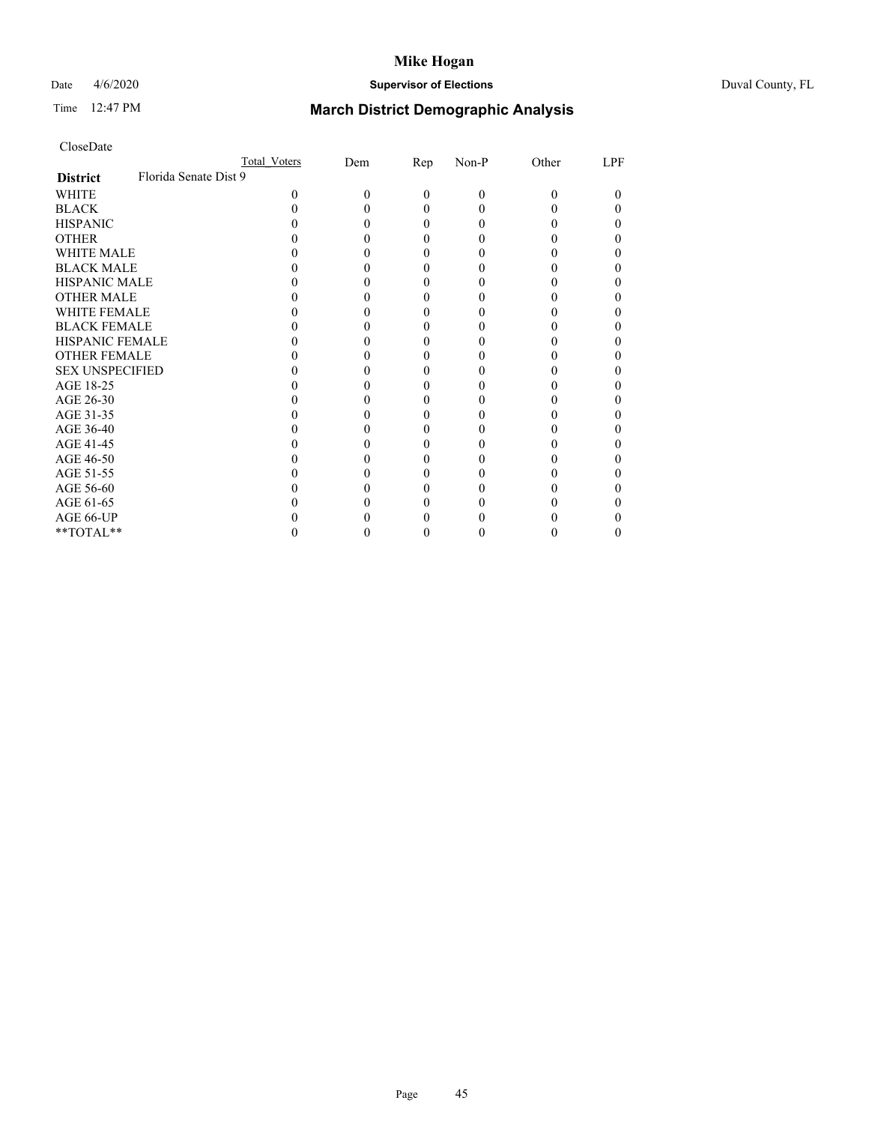## Date 4/6/2020 **Supervisor of Elections** Duval County, FL

# Time 12:47 PM **March District Demographic Analysis**

|                        |                       | <b>Total Voters</b> | Dem | <b>Rep</b> | Non-P    | Other | LPF |
|------------------------|-----------------------|---------------------|-----|------------|----------|-------|-----|
| <b>District</b>        | Florida Senate Dist 9 |                     |     |            |          |       |     |
| WHITE                  |                       | 0                   | 0   | $\Omega$   | $\theta$ | 0     | 0   |
| <b>BLACK</b>           |                       |                     |     | 0          | 0        |       |     |
| <b>HISPANIC</b>        |                       |                     |     | 0          | 0        |       |     |
| <b>OTHER</b>           |                       |                     |     |            |          |       |     |
| <b>WHITE MALE</b>      |                       |                     |     |            |          |       |     |
| <b>BLACK MALE</b>      |                       |                     |     |            |          |       |     |
| <b>HISPANIC MALE</b>   |                       |                     |     |            |          |       |     |
| <b>OTHER MALE</b>      |                       |                     |     |            |          |       |     |
| <b>WHITE FEMALE</b>    |                       |                     |     |            |          |       |     |
| <b>BLACK FEMALE</b>    |                       |                     |     |            |          |       |     |
| <b>HISPANIC FEMALE</b> |                       |                     |     |            |          |       |     |
| <b>OTHER FEMALE</b>    |                       |                     |     |            |          |       |     |
| <b>SEX UNSPECIFIED</b> |                       |                     |     |            |          |       |     |
| AGE 18-25              |                       |                     |     |            |          |       |     |
| AGE 26-30              |                       |                     |     |            |          |       |     |
| AGE 31-35              |                       |                     |     |            |          |       |     |
| AGE 36-40              |                       |                     |     |            |          |       |     |
| AGE 41-45              |                       |                     |     |            |          |       |     |
| AGE 46-50              |                       |                     |     |            |          |       |     |
| AGE 51-55              |                       |                     |     |            |          |       |     |
| AGE 56-60              |                       |                     |     |            |          |       |     |
| AGE 61-65              |                       |                     |     |            |          |       |     |
| AGE 66-UP              |                       |                     |     |            |          |       |     |
| $**TOTAL**$            |                       |                     |     | 0          | 0        | 0     | 0   |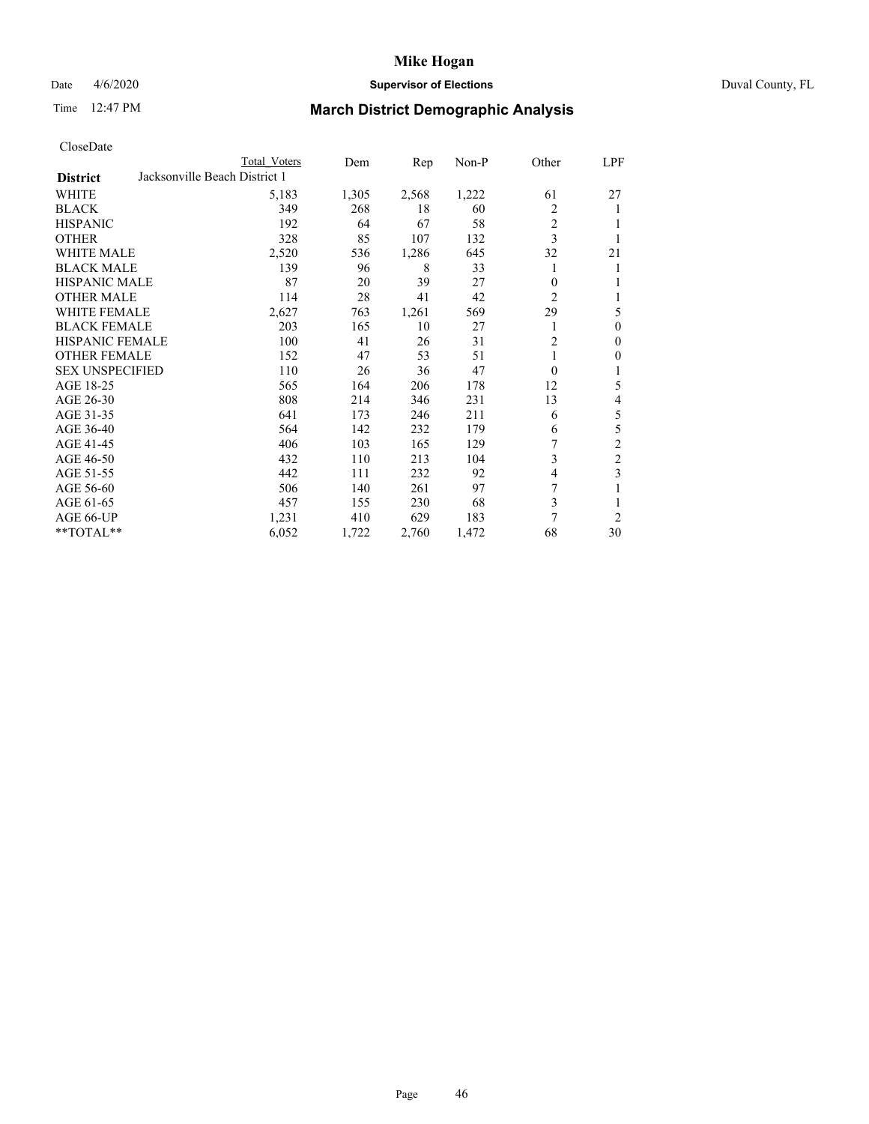# Date 4/6/2020 **Supervisor of Elections** Duval County, FL

# Time 12:47 PM **March District Demographic Analysis**

|                        |                               | Total Voters | Dem   | Rep   | Non-P | Other          | LPF            |
|------------------------|-------------------------------|--------------|-------|-------|-------|----------------|----------------|
| <b>District</b>        | Jacksonville Beach District 1 |              |       |       |       |                |                |
| WHITE                  |                               | 5,183        | 1,305 | 2,568 | 1,222 | 61             | 27             |
| <b>BLACK</b>           |                               | 349          | 268   | 18    | 60    | 2              | 1              |
| <b>HISPANIC</b>        |                               | 192          | 64    | 67    | 58    | $\overline{c}$ |                |
| <b>OTHER</b>           |                               | 328          | 85    | 107   | 132   | 3              | 1              |
| WHITE MALE             |                               | 2,520        | 536   | 1,286 | 645   | 32             | 21             |
| <b>BLACK MALE</b>      |                               | 139          | 96    | 8     | 33    |                | 1              |
| <b>HISPANIC MALE</b>   |                               | 87           | 20    | 39    | 27    | 0              | 1              |
| <b>OTHER MALE</b>      |                               | 114          | 28    | 41    | 42    | $\overline{c}$ | 1              |
| WHITE FEMALE           |                               | 2,627        | 763   | 1,261 | 569   | 29             | 5              |
| <b>BLACK FEMALE</b>    |                               | 203          | 165   | 10    | 27    |                | $\mathbf{0}$   |
| <b>HISPANIC FEMALE</b> |                               | 100          | 41    | 26    | 31    | $\overline{c}$ | $\mathbf{0}$   |
| <b>OTHER FEMALE</b>    |                               | 152          | 47    | 53    | 51    |                | $\mathbf{0}$   |
| <b>SEX UNSPECIFIED</b> |                               | 110          | 26    | 36    | 47    | 0              | 1              |
| AGE 18-25              |                               | 565          | 164   | 206   | 178   | 12             | 5              |
| AGE 26-30              |                               | 808          | 214   | 346   | 231   | 13             | 4              |
| AGE 31-35              |                               | 641          | 173   | 246   | 211   | 6              | 5              |
| AGE 36-40              |                               | 564          | 142   | 232   | 179   | 6              | 5              |
| AGE 41-45              |                               | 406          | 103   | 165   | 129   |                | $\overline{c}$ |
| AGE 46-50              |                               | 432          | 110   | 213   | 104   | 3              | $\overline{c}$ |
| AGE 51-55              |                               | 442          | 111   | 232   | 92    | 4              | 3              |
| AGE 56-60              |                               | 506          | 140   | 261   | 97    | 7              |                |
| AGE 61-65              |                               | 457          | 155   | 230   | 68    | 3              | 1              |
| AGE 66-UP              |                               | 1,231        | 410   | 629   | 183   | 7              | $\overline{c}$ |
| **TOTAL**              |                               | 6,052        | 1,722 | 2,760 | 1,472 | 68             | 30             |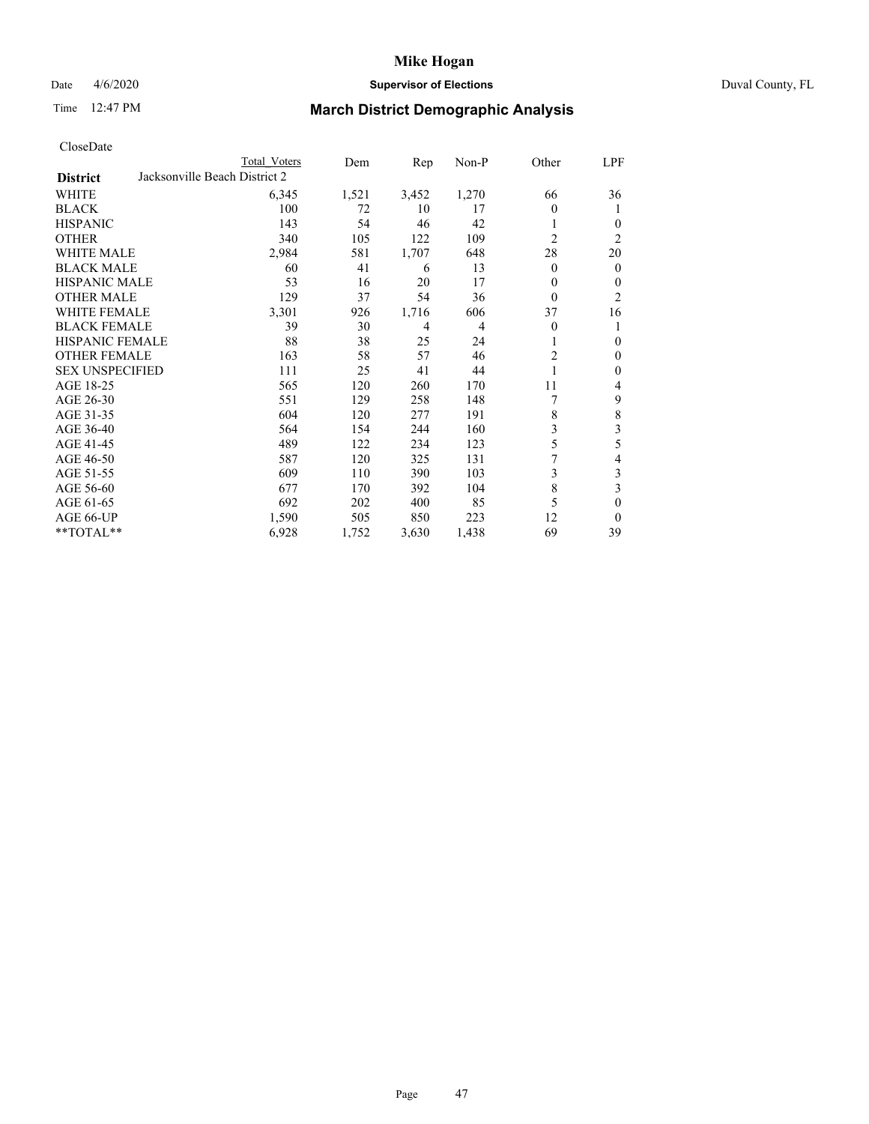## Date 4/6/2020 **Supervisor of Elections** Duval County, FL

# Time 12:47 PM **March District Demographic Analysis**

|                                                  | Total Voters | Dem   | Rep   | Non-P | Other          | LPF            |
|--------------------------------------------------|--------------|-------|-------|-------|----------------|----------------|
| Jacksonville Beach District 2<br><b>District</b> |              |       |       |       |                |                |
| WHITE                                            | 6,345        | 1,521 | 3,452 | 1,270 | 66             | 36             |
| <b>BLACK</b>                                     | 100          | 72    | 10    | 17    | $\theta$       | 1              |
| <b>HISPANIC</b>                                  | 143          | 54    | 46    | 42    | 1              | $\theta$       |
| <b>OTHER</b>                                     | 340          | 105   | 122   | 109   | $\overline{c}$ | 2              |
| <b>WHITE MALE</b>                                | 2,984        | 581   | 1,707 | 648   | 28             | 20             |
| <b>BLACK MALE</b>                                | 60           | 41    | 6     | 13    | $\overline{0}$ | $\mathbf{0}$   |
| HISPANIC MALE                                    | 53           | 16    | 20    | 17    | 0              | $\theta$       |
| <b>OTHER MALE</b>                                | 129          | 37    | 54    | 36    | $\theta$       | $\overline{2}$ |
| <b>WHITE FEMALE</b>                              | 3,301        | 926   | 1,716 | 606   | 37             | 16             |
| <b>BLACK FEMALE</b>                              | 39           | 30    | 4     | 4     | $\theta$       | 1              |
| <b>HISPANIC FEMALE</b>                           | 88           | 38    | 25    | 24    | 1              | $\theta$       |
| <b>OTHER FEMALE</b>                              | 163          | 58    | 57    | 46    | $\overline{c}$ | $\mathbf{0}$   |
| <b>SEX UNSPECIFIED</b>                           | 111          | 25    | 41    | 44    | 1              | $\mathbf{0}$   |
| AGE 18-25                                        | 565          | 120   | 260   | 170   | 11             | 4              |
| AGE 26-30                                        | 551          | 129   | 258   | 148   | 7              | 9              |
| AGE 31-35                                        | 604          | 120   | 277   | 191   | 8              | 8              |
| AGE 36-40                                        | 564          | 154   | 244   | 160   | 3              | 3              |
| AGE 41-45                                        | 489          | 122   | 234   | 123   | 5              | 5              |
| AGE 46-50                                        | 587          | 120   | 325   | 131   | 7              | 4              |
| AGE 51-55                                        | 609          | 110   | 390   | 103   | 3              | 3              |
| AGE 56-60                                        | 677          | 170   | 392   | 104   | 8              | 3              |
| AGE 61-65                                        | 692          | 202   | 400   | 85    | 5              | $\theta$       |
| AGE 66-UP                                        | 1,590        | 505   | 850   | 223   | 12             | $\theta$       |
| **TOTAL**                                        | 6,928        | 1,752 | 3,630 | 1,438 | 69             | 39             |